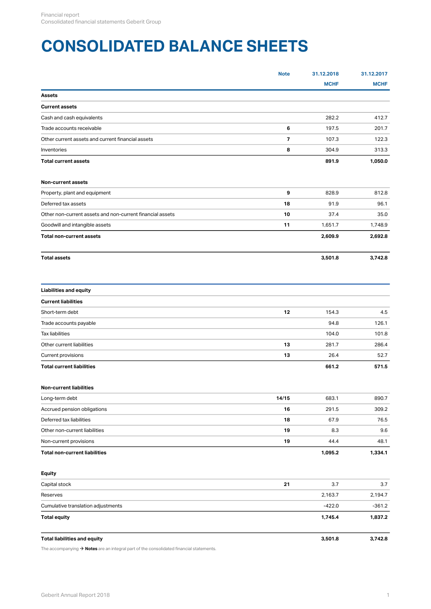# <span id="page-0-0"></span>**CONSOLIDATED BALANCE SHEETS**

|                                                           | <b>Note</b> | 31.12.2018  | 31.12.2017  |
|-----------------------------------------------------------|-------------|-------------|-------------|
|                                                           |             | <b>MCHF</b> | <b>MCHF</b> |
| Assets                                                    |             |             |             |
| <b>Current assets</b>                                     |             |             |             |
| Cash and cash equivalents                                 |             | 282.2       | 412.7       |
| Trade accounts receivable                                 | 6           | 197.5       | 201.7       |
| Other current assets and current financial assets         | 7           | 107.3       | 122.3       |
| Inventories                                               | 8           | 304.9       | 313.3       |
| <b>Total current assets</b>                               |             | 891.9       | 1,050.0     |
| Non-current assets                                        |             |             |             |
| Property, plant and equipment                             | 9           | 828.9       | 812.8       |
| Deferred tax assets                                       | 18          | 91.9        | 96.1        |
| Other non-current assets and non-current financial assets | 10          | 37.4        | 35.0        |
| Goodwill and intangible assets                            | 11          | 1,651.7     | 1,748.9     |
| <b>Total non-current assets</b>                           |             | 2,609.9     | 2,692.8     |
| <b>Total assets</b>                                       |             | 3,501.8     | 3,742.8     |
| <b>Liabilities and equity</b>                             |             |             |             |
| <b>Current liabilities</b>                                |             |             |             |
| Short-term debt                                           | 12          | 154.3       | 4.5         |
| Trade accounts payable                                    |             | 94.8        | 126.1       |
| <b>Tax liabilities</b>                                    |             | 104.0       | 101.8       |
| Other current liabilities                                 | 13          | 281.7       | 286.4       |
| Current provisions                                        | 13          | 26.4        | 52.7        |
| <b>Total current liabilities</b>                          |             | 661.2       | 571.5       |
| Non-current liabilities                                   |             |             |             |
| Long-term debt                                            | 14/15       | 683.1       | 890.7       |
| Accrued pension obligations                               | 16          | 291.5       | 309.2       |
| Deferred tax liabilities                                  | 18          | 67.9        | 76.5        |
| Other non-current liabilities                             | 19          | 8.3         | 9.6         |
| Non-current provisions                                    | 19          | 44.4        | 48.1        |
| <b>Total non-current liabilities</b>                      |             | 1,095.2     | 1,334.1     |
| <b>Equity</b>                                             |             |             |             |
| Capital stock                                             | 21          | 3.7         | 3.7         |
| Reserves                                                  |             | 2,163.7     | 2,194.7     |
| Cumulative translation adjustments                        |             | $-422.0$    | $-361.2$    |
| <b>Total equity</b>                                       |             | 1,745.4     | 1,837.2     |
| <b>Total liabilities and equity</b>                       |             | 3,501.8     | 3,742.8     |

The accompanying **[Notes](#page-5-0)** are an integral part of the consolidated financial statements. [\\$](#page-5-0)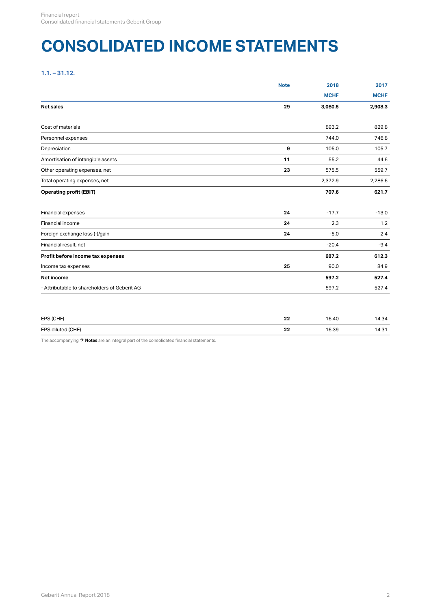## <span id="page-1-0"></span>**CONSOLIDATED INCOME STATEMENTS**

**1.1. – 31.12.**

|                                              | <b>Note</b> | 2018        | 2017        |
|----------------------------------------------|-------------|-------------|-------------|
|                                              |             | <b>MCHF</b> | <b>MCHF</b> |
| <b>Net sales</b>                             | 29          | 3,080.5     | 2,908.3     |
| Cost of materials                            |             | 893.2       | 829.8       |
| Personnel expenses                           |             | 744.0       | 746.8       |
| Depreciation                                 | 9           | 105.0       | 105.7       |
| Amortisation of intangible assets            | 11          | 55.2        | 44.6        |
| Other operating expenses, net                | 23          | 575.5       | 559.7       |
| Total operating expenses, net                |             | 2,372.9     | 2,286.6     |
| <b>Operating profit (EBIT)</b>               |             | 707.6       | 621.7       |
| Financial expenses                           | 24          | $-17.7$     | $-13.0$     |
| Financial income                             | 24          | 2.3         | 1.2         |
| Foreign exchange loss (-)/gain               | 24          | $-5.0$      | 2.4         |
| Financial result, net                        |             | $-20.4$     | $-9.4$      |
| Profit before income tax expenses            |             | 687.2       | 612.3       |
| Income tax expenses                          | 25          | 90.0        | 84.9        |
| Net income                                   |             | 597.2       | 527.4       |
| - Attributable to shareholders of Geberit AG |             | 597.2       | 527.4       |

| EPS (CHF)                 | c.c.<br>--                     | . .<br>$\sqrt{2}$<br>16.40 | ж.<br>∙ت.+               |
|---------------------------|--------------------------------|----------------------------|--------------------------|
| d (CHF)<br>EPS diluted (C | $\overline{\phantom{a}}$<br>-- | 6.20<br>פט.סו              | $\sim$<br>ں. +<br>$\sim$ |

The accompanying  $\rightarrow$  **[Notes](#page-5-0)** are an integral part of the consolidated financial statements.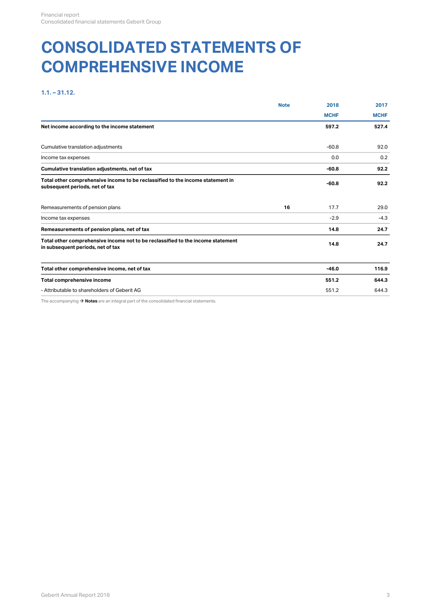## <span id="page-2-0"></span>**CONSOLIDATED STATEMENTS OF COMPREHENSIVE INCOME**

## **1.1. – 31.12.**

|                                                                                                                      | <b>Note</b> | 2018        | 2017        |
|----------------------------------------------------------------------------------------------------------------------|-------------|-------------|-------------|
|                                                                                                                      |             | <b>MCHF</b> | <b>MCHF</b> |
| Net income according to the income statement                                                                         |             | 597.2       | 527.4       |
| Cumulative translation adjustments                                                                                   |             | $-60.8$     | 92.0        |
| Income tax expenses                                                                                                  |             | 0.0         | 0.2         |
| Cumulative translation adjustments, net of tax                                                                       |             | -60.8       | 92.2        |
| Total other comprehensive income to be reclassified to the income statement in<br>subsequent periods, net of tax     |             | $-60.8$     | 92.2        |
| Remeasurements of pension plans                                                                                      | 16          | 17.7        | 29.0        |
| Income tax expenses                                                                                                  |             | $-2.9$      | $-4.3$      |
| Remeasurements of pension plans, net of tax                                                                          |             | 14.8        | 24.7        |
| Total other comprehensive income not to be reclassified to the income statement<br>in subsequent periods, net of tax |             | 14.8        | 24.7        |
| Total other comprehensive income, net of tax                                                                         |             | $-46.0$     | 116.9       |
| Total comprehensive income                                                                                           |             | 551.2       | 644.3       |
| - Attributable to shareholders of Geberit AG                                                                         |             | 551.2       | 644.3       |
| The accompanying $\rightarrow$ Notes are an integral part of the consolidated financial statements.                  |             |             |             |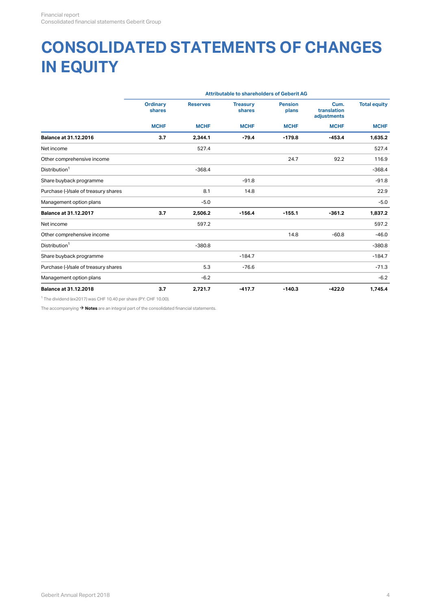## **CONSOLIDATED STATEMENTS OF CHANGES IN EQUITY**

|                                      |                           |                 | <b>Attributable to shareholders of Geberit AG</b> |                         |                                    |                     |
|--------------------------------------|---------------------------|-----------------|---------------------------------------------------|-------------------------|------------------------------------|---------------------|
|                                      | <b>Ordinary</b><br>shares | <b>Reserves</b> | <b>Treasury</b><br>shares                         | <b>Pension</b><br>plans | Cum.<br>translation<br>adjustments | <b>Total equity</b> |
|                                      | <b>MCHF</b>               | <b>MCHF</b>     | <b>MCHF</b>                                       | <b>MCHF</b>             | <b>MCHF</b>                        | <b>MCHF</b>         |
| <b>Balance at 31.12.2016</b>         | 3.7                       | 2,344.1         | $-79.4$                                           | $-179.8$                | $-453.4$                           | 1,635.2             |
| Net income                           |                           | 527.4           |                                                   |                         |                                    | 527.4               |
| Other comprehensive income           |                           |                 |                                                   | 24.7                    | 92.2                               | 116.9               |
| Distribution <sup>1</sup>            |                           | $-368.4$        |                                                   |                         |                                    | $-368.4$            |
| Share buyback programme              |                           |                 | $-91.8$                                           |                         |                                    | $-91.8$             |
| Purchase (-)/sale of treasury shares |                           | 8.1             | 14.8                                              |                         |                                    | 22.9                |
| Management option plans              |                           | $-5.0$          |                                                   |                         |                                    | $-5.0$              |
| <b>Balance at 31.12.2017</b>         | 3.7                       | 2,506.2         | $-156.4$                                          | $-155.1$                | $-361.2$                           | 1,837.2             |
| Net income                           |                           | 597.2           |                                                   |                         |                                    | 597.2               |
| Other comprehensive income           |                           |                 |                                                   | 14.8                    | $-60.8$                            | $-46.0$             |
| Distribution <sup>1</sup>            |                           | $-380.8$        |                                                   |                         |                                    | $-380.8$            |
| Share buyback programme              |                           |                 | $-184.7$                                          |                         |                                    | $-184.7$            |
| Purchase (-)/sale of treasury shares |                           | 5.3             | $-76.6$                                           |                         |                                    | $-71.3$             |
| Management option plans              |                           | $-6.2$          |                                                   |                         |                                    | $-6.2$              |
| <b>Balance at 31.12.2018</b>         | 3.7                       | 2,721.7         | $-417.7$                                          | $-140.3$                | $-422.0$                           | 1,745.4             |
|                                      |                           |                 |                                                   |                         |                                    |                     |

<sup>1</sup> The dividend (ex2017) was CHF 10.40 per share (PY: CHF 10.00).

The accompanying  $\rightarrow$  **[Notes](#page-5-0)** are an integral part of the consolidated financial statements.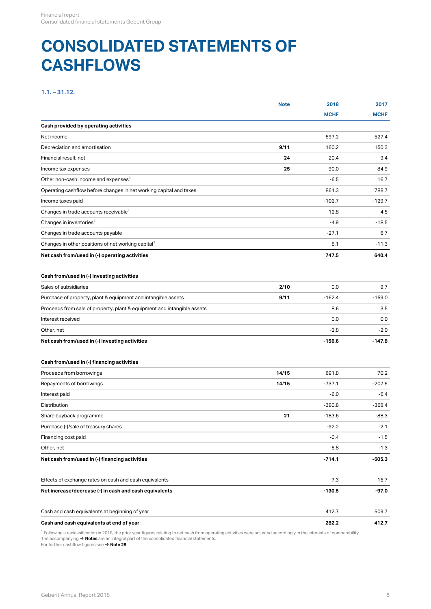## **CONSOLIDATED STATEMENTS OF CASHFLOWS**

## **1.1. – 31.12.**

|                                                                         | <b>Note</b> | 2018        | 2017        |
|-------------------------------------------------------------------------|-------------|-------------|-------------|
|                                                                         |             | <b>MCHF</b> | <b>MCHF</b> |
| Cash provided by operating activities                                   |             |             |             |
| Net income                                                              |             | 597.2       | 527.4       |
| Depreciation and amortisation                                           | 9/11        | 160.2       | 150.3       |
| Financial result, net                                                   | 24          | 20.4        | 9.4         |
| Income tax expenses                                                     | 25          | 90.0        | 84.9        |
| Other non-cash income and expenses <sup>1</sup>                         |             | $-6.5$      | 16.7        |
| Operating cashflow before changes in net working capital and taxes      |             | 861.3       | 788.7       |
| Income taxes paid                                                       |             | $-102.7$    | $-129.7$    |
| Changes in trade accounts receivable <sup>1</sup>                       |             | 12.8        | 4.5         |
| Changes in inventories <sup>1</sup>                                     |             | $-4.9$      | $-18.5$     |
| Changes in trade accounts payable                                       |             | $-27.1$     | 6.7         |
| Changes in other positions of net working capital <sup>1</sup>          |             | 8.1         | $-11.3$     |
| Net cash from/used in (-) operating activities                          |             | 747.5       | 640.4       |
| Cash from/used in (-) investing activities                              |             |             |             |
| Sales of subsidiaries                                                   | 2/10        | 0.0         | 9.7         |
| Purchase of property, plant & equipment and intangible assets           | 9/11        | $-162.4$    | $-159.0$    |
| Proceeds from sale of property, plant & equipment and intangible assets |             | 8.6         | 3.5         |
| Interest received                                                       |             | 0.0         | 0.0         |
| Other, net                                                              |             | $-2.8$      | $-2.0$      |
| Net cash from/used in (-) investing activities                          |             | $-156.6$    | $-147.8$    |
|                                                                         |             |             |             |
| Cash from/used in (-) financing activities                              |             |             |             |
| Proceeds from borrowings                                                | 14/15       | 691.8       | 70.2        |
| Repayments of borrowings                                                | 14/15       | $-737.1$    | $-207.5$    |
| Interest paid                                                           |             | $-6.0$      | $-6.4$      |
| Distribution                                                            |             | $-380.8$    | $-368.4$    |
| Share buyback programme                                                 | 21          | $-183.6$    | $-88.3$     |
| Purchase (-)/sale of treasury shares                                    |             | $-92.2$     | $-2.1$      |
| Financing cost paid                                                     |             | $-0.4$      | $-1.5$      |
| Other, net                                                              |             | $-5.8$      | $-1.3$      |
| Net cash from/used in (-) financing activities                          |             | $-714.1$    | $-605.3$    |
| Effects of exchange rates on cash and cash equivalents                  |             | $-7.3$      | 15.7        |
|                                                                         |             |             |             |
| Net increase/decrease (-) in cash and cash equivalents                  |             | $-130.5$    | $-97.0$     |
| Cash and cash equivalents at beginning of year                          |             | 412.7       | 509.7       |
| Cash and cash equivalents at end of year                                |             | 282.2       | 412.7       |
|                                                                         |             |             |             |

 Following a reclassification in 2018, the prior year figures relating to net cash from operating activities were adjusted accordingly in the interests of comparability. The accompanying **[Notes](#page-5-0)** are an integral part of the consolidated financial statements.  $1 \epsilon$  if an idea a reached anti-resolution for  $\rightarrow$  Notes are an integral part of the consolidated financial statements.

For further cashflow figures see  $\rightarrow$  **[Note 28](#page-35-0)**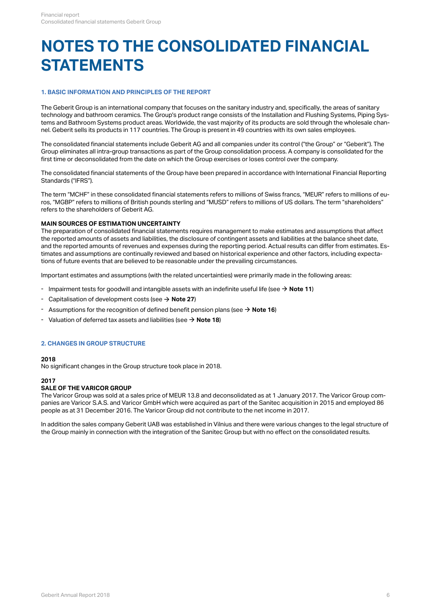## <span id="page-5-0"></span>**NOTES TO THE CONSOLIDATED FINANCIAL STATEMENTS**

## <span id="page-5-2"></span>**1. BASIC INFORMATION AND PRINCIPLES OF THE REPORT**

The Geberit Group is an international company that focuses on the sanitary industry and, specifically, the areas of sanitary technology and bathroom ceramics. The Group's product range consists of the Installation and Flushing Systems, Piping Systems and Bathroom Systems product areas. Worldwide, the vast majority of its products are sold through the wholesale channel. Geberit sells its products in 117 countries. The Group is present in 49 countries with its own sales employees.

The consolidated financial statements include Geberit AG and all companies under its control ("the Group" or "Geberit"). The Group eliminates all intra-group transactions as part of the Group consolidation process. A company is consolidated for the first time or deconsolidated from the date on which the Group exercises or loses control over the company.

The consolidated financial statements of the Group have been prepared in accordance with International Financial Reporting Standards ("IFRS").

The term "MCHF" in these consolidated financial statements refers to millions of Swiss francs, "MEUR" refers to millions of euros, "MGBP" refers to millions of British pounds sterling and "MUSD" refers to millions of US dollars. The term "shareholders" refers to the shareholders of Geberit AG.

#### **MAIN SOURCES OF ESTIMATION UNCERTAINTY**

The preparation of consolidated financial statements requires management to make estimates and assumptions that affect the reported amounts of assets and liabilities, the disclosure of contingent assets and liabilities at the balance sheet date, and the reported amounts of revenues and expenses during the reporting period. Actual results can differ from estimates. Estimates and assumptions are continually reviewed and based on historical experience and other factors, including expectations of future events that are believed to be reasonable under the prevailing circumstances.

Important estimates and assumptions (with the related uncertainties) were primarily made in the following areas:

- Impairment tests for goodwill and intangible assets with an indefinite useful life (see  $\rightarrow$  **[Note 11](#page-15-1)**)
- Capitalisation of development costs (see  $\rightarrow$  **[Note 27](#page-35-1)**)
- Assumptions for the recognition of defined benefit pension plans (see  $\rightarrow$  **[Note 16](#page-23-0)**)
- $\blacksquare$  Valuation of deferred tax assets and liabilities (see  $\rightarrow$  **[Note 18](#page-30-0)**)

### <span id="page-5-1"></span>**2. CHANGES IN GROUP STRUCTURE**

#### **2018**

No significant changes in the Group structure took place in 2018.

#### **2017**

#### **SALE OF THE VARICOR GROUP**

The Varicor Group was sold at a sales price of MEUR 13.8 and deconsolidated as at 1 January 2017. The Varicor Group companies are Varicor S.A.S. and Varicor GmbH which were acquired as part of the Sanitec acquisition in 2015 and employed 86 people as at 31 December 2016. The Varicor Group did not contribute to the net income in 2017.

In addition the sales company Geberit UAB was established in Vilnius and there were various changes to the legal structure of the Group mainly in connection with the integration of the Sanitec Group but with no effect on the consolidated results.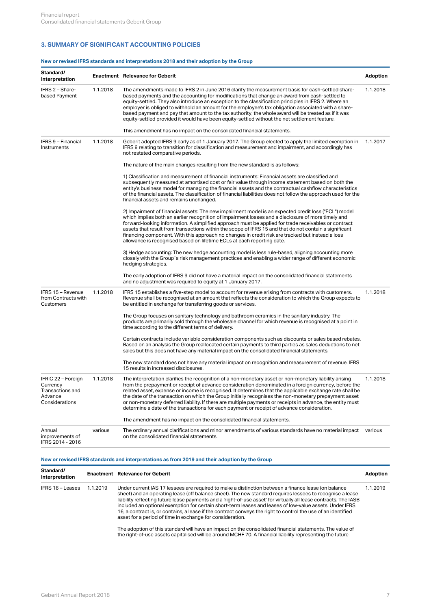## <span id="page-6-0"></span>**3. SUMMARY OF SIGNIFICANT ACCOUNTING POLICIES**

#### **New or revised IFRS standards and interpretations 2018 and their adoption by the Group**

| Standard/<br>Interpretation                                                     |          | <b>Enactment</b> Relevance for Geberit                                                                                                                                                                                                                                                                                                                                                                                                                                                                                                                                                                                                           | Adoption |
|---------------------------------------------------------------------------------|----------|--------------------------------------------------------------------------------------------------------------------------------------------------------------------------------------------------------------------------------------------------------------------------------------------------------------------------------------------------------------------------------------------------------------------------------------------------------------------------------------------------------------------------------------------------------------------------------------------------------------------------------------------------|----------|
| IFRS 2 - Share-<br>based Payment                                                | 1.1.2018 | The amendments made to IFRS 2 in June 2016 clarify the measurement basis for cash-settled share-<br>based payments and the accounting for modifications that change an award from cash-settled to<br>equity-settled. They also introduce an exception to the classification principles in IFRS 2. Where an<br>employer is obliged to withhold an amount for the employee's tax obligation associated with a share-<br>based payment and pay that amount to the tax authority, the whole award will be treated as if it was<br>equity-settled provided it would have been equity-settled without the net settlement feature.                      | 1.1.2018 |
|                                                                                 |          | This amendment has no impact on the consolidated financial statements.                                                                                                                                                                                                                                                                                                                                                                                                                                                                                                                                                                           |          |
| IFRS 9 - Financial<br>Instruments                                               | 1.1.2018 | Geberit adopted IFRS 9 early as of 1 January 2017. The Group elected to apply the limited exemption in 1.1.2017<br>IFRS 9 relating to transition for classification and measurement and impairment, and accordingly has<br>not restated comparative periods.                                                                                                                                                                                                                                                                                                                                                                                     |          |
|                                                                                 |          | The nature of the main changes resulting from the new standard is as follows:                                                                                                                                                                                                                                                                                                                                                                                                                                                                                                                                                                    |          |
|                                                                                 |          | 1) Classification and measurement of financial instruments: Financial assets are classified and<br>subsequently measured at amortised cost or fair value through income statement based on both the<br>entity's business model for managing the financial assets and the contractual cashflow characteristics<br>of the financial assets. The classification of financial liabilities does not follow the approach used for the<br>financial assets and remains unchanged.                                                                                                                                                                       |          |
|                                                                                 |          | 2) Impairment of financial assets: The new impairment model is an expected credit loss ("ECL") model<br>which implies both an earlier recognition of impairment losses and a disclosure of more timely and<br>forward-looking information. A simplified approach must be applied for trade receivables or contract<br>assets that result from transactions within the scope of IFRS 15 and that do not contain a significant<br>financing component. With this approach no changes in credit risk are tracked but instead a loss<br>allowance is recognised based on lifetime ECLs at each reporting date.                                       |          |
|                                                                                 |          | 3) Hedge accounting: The new hedge accounting model is less rule-based, aligning accounting more<br>closely with the Group's risk management practices and enabling a wider range of different economic<br>hedging strategies.                                                                                                                                                                                                                                                                                                                                                                                                                   |          |
|                                                                                 |          | The early adoption of IFRS 9 did not have a material impact on the consolidated financial statements<br>and no adjustment was required to equity at 1 January 2017.                                                                                                                                                                                                                                                                                                                                                                                                                                                                              |          |
| IFRS 15 - Revenue<br>from Contracts with<br>Customers                           | 1.1.2018 | IFRS 15 establishes a five-step model to account for revenue arising from contracts with customers.<br>Revenue shall be recognised at an amount that reflects the consideration to which the Group expects to<br>be entitled in exchange for transferring goods or services.                                                                                                                                                                                                                                                                                                                                                                     | 1.1.2018 |
|                                                                                 |          | The Group focuses on sanitary technology and bathroom ceramics in the sanitary industry. The<br>products are primarily sold through the wholesale channel for which revenue is recognised at a point in<br>time according to the different terms of delivery.                                                                                                                                                                                                                                                                                                                                                                                    |          |
|                                                                                 |          | Certain contracts include variable consideration components such as discounts or sales based rebates.<br>Based on an analysis the Group reallocated certain payments to third parties as sales deductions to net<br>sales but this does not have any material impact on the consolidated financial statements.                                                                                                                                                                                                                                                                                                                                   |          |
|                                                                                 |          | The new standard does not have any material impact on recognition and measurement of revenue. IFRS<br>15 results in increased disclosures.                                                                                                                                                                                                                                                                                                                                                                                                                                                                                                       |          |
| IFRIC 22 - Foreign<br>Currency<br>Transactions and<br>Advance<br>Considerations | 1.1.2018 | The interpretation clarifies the recognition of a non-monetary asset or non-monetary liability arising<br>from the prepayment or receipt of advance consideration denominated in a foreign currency, before the<br>related asset, expense or income is recognised. It determines that the applicable exchange rate shall be<br>the date of the transaction on which the Group initially recognises the non-monetary prepayment asset<br>or non-monetary deferred liability. If there are multiple payments or receipts in advance, the entity must<br>determine a date of the transactions for each payment or receipt of advance consideration. | 1.1.2018 |
|                                                                                 |          | The amendment has no impact on the consolidated financial statements.                                                                                                                                                                                                                                                                                                                                                                                                                                                                                                                                                                            |          |
| Annual<br>improvements of<br>IFRS 2014 - 2016                                   | various  | The ordinary annual clarifications and minor amendments of various standards have no material impact various<br>on the consolidated financial statements.                                                                                                                                                                                                                                                                                                                                                                                                                                                                                        |          |

## **New or revised IFRS standards and interpretations as from 2019 and their adoption by the Group**

| Standard/<br>Interpretation |          | <b>Enactment</b> Relevance for Geberit                                                                                                                                                                                                                                                                                                                                                                                                                                                                                                                                                                                         | <b>Adoption</b> |
|-----------------------------|----------|--------------------------------------------------------------------------------------------------------------------------------------------------------------------------------------------------------------------------------------------------------------------------------------------------------------------------------------------------------------------------------------------------------------------------------------------------------------------------------------------------------------------------------------------------------------------------------------------------------------------------------|-----------------|
| IFRS 16 - Leases            | 1.1.2019 | Under current IAS 17 lessees are required to make a distinction between a finance lease (on balance<br>sheet) and an operating lease (off balance sheet). The new standard requires lessees to recognise a lease<br>liability reflecting future lease payments and a 'right-of-use asset' for virtually all lease contracts. The IASB<br>included an optional exemption for certain short-term leases and leases of low-value assets. Under IFRS<br>16, a contract is, or contains, a lease if the contract conveys the right to control the use of an identified<br>asset for a period of time in exchange for consideration. | 1.1.2019        |
|                             |          | The edention of this standard will be us an impost on the especial deted financial statements. The value of                                                                                                                                                                                                                                                                                                                                                                                                                                                                                                                    |                 |

The adoption of this standard will have an impact on the consolidated financial statements. The value of the right-of-use assets capitalised will be around MCHF 70. A financial liability representing the future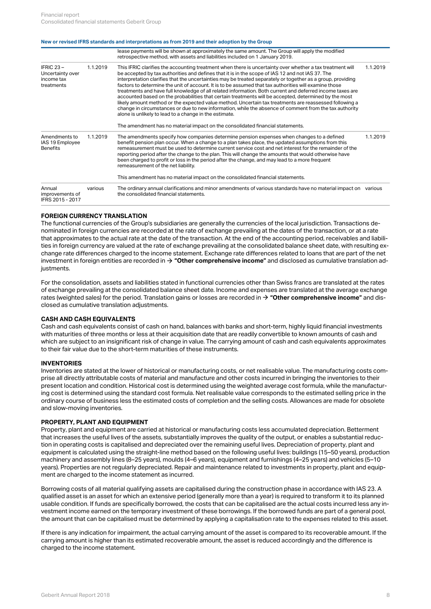#### **New or revised IFRS standards and interpretations as from 2019 and their adoption by the Group**

|                                                              |          | lease payments will be shown at approximately the same amount. The Group will apply the modified<br>retrospective method, with assets and liabilities included on 1 January 2019.                                                                                                                                                                                                                                                                                                                                                                                                                                                                                                                                                                                                                                                                                                                                                         |          |
|--------------------------------------------------------------|----------|-------------------------------------------------------------------------------------------------------------------------------------------------------------------------------------------------------------------------------------------------------------------------------------------------------------------------------------------------------------------------------------------------------------------------------------------------------------------------------------------------------------------------------------------------------------------------------------------------------------------------------------------------------------------------------------------------------------------------------------------------------------------------------------------------------------------------------------------------------------------------------------------------------------------------------------------|----------|
| IFRIC $23 -$<br>Uncertainty over<br>income tax<br>treatments | 1.1.2019 | This IFRIC clarifies the accounting treatment when there is uncertainty over whether a tax treatment will<br>be accepted by tax authorities and defines that it is in the scope of IAS 12 and not IAS 37. The<br>interpretation clarifies that the uncertainties may be treated separately or together as a group, providing<br>factors to determine the unit of account. It is to be assumed that tax authorities will examine those<br>treatments and have full knowledge of all related information. Both current and deferred income taxes are<br>accounted based on the probabilities that certain treatments will be accepted, determined by the most<br>likely amount method or the expected value method. Uncertain tax treatments are reassessed following a<br>change in circumstances or due to new information, while the absence of comment from the tax authority<br>alone is unlikely to lead to a change in the estimate. | 1.1.2019 |
|                                                              |          | The amendment has no material impact on the consolidated financial statements.                                                                                                                                                                                                                                                                                                                                                                                                                                                                                                                                                                                                                                                                                                                                                                                                                                                            |          |
| Amendments to<br>IAS 19 Employee<br><b>Benefits</b>          | 1.1.2019 | The amendments specify how companies determine pension expenses when changes to a defined<br>benefit pension plan occur. When a change to a plan takes place, the updated assumptions from this<br>remeasurement must be used to determine current service cost and net interest for the remainder of the<br>reporting period after the change to the plan. This will change the amounts that would otherwise have<br>been charged to profit or loss in the period after the change, and may lead to a more frequent<br>remeasurement of the net liability.                                                                                                                                                                                                                                                                                                                                                                               | 1.1.2019 |
|                                                              |          | This amendment has no material impact on the consolidated financial statements.                                                                                                                                                                                                                                                                                                                                                                                                                                                                                                                                                                                                                                                                                                                                                                                                                                                           |          |
| Annual<br>improvements of<br>IFRS 2015 - 2017                | various  | The ordinary annual clarifications and minor amendments of various standards have no material impact on various<br>the consolidated financial statements.                                                                                                                                                                                                                                                                                                                                                                                                                                                                                                                                                                                                                                                                                                                                                                                 |          |
|                                                              |          |                                                                                                                                                                                                                                                                                                                                                                                                                                                                                                                                                                                                                                                                                                                                                                                                                                                                                                                                           |          |

#### **FOREIGN CURRENCY TRANSLATION**

The functional currencies of the Group's subsidiaries are generally the currencies of the local jurisdiction. Transactions denominated in foreign currencies are recorded at the rate of exchange prevailing at the dates of the transaction, or at a rate that approximates to the actual rate at the date of the transaction. At the end of the accounting period, receivables and liabilities in foreign currency are valued at the rate of exchange prevailing at the consolidated balance sheet date, with resulting exchange rate differences charged to the income statement. Exchange rate differences related to loans that are part of the net investment in foreign entities are recorded in **→ ["Other comprehensive income"](#page-2-0)** and disclosed as cumulative translation adjustments.

For the consolidation, assets and liabilities stated in functional currencies other than Swiss francs are translated at the rates of exchange prevailing at the consolidated balance sheet date. Income and expenses are translated at the average exchange rates (weighted sales) for the period. Translation gains or losses are recorded in **→ ["Other comprehensive income"](#page-2-0)** and disclosed as cumulative translation adjustments.

#### **CASH AND CASH EQUIVALENTS**

Cash and cash equivalents consist of cash on hand, balances with banks and short-term, highly liquid financial investments with maturities of three months or less at their acquisition date that are readily convertible to known amounts of cash and which are subject to an insignificant risk of change in value. The carrying amount of cash and cash equivalents approximates to their fair value due to the short-term maturities of these instruments.

#### **INVENTORIES**

Inventories are stated at the lower of historical or manufacturing costs, or net realisable value. The manufacturing costs comprise all directly attributable costs of material and manufacture and other costs incurred in bringing the inventories to their present location and condition. Historical cost is determined using the weighted average cost formula, while the manufacturing cost is determined using the standard cost formula. Net realisable value corresponds to the estimated selling price in the ordinary course of business less the estimated costs of completion and the selling costs. Allowances are made for obsolete and slow-moving inventories.

#### **PROPERTY, PLANT AND EQUIPMENT**

Property, plant and equipment are carried at historical or manufacturing costs less accumulated depreciation. Betterment that increases the useful lives of the assets, substantially improves the quality of the output, or enables a substantial reduction in operating costs is capitalised and depreciated over the remaining useful lives. Depreciation of property, plant and equipment is calculated using the straight-line method based on the following useful lives: buildings (15–50 years), production machinery and assembly lines (8–25 years), moulds (4–6 years), equipment and furnishings (4–25 years) and vehicles (5–10 years). Properties are not regularly depreciated. Repair and maintenance related to investments in property, plant and equipment are charged to the income statement as incurred.

Borrowing costs of all material qualifying assets are capitalised during the construction phase in accordance with IAS 23. A qualified asset is an asset for which an extensive period (generally more than a year) is required to transform it to its planned usable condition. If funds are specifically borrowed, the costs that can be capitalised are the actual costs incurred less any investment income earned on the temporary investment of these borrowings. If the borrowed funds are part of a general pool, the amount that can be capitalised must be determined by applying a capitalisation rate to the expenses related to this asset.

If there is any indication for impairment, the actual carrying amount of the asset is compared to its recoverable amount. If the carrying amount is higher than its estimated recoverable amount, the asset is reduced accordingly and the difference is charged to the income statement.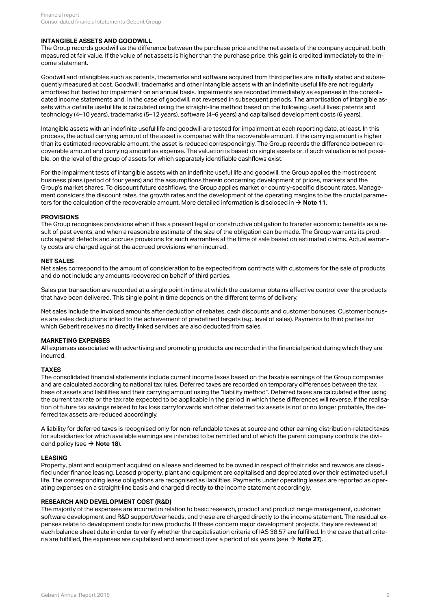#### **INTANGIBLE ASSETS AND GOODWILL**

The Group records goodwill as the difference between the purchase price and the net assets of the company acquired, both measured at fair value. If the value of net assets is higher than the purchase price, this gain is credited immediately to the income statement.

Goodwill and intangibles such as patents, trademarks and software acquired from third parties are initially stated and subsequently measured at cost. Goodwill, trademarks and other intangible assets with an indefinite useful life are not regularly amortised but tested for impairment on an annual basis. Impairments are recorded immediately as expenses in the consolidated income statements and, in the case of goodwill, not reversed in subsequent periods. The amortisation of intangible assets with a definite useful life is calculated using the straight-line method based on the following useful lives: patents and technology (4–10 years), trademarks (5–12 years), software (4–6 years) and capitalised development costs (6 years).

Intangible assets with an indefinite useful life and goodwill are tested for impairment at each reporting date, at least. In this process, the actual carrying amount of the asset is compared with the recoverable amount. If the carrying amount is higher than its estimated recoverable amount, the asset is reduced correspondingly. The Group records the difference between recoverable amount and carrying amount as expense. The valuation is based on single assets or, if such valuation is not possible, on the level of the group of assets for which separately identifiable cashflows exist.

For the impairment tests of intangible assets with an indefinite useful life and goodwill, the Group applies the most recent business plans (period of four years) and the assumptions therein concerning development of prices, markets and the Group's market shares. To discount future cashflows, the Group applies market or country-specific discount rates. Management considers the discount rates, the growth rates and the development of the operating margins to be the crucial parameters for the calculation of the recoverable amount. More detailed information is disclosed in  $\rightarrow$  **[Note 11](#page-15-1)**.

#### **PROVISIONS**

The Group recognises provisions when it has a present legal or constructive obligation to transfer economic benefits as a result of past events, and when a reasonable estimate of the size of the obligation can be made. The Group warrants its products against defects and accrues provisions for such warranties at the time of sale based on estimated claims. Actual warranty costs are charged against the accrued provisions when incurred.

#### **NET SALES**

Net sales correspond to the amount of consideration to be expected from contracts with customers for the sale of products and do not include any amounts recovered on behalf of third parties.

Sales per transaction are recorded at a single point in time at which the customer obtains effective control over the products that have been delivered. This single point in time depends on the different terms of delivery.

Net sales include the invoiced amounts after deduction of rebates, cash discounts and customer bonuses. Customer bonuses are sales deductions linked to the achievement of predefined targets (e.g. level of sales). Payments to third parties for which Geberit receives no directly linked services are also deducted from sales.

#### **MARKETING EXPENSES**

All expenses associated with advertising and promoting products are recorded in the financial period during which they are incurred.

#### **TAXES**

The consolidated financial statements include current income taxes based on the taxable earnings of the Group companies and are calculated according to national tax rules. Deferred taxes are recorded on temporary differences between the tax base of assets and liabilities and their carrying amount using the "liability method". Deferred taxes are calculated either using the current tax rate or the tax rate expected to be applicable in the period in which these differences will reverse. If the realisation of future tax savings related to tax loss carryforwards and other deferred tax assets is not or no longer probable, the deferred tax assets are reduced accordingly.

A liability for deferred taxes is recognised only for non-refundable taxes at source and other earning distribution-related taxes for subsidiaries for which available earnings are intended to be remitted and of which the parent company controls the dividend policy (see  $\rightarrow$  **[Note 18](#page-30-0)**).

#### **LEASING**

Property, plant and equipment acquired on a lease and deemed to be owned in respect of their risks and rewards are classified under finance leasing. Leased property, plant and equipment are capitalised and depreciated over their estimated useful life. The corresponding lease obligations are recognised as liabilities. Payments under operating leases are reported as operating expenses on a straight-line basis and charged directly to the income statement accordingly.

#### **RESEARCH AND DEVELOPMENT COST (R&D)**

The majority of the expenses are incurred in relation to basic research, product and product range management, customer software development and R&D support/overheads, and these are charged directly to the income statement. The residual expenses relate to development costs for new products. If these concern major development projects, they are reviewed at each balance sheet date in order to verify whether the capitalisation criteria of IAS 38.57 are fulfilled. In the case that all criteria are fulfilled, the expenses are capitalised and amortised over a period of six years (see  $\rightarrow$  **[Note 27](#page-35-1)**).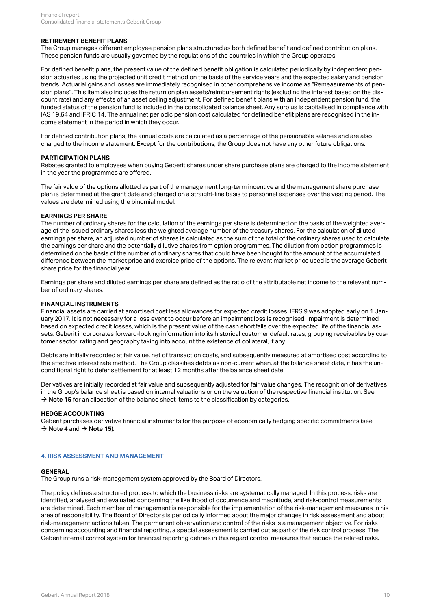### **RETIREMENT BENEFIT PLANS**

The Group manages different employee pension plans structured as both defined benefit and defined contribution plans. These pension funds are usually governed by the regulations of the countries in which the Group operates.

For defined benefit plans, the present value of the defined benefit obligation is calculated periodically by independent pension actuaries using the projected unit credit method on the basis of the service years and the expected salary and pension trends. Actuarial gains and losses are immediately recognised in other comprehensive income as "Remeasurements of pension plans". This item also includes the return on plan assets/reimbursement rights (excluding the interest based on the discount rate) and any effects of an asset ceiling adjustment. For defined benefit plans with an independent pension fund, the funded status of the pension fund is included in the consolidated balance sheet. Any surplus is capitalised in compliance with IAS 19.64 and IFRIC 14. The annual net periodic pension cost calculated for defined benefit plans are recognised in the income statement in the period in which they occur.

For defined contribution plans, the annual costs are calculated as a percentage of the pensionable salaries and are also charged to the income statement. Except for the contributions, the Group does not have any other future obligations.

#### **PARTICIPATION PLANS**

Rebates granted to employees when buying Geberit shares under share purchase plans are charged to the income statement in the year the programmes are offered.

The fair value of the options allotted as part of the management long-term incentive and the management share purchase plan is determined at the grant date and charged on a straight-line basis to personnel expenses over the vesting period. The values are determined using the binomial model.

#### **EARNINGS PER SHARE**

The number of ordinary shares for the calculation of the earnings per share is determined on the basis of the weighted average of the issued ordinary shares less the weighted average number of the treasury shares. For the calculation of diluted earnings per share, an adjusted number of shares is calculated as the sum of the total of the ordinary shares used to calculate the earnings per share and the potentially dilutive shares from option programmes. The dilution from option programmes is determined on the basis of the number of ordinary shares that could have been bought for the amount of the accumulated difference between the market price and exercise price of the options. The relevant market price used is the average Geberit share price for the financial year.

Earnings per share and diluted earnings per share are defined as the ratio of the attributable net income to the relevant number of ordinary shares.

#### **FINANCIAL INSTRUMENTS**

Financial assets are carried at amortised cost less allowances for expected credit losses. IFRS 9 was adopted early on 1 January 2017. It is not necessary for a loss event to occur before an impairment loss is recognised. Impairment is determined based on expected credit losses, which is the present value of the cash shortfalls over the expected life of the financial assets. Geberit incorporates forward-looking information into its historical customer default rates, grouping receivables by customer sector, rating and geography taking into account the existence of collateral, if any.

Debts are initially recorded at fair value, net of transaction costs, and subsequently measured at amortised cost according to the effective interest rate method. The Group classifies debts as non-current when, at the balance sheet date, it has the unconditional right to defer settlement for at least 12 months after the balance sheet date.

Derivatives are initially recorded at fair value and subsequently adjusted for fair value changes. The recognition of derivatives in the Group's balance sheet is based on internal valuations or on the valuation of the respective financial institution. See  $\rightarrow$  **[Note 15](#page-19-1)** for an allocation of the balance sheet items to the classification by categories.

#### **HEDGE ACCOUNTING**

Geberit purchases derivative financial instruments for the purpose of economically hedging specific commitments (see  $\rightarrow$  **[Note 4](#page-9-0)** and  $\rightarrow$  **[Note 15](#page-19-1)**).

#### <span id="page-9-0"></span>**4. RISK ASSESSMENT AND MANAGEMENT**

#### **GENERAL**

The Group runs a risk-management system approved by the Board of Directors.

The policy defines a structured process to which the business risks are systematically managed. In this process, risks are identified, analysed and evaluated concerning the likelihood of occurrence and magnitude, and risk-control measurements are determined. Each member of management is responsible for the implementation of the risk-management measures in his area of responsibility. The Board of Directors is periodically informed about the major changes in risk assessment and about risk-management actions taken. The permanent observation and control of the risks is a management objective. For risks concerning accounting and financial reporting, a special assessment is carried out as part of the risk control process. The Geberit internal control system for financial reporting defines in this regard control measures that reduce the related risks.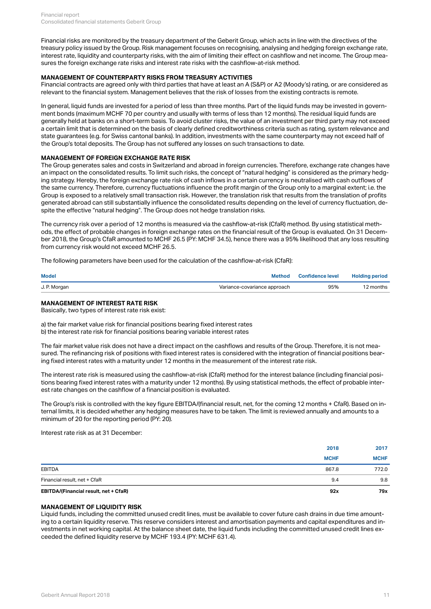Financial risks are monitored by the treasury department of the Geberit Group, which acts in line with the directives of the treasury policy issued by the Group. Risk management focuses on recognising, analysing and hedging foreign exchange rate, interest rate, liquidity and counterparty risks, with the aim of limiting their effect on cashflow and net income. The Group measures the foreign exchange rate risks and interest rate risks with the cashflow-at-risk method.

## **MANAGEMENT OF COUNTERPARTY RISKS FROM TREASURY ACTIVITIES**

Financial contracts are agreed only with third parties that have at least an A (S&P) or A2 (Moody's) rating, or are considered as relevant to the financial system. Management believes that the risk of losses from the existing contracts is remote.

In general, liquid funds are invested for a period of less than three months. Part of the liquid funds may be invested in government bonds (maximum MCHF 70 per country and usually with terms of less than 12 months). The residual liquid funds are generally held at banks on a short-term basis. To avoid cluster risks, the value of an investment per third party may not exceed a certain limit that is determined on the basis of clearly defined creditworthiness criteria such as rating, system relevance and state guarantees (e.g. for Swiss cantonal banks). In addition, investments with the same counterparty may not exceed half of the Group's total deposits. The Group has not suffered any losses on such transactions to date.

#### **MANAGEMENT OF FOREIGN EXCHANGE RATE RISK**

The Group generates sales and costs in Switzerland and abroad in foreign currencies. Therefore, exchange rate changes have an impact on the consolidated results. To limit such risks, the concept of "natural hedging" is considered as the primary hedging strategy. Hereby, the foreign exchange rate risk of cash inflows in a certain currency is neutralised with cash outflows of the same currency. Therefore, currency fluctuations influence the profit margin of the Group only to a marginal extent; i.e. the Group is exposed to a relatively small transaction risk. However, the translation risk that results from the translation of profits generated abroad can still substantially influence the consolidated results depending on the level of currency fluctuation, despite the effective "natural hedging". The Group does not hedge translation risks.

The currency risk over a period of 12 months is measured via the cashflow-at-risk (CfaR) method. By using statistical methods, the effect of probable changes in foreign exchange rates on the financial result of the Group is evaluated. On 31 December 2018, the Group's CfaR amounted to MCHF 26.5 (PY: MCHF 34.5), hence there was a 95% likelihood that any loss resulting from currency risk would not exceed MCHF 26.5.

The following parameters have been used for the calculation of the cashflow-at-risk (CfaR):

| <b>Model</b> | . <sub>v</sub> iethod        | <b>Confidence level</b> | <b>Holding period</b> |
|--------------|------------------------------|-------------------------|-----------------------|
| J. P. Morgan | Variance-covariance approach | 95%                     | ? months              |

#### **MANAGEMENT OF INTEREST RATE RISK**

Basically, two types of interest rate risk exist:

a) the fair market value risk for financial positions bearing fixed interest rates b) the interest rate risk for financial positions bearing variable interest rates

The fair market value risk does not have a direct impact on the cashflows and results of the Group. Therefore, it is not measured. The refinancing risk of positions with fixed interest rates is considered with the integration of financial positions bearing fixed interest rates with a maturity under 12 months in the measurement of the interest rate risk.

The interest rate risk is measured using the cashflow-at-risk (CfaR) method for the interest balance (including financial positions bearing fixed interest rates with a maturity under 12 months). By using statistical methods, the effect of probable interest rate changes on the cashflow of a financial position is evaluated.

The Group's risk is controlled with the key figure EBITDA/(financial result, net, for the coming 12 months + CfaR). Based on internal limits, it is decided whether any hedging measures have to be taken. The limit is reviewed annually and amounts to a minimum of 20 for the reporting period (PY: 20).

Interest rate risk as at 31 December:

| EBITDA/(Financial result, net + CfaR) | 92x         | 79x         |
|---------------------------------------|-------------|-------------|
| Financial result, net + CfaR          | 9.4         | 9.8         |
| EBITDA                                | 867.8       | 772.0       |
|                                       | <b>MCHF</b> | <b>MCHF</b> |
|                                       | 2018        | 2017        |

#### **MANAGEMENT OF LIQUIDITY RISK**

Liquid funds, including the committed unused credit lines, must be available to cover future cash drains in due time amounting to a certain liquidity reserve. This reserve considers interest and amortisation payments and capital expenditures and investments in net working capital. At the balance sheet date, the liquid funds including the committed unused credit lines exceeded the defined liquidity reserve by MCHF 193.4 (PY: MCHF 631.4).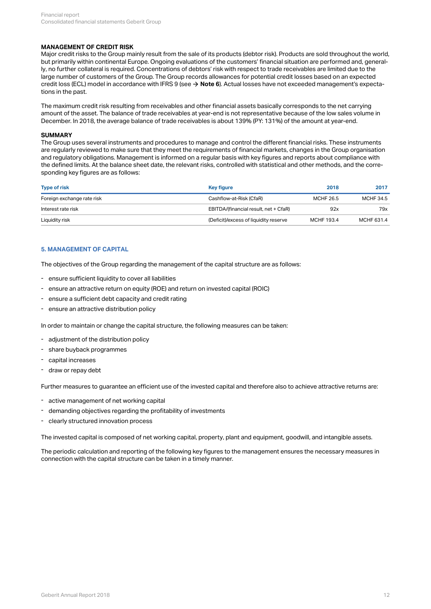#### **MANAGEMENT OF CREDIT RISK**

Major credit risks to the Group mainly result from the sale of its products (debtor risk). Products are sold throughout the world, but primarily within continental Europe. Ongoing evaluations of the customers' financial situation are performed and, generally, no further collateral is required. Concentrations of debtors' risk with respect to trade receivables are limited due to the large number of customers of the Group. The Group records allowances for potential credit losses based on an expected credit loss (ECL) model in accordance with IFRS 9 (see **→ [Note 6](#page-12-0)**). Actual losses have not exceeded management's expectations in the past.

The maximum credit risk resulting from receivables and other financial assets basically corresponds to the net carrying amount of the asset. The balance of trade receivables at year-end is not representative because of the low sales volume in December. In 2018, the average balance of trade receivables is about 139% (PY: 131%) of the amount at year-end.

#### **SUMMARY**

The Group uses several instruments and procedures to manage and control the different financial risks. These instruments are regularly reviewed to make sure that they meet the requirements of financial markets, changes in the Group organisation and regulatory obligations. Management is informed on a regular basis with key figures and reports about compliance with the defined limits. At the balance sheet date, the relevant risks, controlled with statistical and other methods, and the corresponding key figures are as follows:

| <b>Type of risk</b>        | <b>Key figure</b>                     | 2018       | 2017             |
|----------------------------|---------------------------------------|------------|------------------|
| Foreign exchange rate risk | Cashflow-at-Risk (CfaR)               | MCHF 26.5  | <b>MCHF 34.5</b> |
| Interest rate risk         | EBITDA/(financial result, net + CfaR) | 92x        | 79x              |
| Liquidity risk             | (Deficit)/excess of liquidity reserve | MCHF 193.4 | MCHF 631.4       |

#### **5. MANAGEMENT OF CAPITAL**

The objectives of the Group regarding the management of the capital structure are as follows:

- ensure sufficient liquidity to cover all liabilities
- ensure an attractive return on equity (ROE) and return on invested capital (ROIC)
- ensure a sufficient debt capacity and credit rating
- ensure an attractive distribution policy

In order to maintain or change the capital structure, the following measures can be taken:

- adjustment of the distribution policy
- share buyback programmes
- capital increases
- draw or repay debt

Further measures to guarantee an efficient use of the invested capital and therefore also to achieve attractive returns are:

- active management of net working capital
- demanding objectives regarding the profitability of investments
- clearly structured innovation process

The invested capital is composed of net working capital, property, plant and equipment, goodwill, and intangible assets.

The periodic calculation and reporting of the following key figures to the management ensures the necessary measures in connection with the capital structure can be taken in a timely manner.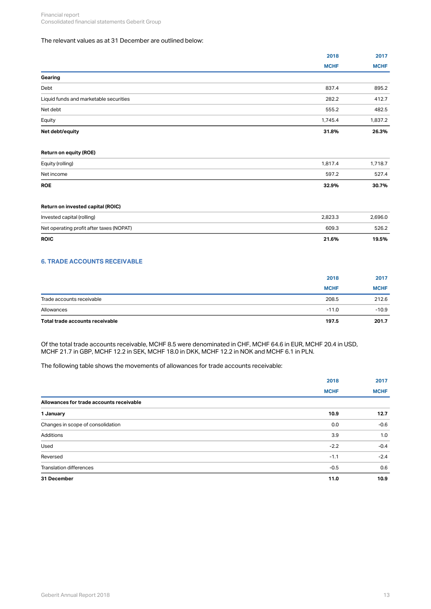## The relevant values as at 31 December are outlined below:

|                                        | 2018        | 2017        |
|----------------------------------------|-------------|-------------|
|                                        | <b>MCHF</b> | <b>MCHF</b> |
| Gearing                                |             |             |
| Debt                                   | 837.4       | 895.2       |
| Liquid funds and marketable securities | 282.2       | 412.7       |
| Net debt                               | 555.2       | 482.5       |
| Equity                                 | 1,745.4     | 1,837.2     |
| Net debt/equity                        | 31.8%       | 26.3%       |

### **Return on equity (ROE)**

#### **Return on invested capital (ROIC)**

| Invested capital (rolling)               | 2,823.3 | 2,696.0 |
|------------------------------------------|---------|---------|
| Net operating profit after taxes (NOPAT) | 609.3   | 526.2   |
| <b>ROIC</b>                              | 21.6%   | 19.5%   |

## <span id="page-12-0"></span>**6. TRADE ACCOUNTS RECEIVABLE**

| Total trade accounts receivable | 197.5       | 201.7       |
|---------------------------------|-------------|-------------|
| Allowances                      | $-11.0$     | $-10.9$     |
| Trade accounts receivable       | 208.5       | 212.6       |
|                                 | <b>MCHF</b> | <b>MCHF</b> |
|                                 | 2018        | 2017        |
|                                 |             |             |

Of the total trade accounts receivable, MCHF 8.5 were denominated in CHF, MCHF 64.6 in EUR, MCHF 20.4 in USD, MCHF 21.7 in GBP, MCHF 12.2 in SEK, MCHF 18.0 in DKK, MCHF 12.2 in NOK and MCHF 6.1 in PLN.

The following table shows the movements of allowances for trade accounts receivable:

|                                          | 2018        | 2017        |
|------------------------------------------|-------------|-------------|
|                                          | <b>MCHF</b> | <b>MCHF</b> |
| Allowances for trade accounts receivable |             |             |
| 1 January                                | 10.9        | 12.7        |
| Changes in scope of consolidation        | 0.0         | $-0.6$      |
| Additions                                | 3.9         | 1.0         |
| Used                                     | $-2.2$      | $-0.4$      |
| Reversed                                 | $-1.1$      | $-2.4$      |
| <b>Translation differences</b>           | $-0.5$      | 0.6         |
| 31 December                              | 11.0        | 10.9        |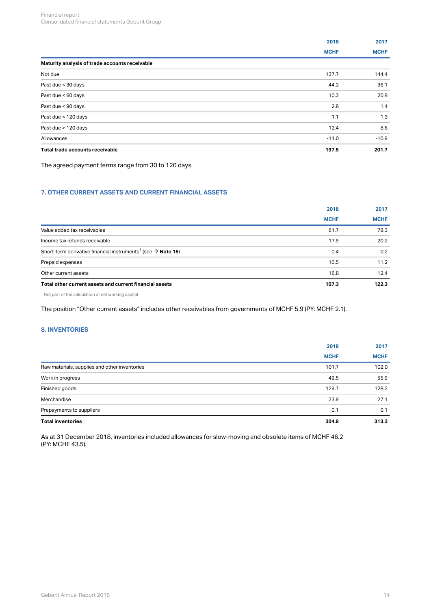|                                                | 2018        | 2017        |
|------------------------------------------------|-------------|-------------|
|                                                | <b>MCHF</b> | <b>MCHF</b> |
| Maturity analysis of trade accounts receivable |             |             |
| Not due                                        | 137.7       | 144.4       |
| Past due < 30 days                             | 44.2        | 36.1        |
| Past due < 60 days                             | 10.3        | 20.8        |
| Past due < 90 days                             | 2.8         | 1.4         |
| Past due < 120 days                            | 1.1         | 1.3         |
| Past due > 120 days                            | 12.4        | 8.6         |
| Allowances                                     | $-11.0$     | $-10.9$     |
| Total trade accounts receivable                | 197.5       | 201.7       |
|                                                |             |             |

The agreed payment terms range from 30 to 120 days.

## <span id="page-13-0"></span>**7. OTHER CURRENT ASSETS AND CURRENT FINANCIAL ASSETS**

|                                                                                      | 2018        | 2017        |
|--------------------------------------------------------------------------------------|-------------|-------------|
|                                                                                      | <b>MCHF</b> | <b>MCHF</b> |
| Value added tax receivables                                                          | 61.7        | 78.3        |
| Income tax refunds receivable                                                        | 17.9        | 20.2        |
| Short-term derivative financial instruments <sup>1</sup> (see $\rightarrow$ Note 15) | 0.4         | 0.2         |
| Prepaid expenses                                                                     | 10.5        | 11.2        |
| Other current assets                                                                 | 16.8        | 12.4        |
| Total other current assets and current financial assets                              | 107.3       | 122.3       |
|                                                                                      |             |             |

 $^1$  Not part of the calculation of net working capital

The position "Other current assets" includes other receivables from governments of MCHF 5.9 (PY: MCHF 2.1).

## <span id="page-13-1"></span>**8. INVENTORIES**

| <b>Total inventories</b>                      | 304.9       | 313.3       |
|-----------------------------------------------|-------------|-------------|
| Prepayments to suppliers                      | 0.1         | 0.1         |
| Merchandise                                   | 23.9        | 27.1        |
| Finished goods                                | 129.7       | 128.2       |
| Work in progress                              | 49.5        | 55.9        |
| Raw materials, supplies and other inventories | 101.7       | 102.0       |
|                                               | <b>MCHF</b> | <b>MCHF</b> |
|                                               | 2018        | 2017        |
|                                               |             |             |

As at 31 December 2018, inventories included allowances for slow-moving and obsolete items of MCHF 46.2 (PY: MCHF 43.5).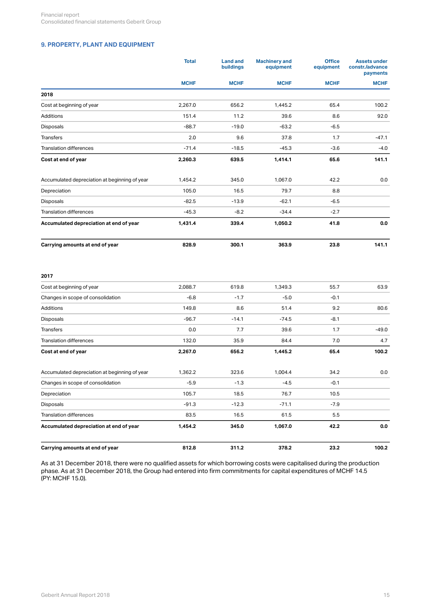## <span id="page-14-0"></span>**9. PROPERTY, PLANT AND EQUIPMENT**

|                                               | <b>Total</b> | <b>Land and</b><br><b>buildings</b> | <b>Machinery and</b><br>equipment | <b>Office</b><br>equipment | <b>Assets under</b><br>constr./advance<br>payments |
|-----------------------------------------------|--------------|-------------------------------------|-----------------------------------|----------------------------|----------------------------------------------------|
|                                               | <b>MCHF</b>  | <b>MCHF</b>                         | <b>MCHF</b>                       | <b>MCHF</b>                | <b>MCHF</b>                                        |
| 2018                                          |              |                                     |                                   |                            |                                                    |
| Cost at beginning of year                     | 2,267.0      | 656.2                               | 1,445.2                           | 65.4                       | 100.2                                              |
| <b>Additions</b>                              | 151.4        | 11.2                                | 39.6                              | 8.6                        | 92.0                                               |
| <b>Disposals</b>                              | $-88.7$      | $-19.0$                             | $-63.2$                           | $-6.5$                     |                                                    |
| <b>Transfers</b>                              | 2.0          | 9.6                                 | 37.8                              | 1.7                        | $-47.1$                                            |
| <b>Translation differences</b>                | $-71.4$      | $-18.5$                             | $-45.3$                           | $-3.6$                     | $-4.0$                                             |
| Cost at end of year                           | 2,260.3      | 639.5                               | 1,414.1                           | 65.6                       | 141.1                                              |
| Accumulated depreciation at beginning of year | 1,454.2      | 345.0                               | 1,067.0                           | 42.2                       | 0.0                                                |
| Depreciation                                  | 105.0        | 16.5                                | 79.7                              | 8.8                        |                                                    |
| Disposals                                     | $-82.5$      | $-13.9$                             | $-62.1$                           | $-6.5$                     |                                                    |
| <b>Translation differences</b>                | $-45.3$      | $-8.2$                              | $-34.4$                           | $-2.7$                     |                                                    |
| Accumulated depreciation at end of year       | 1,431.4      | 339.4                               | 1,050.2                           | 41.8                       | 0.0                                                |
| Carrying amounts at end of year               | 828.9        | 300.1                               | 363.9                             | 23.8                       | 141.1                                              |
| 2017                                          |              |                                     |                                   |                            |                                                    |
| Cost at beginning of year                     | 2,088.7      | 619.8                               | 1,349.3                           | 55.7                       | 63.9                                               |
| Changes in scope of consolidation             | $-6.8$       | $-1.7$                              | $-5.0$                            | $-0.1$                     |                                                    |
| Additions                                     | 149.8        | 8.6                                 | 51.4                              | 9.2                        | 80.6                                               |
| Disposals                                     | $-96.7$      | $-14.1$                             | $-74.5$                           | $-8.1$                     |                                                    |
| <b>Transfers</b>                              | 0.0          | 7.7                                 | 39.6                              | 1.7                        | $-49.0$                                            |
| <b>Translation differences</b>                | 132.0        | 35.9                                | 84.4                              | 7.0                        | 4.7                                                |
| Cost at end of year                           | 2,267.0      | 656.2                               | 1,445.2                           | 65.4                       | 100.2                                              |
| Accumulated depreciation at beginning of year | 1,362.2      | 323.6                               | 1,004.4                           | 34.2                       | 0.0                                                |
| Changes in scope of consolidation             | $-5.9$       | $-1.3$                              | $-4.5$                            | $-0.1$                     |                                                    |
| Depreciation                                  | 105.7        | 18.5                                | 76.7                              | 10.5                       |                                                    |

| Carrying amounts at end of year         | 812.8   | 311.2   | 378.2   | 23.2   | 100.2 |
|-----------------------------------------|---------|---------|---------|--------|-------|
| Accumulated depreciation at end of year | 1.454.2 | 345.0   | 1.067.0 | 42.2   | 0.0   |
| <b>Translation differences</b>          | 83.5    | 16.5    | 61.5    | 5.5    |       |
| Disposals                               | $-91.3$ | $-12.3$ | $-71.1$ | $-7.9$ |       |
|                                         |         |         |         |        |       |

As at 31 December 2018, there were no qualified assets for which borrowing costs were capitalised during the production phase. As at 31 December 2018, the Group had entered into firm commitments for capital expenditures of MCHF 14.5 (PY: MCHF 15.0).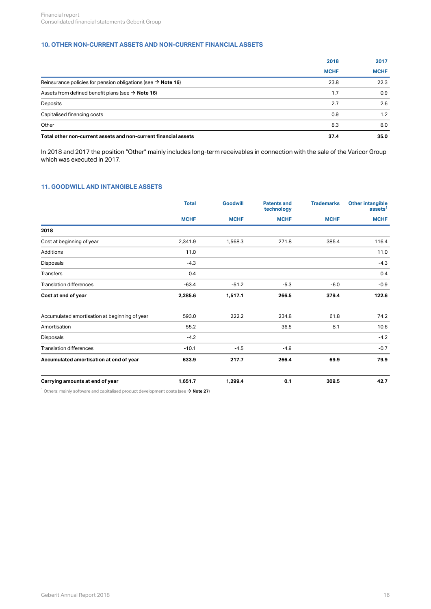## <span id="page-15-0"></span>**10. OTHER NON-CURRENT ASSETS AND NON-CURRENT FINANCIAL ASSETS**

|                                                                          | 2018        | 2017        |
|--------------------------------------------------------------------------|-------------|-------------|
|                                                                          | <b>MCHF</b> | <b>MCHF</b> |
| Reinsurance policies for pension obligations (see $\rightarrow$ Note 16) | 23.8        | 22.3        |
| Assets from defined benefit plans (see $\rightarrow$ Note 16)            | 1.7         | 0.9         |
| Deposits                                                                 | 2.7         | 2.6         |
| Capitalised financing costs                                              | 0.9         | 1.2         |
| Other                                                                    | 8.3         | 8.0         |
| Total other non-current assets and non-current financial assets          | 37.4        | 35.0        |

In 2018 and 2017 the position "Other" mainly includes long-term receivables in connection with the sale of the Varicor Group which was executed in 2017.

## <span id="page-15-1"></span>**11. GOODWILL AND INTANGIBLE ASSETS**

| <b>Total</b> | <b>Goodwill</b> | <b>Patents and</b><br>technology | <b>Trademarks</b> | Other intangible<br>assets <sup>1</sup> |
|--------------|-----------------|----------------------------------|-------------------|-----------------------------------------|
| <b>MCHF</b>  | <b>MCHF</b>     | <b>MCHF</b>                      | <b>MCHF</b>       | <b>MCHF</b>                             |
|              |                 |                                  |                   |                                         |
| 2,341.9      | 1,568.3         | 271.8                            | 385.4             | 116.4                                   |
| 11.0         |                 |                                  |                   | 11.0                                    |
| $-4.3$       |                 |                                  |                   | $-4.3$                                  |
| 0.4          |                 |                                  |                   | 0.4                                     |
| $-63.4$      | $-51.2$         | $-5.3$                           | $-6.0$            | $-0.9$                                  |
| 2,285.6      | 1,517.1         | 266.5                            | 379.4             | 122.6                                   |
| 593.0        | 222.2           | 234.8                            | 61.8              | 74.2                                    |
| 55.2         |                 | 36.5                             | 8.1               | 10.6                                    |
| $-4.2$       |                 |                                  |                   | $-4.2$                                  |
| $-10.1$      | $-4.5$          | $-4.9$                           |                   | $-0.7$                                  |
| 633.9        | 217.7           | 266.4                            | 69.9              | 79.9                                    |
| 1,651.7      | 1,299.4         | 0.1                              | 309.5             | 42.7                                    |
|              |                 |                                  |                   |                                         |

 $^1$  Others: mainly software and capitalised product development costs (see  $\rightarrow$  **[Note 27](#page-35-1)**)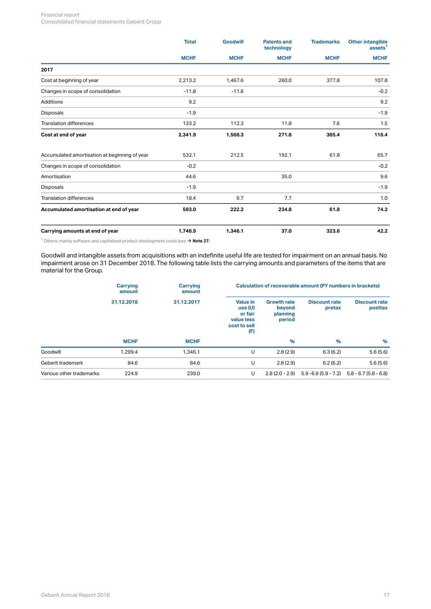#### Financial report Consolidated financial statements Geberit Group

|                                               | <b>Total</b> | <b>Goodwill</b> | <b>Patents and</b><br>technology | <b>Trademarks</b> | <b>Other intangible</b><br>assets <sup>1</sup> |
|-----------------------------------------------|--------------|-----------------|----------------------------------|-------------------|------------------------------------------------|
|                                               | <b>MCHF</b>  | <b>MCHF</b>     | <b>MCHF</b>                      | <b>MCHF</b>       | <b>MCHF</b>                                    |
| 2017                                          |              |                 |                                  |                   |                                                |
| Cost at beginning of year                     | 2,213.2      | 1,467.6         | 260.0                            | 377.8             | 107.8                                          |
| Changes in scope of consolidation             | $-11.8$      | $-11.6$         |                                  |                   | $-0.2$                                         |
| Additions                                     | 9.2          |                 |                                  |                   | 9.2                                            |
| Disposals                                     | $-1.9$       |                 |                                  |                   | $-1.9$                                         |
| <b>Translation differences</b>                | 133.2        | 112.3           | 11.8                             | 7.6               | 1.5                                            |
| Cost at end of year                           | 2,341.9      | 1,568.3         | 271.8                            | 385.4             | 116.4                                          |
| Accumulated amortisation at beginning of year | 532.1        | 212.5           | 192.1                            | 61.8              | 65.7                                           |
| Changes in scope of consolidation             | $-0.2$       |                 |                                  |                   | $-0.2$                                         |
| Amortisation                                  | 44.6         |                 | 35.0                             |                   | 9.6                                            |
| Disposals                                     | $-1.9$       |                 |                                  |                   | $-1.9$                                         |
| <b>Translation differences</b>                | 18.4         | 9.7             | 7.7                              |                   | 1.0                                            |
| Accumulated amortisation at end of year       | 593.0        | 222.2           | 234.8                            | 61.8              | 74.2                                           |
| Carrying amounts at end of year               | 1,748.9      | 1,346.1         | 37.0                             | 323.6             | 42.2                                           |

 $^1$  Others: mainly software and capitalised product development costs (see  $\rightarrow$  **[Note 27](#page-35-1)**)

Goodwill and intangible assets from acquisitions with an indefinite useful life are tested for impairment on an annual basis. No impairment arose on 31 December 2018. The following table lists the carrying amounts and parameters of the items that are material for the Group.

|                          | <b>Carrying</b><br>amount | Carrying<br>amount |                                                                           | Calculation of recoverable amount (PY numbers in brackets) |                                |                                               |  |
|--------------------------|---------------------------|--------------------|---------------------------------------------------------------------------|------------------------------------------------------------|--------------------------------|-----------------------------------------------|--|
|                          | 31.12.2018                | 31.12.2017         | <b>Value in</b><br>use(U)<br>or fair<br>value less<br>cost to sell<br>(F) | <b>Growth rate</b><br>beyond<br>planning<br>period         | <b>Discount rate</b><br>pretax | <b>Discount rate</b><br>posttax               |  |
|                          | <b>MCHF</b>               | <b>MCHF</b>        |                                                                           | $\%$                                                       | %                              | $\%$                                          |  |
| Goodwill                 | 1,299.4                   | 1,346.1            | U                                                                         | 2.8(2.9)                                                   | 6.3(6.2)                       | 5.6(5.6)                                      |  |
| Geberit trademark        | 84.6                      | 84.6               | U                                                                         | 2.8(2.9)                                                   | 6.2(6.2)                       | 5.6(5.6)                                      |  |
| Various other trademarks | 224.9                     | 239.0              | U                                                                         | $2.8(2.0 - 2.9)$                                           |                                | $5.9 - 6.9(5.9 - 7.2)$ $5.8 - 6.7(5.8 - 6.8)$ |  |
|                          |                           |                    |                                                                           |                                                            |                                |                                               |  |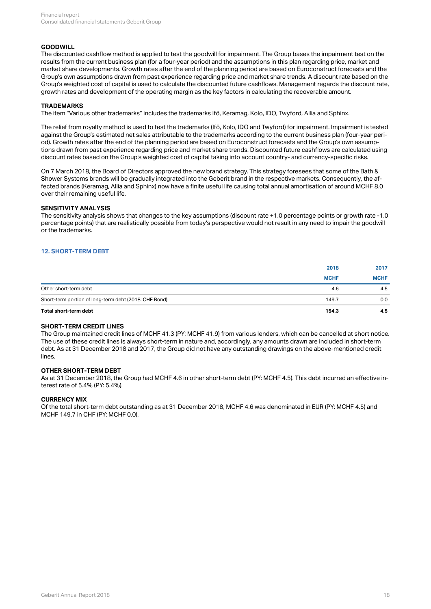#### **GOODWILL**

The discounted cashflow method is applied to test the goodwill for impairment. The Group bases the impairment test on the results from the current business plan (for a four-year period) and the assumptions in this plan regarding price, market and market share developments. Growth rates after the end of the planning period are based on Euroconstruct forecasts and the Group's own assumptions drawn from past experience regarding price and market share trends. A discount rate based on the Group's weighted cost of capital is used to calculate the discounted future cashflows. Management regards the discount rate, growth rates and development of the operating margin as the key factors in calculating the recoverable amount.

#### **TRADEMARKS**

The item "Various other trademarks" includes the trademarks Ifö, Keramag, Kolo, IDO, Twyford, Allia and Sphinx.

The relief from royalty method is used to test the trademarks (Ifö, Kolo, IDO and Twyford) for impairment. Impairment is tested against the Group's estimated net sales attributable to the trademarks according to the current business plan (four-year period). Growth rates after the end of the planning period are based on Euroconstruct forecasts and the Group's own assumptions drawn from past experience regarding price and market share trends. Discounted future cashflows are calculated using discount rates based on the Group's weighted cost of capital taking into account country- and currency-specific risks.

On 7 March 2018, the Board of Directors approved the new brand strategy. This strategy foresees that some of the Bath & Shower Systems brands will be gradually integrated into the Geberit brand in the respective markets. Consequently, the affected brands (Keramag, Allia and Sphinx) now have a finite useful life causing total annual amortisation of around MCHF 8.0 over their remaining useful life.

#### **SENSITIVITY ANALYSIS**

The sensitivity analysis shows that changes to the key assumptions (discount rate +1.0 percentage points or growth rate -1.0 percentage points) that are realistically possible from today's perspective would not result in any need to impair the goodwill or the trademarks.

#### <span id="page-17-0"></span>**12. SHORT-TERM DEBT**

|                                                       | 2018        | 2017        |
|-------------------------------------------------------|-------------|-------------|
|                                                       | <b>MCHF</b> | <b>MCHF</b> |
| Other short-term debt                                 | 4.6         | 4.5         |
| Short-term portion of long-term debt (2018: CHF Bond) | 149.7       | 0.0         |
| Total short-term debt                                 | 154.3       | 4.5         |

#### **SHORT-TERM CREDIT LINES**

The Group maintained credit lines of MCHF 41.3 (PY: MCHF 41.9) from various lenders, which can be cancelled at short notice. The use of these credit lines is always short-term in nature and, accordingly, any amounts drawn are included in short-term debt. As at 31 December 2018 and 2017, the Group did not have any outstanding drawings on the above-mentioned credit lines.

#### **OTHER SHORT-TERM DEBT**

As at 31 December 2018, the Group had MCHF 4.6 in other short-term debt (PY: MCHF 4.5). This debt incurred an effective interest rate of 5.4% (PY: 5.4%).

#### **CURRENCY MIX**

Of the total short-term debt outstanding as at 31 December 2018, MCHF 4.6 was denominated in EUR (PY: MCHF 4.5) and MCHF 149.7 in CHF (PY: MCHF 0.0).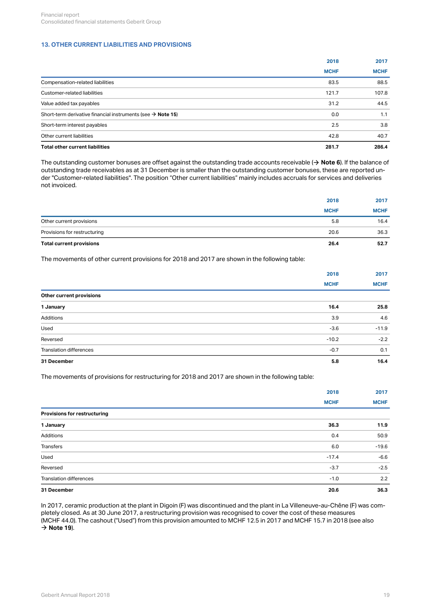## <span id="page-18-0"></span>**13. OTHER CURRENT LIABILITIES AND PROVISIONS**

|                                                                         | 2018        | 2017        |
|-------------------------------------------------------------------------|-------------|-------------|
|                                                                         | <b>MCHF</b> | <b>MCHF</b> |
| Compensation-related liabilities                                        | 83.5        | 88.5        |
| Customer-related liabilities                                            | 121.7       | 107.8       |
| Value added tax payables                                                | 31.2        | 44.5        |
| Short-term derivative financial instruments (see $\rightarrow$ Note 15) | 0.0         | 1.1         |
| Short-term interest payables                                            | 2.5         | 3.8         |
| Other current liabilities                                               | 42.8        | 40.7        |
| Total other current liabilities                                         | 281.7       | 286.4       |

The outstanding customer bonuses are offset against the outstanding trade accounts receivable ( $\to$  **[Note 6](#page-12-0)**). If the balance of outstanding trade receivables as at 31 December is smaller than the outstanding customer bonuses, these are reported under "Customer-related liabilities". The position "Other current liabilities" mainly includes accruals for services and deliveries not invoiced.

| Total current provisions     | 26.4        | 52.7        |
|------------------------------|-------------|-------------|
| Provisions for restructuring | 20.6        | 36.3        |
| Other current provisions     | 5.8         | 16.4        |
|                              | <b>MCHF</b> | <b>MCHF</b> |
|                              | 2018        | 2017        |

The movements of other current provisions for 2018 and 2017 are shown in the following table:

|                                | 2018        | 2017        |
|--------------------------------|-------------|-------------|
|                                | <b>MCHF</b> | <b>MCHF</b> |
| Other current provisions       |             |             |
| 1 January                      | 16.4        | 25.8        |
| Additions                      | 3.9         | 4.6         |
| Used                           | $-3.6$      | $-11.9$     |
| Reversed                       | $-10.2$     | $-2.2$      |
| <b>Translation differences</b> | $-0.7$      | 0.1         |
| 31 December                    | 5.8         | 16.4        |
|                                |             |             |

The movements of provisions for restructuring for 2018 and 2017 are shown in the following table:

|                                | 2018        | 2017        |
|--------------------------------|-------------|-------------|
|                                | <b>MCHF</b> | <b>MCHF</b> |
| Provisions for restructuring   |             |             |
| 1 January                      | 36.3        | 11.9        |
| Additions                      | 0.4         | 50.9        |
| Transfers                      | 6.0         | $-19.6$     |
| Used                           | $-17.4$     | $-6.6$      |
| Reversed                       | $-3.7$      | $-2.5$      |
| <b>Translation differences</b> | $-1.0$      | 2.2         |
| 31 December                    | 20.6        | 36.3        |

In 2017, ceramic production at the plant in Digoin (F) was discontinued and the plant in La Villeneuve-au-Chêne (F) was completely closed. As at 30 June 2017, a restructuring provision was recognised to cover the cost of these measures (MCHF 44.0). The cashout ("Used") from this provision amounted to MCHF 12.5 in 2017 and MCHF 15.7 in 2018 (see also  $\rightarrow$  [Note 19](#page-31-0)).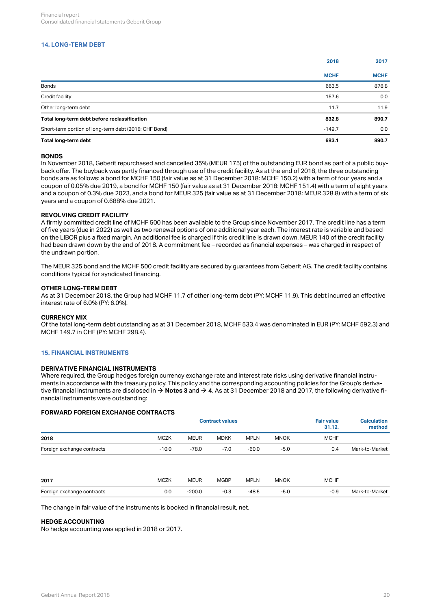## <span id="page-19-0"></span>**14. LONG-TERM DEBT**

|                                                       | 2018        | 2017        |
|-------------------------------------------------------|-------------|-------------|
|                                                       | <b>MCHF</b> | <b>MCHF</b> |
| Bonds                                                 | 663.5       | 878.8       |
| Credit facility                                       | 157.6       | 0.0         |
| Other long-term debt                                  | 11.7        | 11.9        |
| Total long-term debt before reclassification          | 832.8       | 890.7       |
| Short-term portion of long-term debt (2018: CHF Bond) | $-149.7$    | 0.0         |
| Total long-term debt                                  | 683.1       | 890.7       |

#### **BONDS**

In November 2018, Geberit repurchased and cancelled 35% (MEUR 175) of the outstanding EUR bond as part of a public buyback offer. The buyback was partly financed through use of the credit facility. As at the end of 2018, the three outstanding bonds are as follows: a bond for MCHF 150 (fair value as at 31 December 2018: MCHF 150.2) with a term of four years and a coupon of 0.05% due 2019, a bond for MCHF 150 (fair value as at 31 December 2018: MCHF 151.4) with a term of eight years and a coupon of 0.3% due 2023, and a bond for MEUR 325 (fair value as at 31 December 2018: MEUR 328.8) with a term of six years and a coupon of 0.688% due 2021.

#### **REVOLVING CREDIT FACILITY**

A firmly committed credit line of MCHF 500 has been available to the Group since November 2017. The credit line has a term of five years (due in 2022) as well as two renewal options of one additional year each. The interest rate is variable and based on the LIBOR plus a fixed margin. An additional fee is charged if this credit line is drawn down. MEUR 140 of the credit facility had been drawn down by the end of 2018. A commitment fee – recorded as financial expenses – was charged in respect of the undrawn portion.

The MEUR 325 bond and the MCHF 500 credit facility are secured by guarantees from Geberit AG. The credit facility contains conditions typical for syndicated financing.

#### **OTHER LONG-TERM DEBT**

As at 31 December 2018, the Group had MCHF 11.7 of other long-term debt (PY: MCHF 11.9). This debt incurred an effective interest rate of 6.0% (PY: 6.0%).

#### **CURRENCY MIX**

Of the total long-term debt outstanding as at 31 December 2018, MCHF 533.4 was denominated in EUR (PY: MCHF 592.3) and MCHF 149.7 in CHF (PY: MCHF 298.4).

## <span id="page-19-1"></span>**15. FINANCIAL INSTRUMENTS**

#### **DERIVATIVE FINANCIAL INSTRUMENTS**

Where required, the Group hedges foreign currency exchange rate and interest rate risks using derivative financial instruments in accordance with the treasury policy. This policy and the corresponding accounting policies for the Group's derivative financial instruments are disclosed in  $\to$  **[Notes 3](#page-6-0)** and  $\to$  **[4](#page-9-0)**. As at 31 December 2018 and 2017, the following derivative financial instruments were outstanding:

#### **FORWARD FOREIGN EXCHANGE CONTRACTS**

|                            |             | <b>Contract values</b> |             |             |             |             | <b>Calculation</b><br>method |
|----------------------------|-------------|------------------------|-------------|-------------|-------------|-------------|------------------------------|
| 2018                       | <b>MCZK</b> | <b>MEUR</b>            | <b>MDKK</b> | <b>MPLN</b> | <b>MNOK</b> | <b>MCHF</b> |                              |
| Foreign exchange contracts | $-10.0$     | $-78.0$                | $-7.0$      | $-60.0$     | $-5.0$      | 0.4         | Mark-to-Market               |
| 2017                       | <b>MCZK</b> | <b>MEUR</b>            | <b>MGBP</b> | <b>MPLN</b> | <b>MNOK</b> | <b>MCHF</b> |                              |
| Foreign exchange contracts | 0.0         | $-200.0$               | $-0.3$      | $-48.5$     | $-5.0$      | $-0.9$      | Mark-to-Market               |
|                            |             |                        |             |             |             |             |                              |

The change in fair value of the instruments is booked in financial result, net.

#### **HEDGE ACCOUNTING**

No hedge accounting was applied in 2018 or 2017.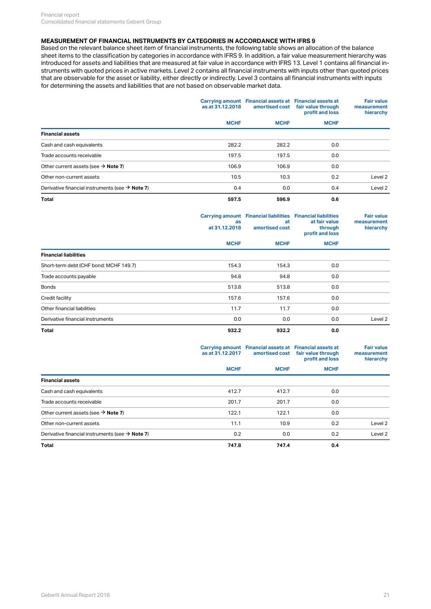## **MEASUREMENT OF FINANCIAL INSTRUMENTS BY CATEGORIES IN ACCORDANCE WITH IFRS 9**

Based on the relevant balance sheet item of financial instruments, the following table shows an allocation of the balance sheet items to the classification by categories in accordance with IFRS 9. In addition, a fair value measurement hierarchy was introduced for assets and liabilities that are measured at fair value in accordance with IFRS 13. Level 1 contains all financial instruments with quoted prices in active markets. Level 2 contains all financial instruments with inputs other than quoted prices that are observable for the asset or liability, either directly or indirectly. Level 3 contains all financial instruments with inputs for determining the assets and liabilities that are not based on observable market data.

|                                                             | as at 31.12.2018 | Carrying amount Financial assets at Financial assets at<br>amortised cost | fair value through<br>profit and loss<br><b>MCHF</b> | <b>Fair value</b><br>measurement<br>hierarchy |
|-------------------------------------------------------------|------------------|---------------------------------------------------------------------------|------------------------------------------------------|-----------------------------------------------|
|                                                             | <b>MCHF</b>      | <b>MCHF</b>                                                               |                                                      |                                               |
| <b>Financial assets</b>                                     |                  |                                                                           |                                                      |                                               |
| Cash and cash equivalents                                   | 282.2            | 282.2                                                                     | 0.0                                                  |                                               |
| Trade accounts receivable                                   | 197.5            | 197.5                                                                     | 0.0                                                  |                                               |
| Other current assets (see $\rightarrow$ Note 7)             | 106.9            | 106.9                                                                     | 0.0                                                  |                                               |
| Other non-current assets                                    | 10.5             | 10.3                                                                      | 0.2                                                  | Level 2                                       |
| Derivative financial instruments (see $\rightarrow$ Note 7) | 0.4              | 0.0                                                                       | 0.4                                                  | Level 2                                       |
| Total                                                       | 597.5            | 596.9                                                                     | 0.6                                                  |                                               |

|                                        | as<br>at 31.12.2018 | Carrying amount Financial liabilities Financial liabilities<br>at<br>amortised cost | at fair value<br>through<br>profit and loss | <b>Fair value</b><br>measurement<br>hierarchy |
|----------------------------------------|---------------------|-------------------------------------------------------------------------------------|---------------------------------------------|-----------------------------------------------|
|                                        | <b>MCHF</b>         | <b>MCHF</b>                                                                         | <b>MCHF</b>                                 |                                               |
| <b>Financial liabilities</b>           |                     |                                                                                     |                                             |                                               |
| Short-term debt (CHF bond: MCHF 149.7) | 154.3               | 154.3                                                                               | 0.0                                         |                                               |
| Trade accounts payable                 | 94.8                | 94.8                                                                                | 0.0                                         |                                               |
| <b>Bonds</b>                           | 513.8               | 513.8                                                                               | 0.0                                         |                                               |
| Credit facility                        | 157.6               | 157.6                                                                               | 0.0                                         |                                               |
| Other financial liabilities            | 11.7                | 11.7                                                                                | 0.0                                         |                                               |
| Derivative financial instruments       | 0.0                 | 0.0                                                                                 | 0.0                                         | Level 2                                       |
| Total                                  | 932.2               | 932.2                                                                               | 0.0                                         |                                               |

|                                                             | as at 31.12.2017 | Carrying amount Financial assets at Financial assets at<br>amortised cost | fair value through<br>profit and loss<br><b>MCHF</b> | <b>Fair value</b><br>measurement<br>hierarchy |
|-------------------------------------------------------------|------------------|---------------------------------------------------------------------------|------------------------------------------------------|-----------------------------------------------|
|                                                             | <b>MCHF</b>      | <b>MCHF</b>                                                               |                                                      |                                               |
| <b>Financial assets</b>                                     |                  |                                                                           |                                                      |                                               |
| Cash and cash equivalents                                   | 412.7            | 412.7                                                                     | 0.0                                                  |                                               |
| Trade accounts receivable                                   | 201.7            | 201.7                                                                     | 0.0                                                  |                                               |
| Other current assets (see $\rightarrow$ Note 7)             | 122.1            | 122.1                                                                     | 0.0                                                  |                                               |
| Other non-current assets                                    | 11.1             | 10.9                                                                      | 0.2                                                  | Level 2                                       |
| Derivative financial instruments (see $\rightarrow$ Note 7) | 0.2              | 0.0                                                                       | 0.2                                                  | Level 2                                       |
| <b>Total</b>                                                | 747.8            | 747.4                                                                     | 0.4                                                  |                                               |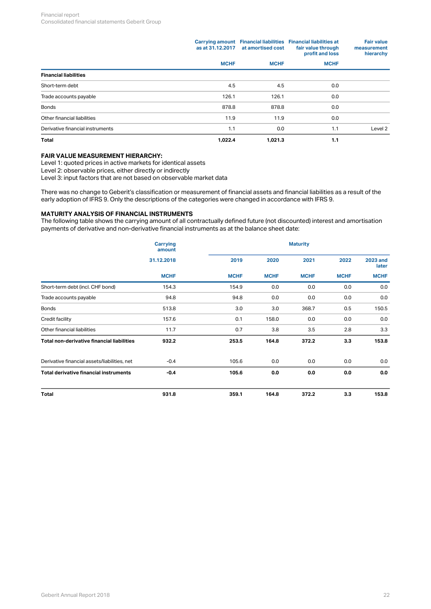|                                  | as at 31.12.2017 | at amortised cost | Carrying amount Financial liabilities Financial liabilities at<br>fair value through<br>profit and loss | <b>Fair value</b><br>measurement<br>hierarchy |  |
|----------------------------------|------------------|-------------------|---------------------------------------------------------------------------------------------------------|-----------------------------------------------|--|
|                                  | <b>MCHF</b>      | <b>MCHF</b>       | <b>MCHF</b>                                                                                             |                                               |  |
| <b>Financial liabilities</b>     |                  |                   |                                                                                                         |                                               |  |
| Short-term debt                  | 4.5              | 4.5               | 0.0                                                                                                     |                                               |  |
| Trade accounts payable           | 126.1            | 126.1             | 0.0                                                                                                     |                                               |  |
| <b>Bonds</b>                     | 878.8            | 878.8             | 0.0                                                                                                     |                                               |  |
| Other financial liabilities      | 11.9             | 11.9              | 0.0                                                                                                     |                                               |  |
| Derivative financial instruments | 1.1              | 0.0               | 1.1                                                                                                     | Level 2                                       |  |
| Total                            | 1,022.4          | 1,021.3           | 1.1                                                                                                     |                                               |  |

## **FAIR VALUE MEASUREMENT HIERARCHY:**

Level 1: quoted prices in active markets for identical assets

Level 2: observable prices, either directly or indirectly

Level 3: input factors that are not based on observable market data

There was no change to Geberit's classification or measurement of financial assets and financial liabilities as a result of the early adoption of IFRS 9. Only the descriptions of the categories were changed in accordance with IFRS 9.

## **MATURITY ANALYSIS OF FINANCIAL INSTRUMENTS**

The following table shows the carrying amount of all contractually defined future (not discounted) interest and amortisation payments of derivative and non-derivative financial instruments as at the balance sheet date:

|                                              | <b>Carrying</b><br>amount |                      | <b>Maturity</b> |                          |             |             |  |
|----------------------------------------------|---------------------------|----------------------|-----------------|--------------------------|-------------|-------------|--|
|                                              | 31.12.2018                | 2019<br>2021<br>2020 | 2022            | <b>2023 and</b><br>later |             |             |  |
|                                              | <b>MCHF</b>               | <b>MCHF</b>          | <b>MCHF</b>     | <b>MCHF</b>              | <b>MCHF</b> | <b>MCHF</b> |  |
| Short-term debt (incl. CHF bond)             | 154.3                     | 154.9                | 0.0             | 0.0                      | 0.0         | 0.0         |  |
| Trade accounts payable                       | 94.8                      | 94.8                 | 0.0             | 0.0                      | 0.0         | 0.0         |  |
| <b>Bonds</b>                                 | 513.8                     | 3.0                  | 3.0             | 368.7                    | 0.5         | 150.5       |  |
| Credit facility                              | 157.6                     | 0.1                  | 158.0           | 0.0                      | 0.0         | 0.0         |  |
| Other financial liabilities                  | 11.7                      | 0.7                  | 3.8             | 3.5                      | 2.8         | 3.3         |  |
| Total non-derivative financial liabilities   | 932.2                     | 253.5                | 164.8           | 372.2                    | 3.3         | 153.8       |  |
| Derivative financial assets/liabilities, net | $-0.4$                    | 105.6                | 0.0             | 0.0                      | 0.0         | 0.0         |  |
| Total derivative financial instruments       | $-0.4$                    | 105.6                | 0.0             | 0.0                      | 0.0         | 0.0         |  |
| Total                                        | 931.8                     | 359.1                | 164.8           | 372.2                    | 3.3         | 153.8       |  |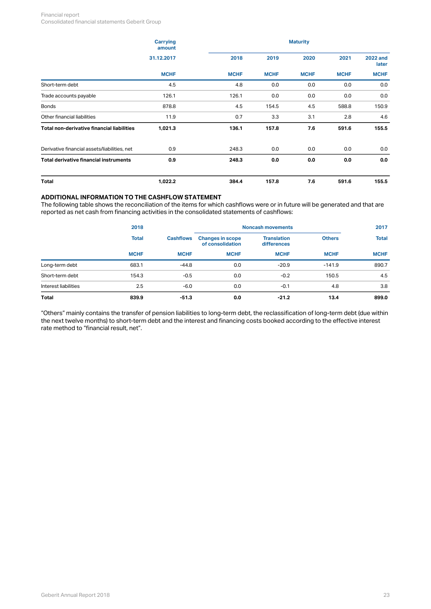#### Financial report Consolidated financial statements Geberit Group

|                                              | <b>Carrying</b><br>amount |             | <b>Maturity</b> |             |             |                          |  |  |
|----------------------------------------------|---------------------------|-------------|-----------------|-------------|-------------|--------------------------|--|--|
|                                              | 31.12.2017                | 2018        | 2019            | 2020        | 2021        | <b>2022 and</b><br>later |  |  |
|                                              | <b>MCHF</b>               | <b>MCHF</b> | <b>MCHF</b>     | <b>MCHF</b> | <b>MCHF</b> | <b>MCHF</b>              |  |  |
| Short-term debt                              | 4.5                       | 4.8         | 0.0             | 0.0         | 0.0         | 0.0                      |  |  |
| Trade accounts payable                       | 126.1                     | 126.1       | 0.0             | 0.0         | 0.0         | 0.0                      |  |  |
| <b>Bonds</b>                                 | 878.8                     | 4.5         | 154.5           | 4.5         | 588.8       | 150.9                    |  |  |
| Other financial liabilities                  | 11.9                      | 0.7         | 3.3             | 3.1         | 2.8         | 4.6                      |  |  |
| Total non-derivative financial liabilities   | 1,021.3                   | 136.1       | 157.8           | 7.6         | 591.6       | 155.5                    |  |  |
| Derivative financial assets/liabilities, net | 0.9                       | 248.3       | 0.0             | 0.0         | 0.0         | 0.0                      |  |  |
| Total derivative financial instruments       | 0.9                       | 248.3       | 0.0             | 0.0         | 0.0         | 0.0                      |  |  |
| Total                                        | 1,022.2                   | 384.4       | 157.8           | 7.6         | 591.6       | 155.5                    |  |  |

## **ADDITIONAL INFORMATION TO THE CASHFLOW STATEMENT**

The following table shows the reconciliation of the items for which cashflows were or in future will be generated and that are reported as net cash from financing activities in the consolidated statements of cashflows:

|                      | 2018         |                  | <b>Noncash movements</b>                    |                                   | 2017          |              |  |
|----------------------|--------------|------------------|---------------------------------------------|-----------------------------------|---------------|--------------|--|
|                      | <b>Total</b> | <b>Cashflows</b> | <b>Changes in scope</b><br>of consolidation | <b>Translation</b><br>differences | <b>Others</b> | <b>Total</b> |  |
|                      | <b>MCHF</b>  | <b>MCHF</b>      | <b>MCHF</b>                                 | <b>MCHF</b>                       | <b>MCHF</b>   | <b>MCHF</b>  |  |
| Long-term debt       | 683.1        | $-44.8$          | 0.0                                         | $-20.9$                           | $-141.9$      | 890.7        |  |
| Short-term debt      | 154.3        | $-0.5$           | 0.0                                         | $-0.2$                            | 150.5         | 4.5          |  |
| Interest liabilities | 2.5          | $-6.0$           | 0.0                                         | $-0.1$                            | 4.8           | 3.8          |  |
| <b>Total</b>         | 839.9        | $-51.3$          | 0.0                                         | $-21.2$                           | 13.4          | 899.0        |  |

"Others" mainly contains the transfer of pension liabilities to long-term debt, the reclassification of long-term debt (due within the next twelve months) to short-term debt and the interest and financing costs booked according to the effective interest rate method to "financial result, net".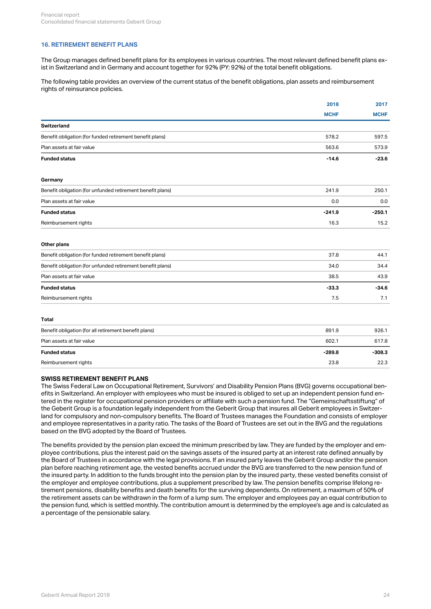## <span id="page-23-0"></span>**16. RETIREMENT BENEFIT PLANS**

The Group manages defined benefit plans for its employees in various countries. The most relevant defined benefit plans exist in Switzerland and in Germany and account together for 92% (PY: 92%) of the total benefit obligations.

The following table provides an overview of the current status of the benefit obligations, plan assets and reimbursement rights of reinsurance policies.

|                                                            | 2018        | 2017        |  |
|------------------------------------------------------------|-------------|-------------|--|
|                                                            | <b>MCHF</b> | <b>MCHF</b> |  |
| <b>Switzerland</b>                                         |             |             |  |
| Benefit obligation (for funded retirement benefit plans)   | 578.2       | 597.5       |  |
| Plan assets at fair value                                  | 563.6       | 573.9       |  |
| <b>Funded status</b>                                       | $-14.6$     | $-23.6$     |  |
| Germany                                                    |             |             |  |
| Benefit obligation (for unfunded retirement benefit plans) | 241.9       | 250.1       |  |
| Plan assets at fair value                                  | 0.0         | 0.0         |  |
| <b>Funded status</b>                                       | $-241.9$    | $-250.1$    |  |
| Reimbursement rights                                       | 16.3        | 15.2        |  |
| Other plans                                                |             |             |  |
| Benefit obligation (for funded retirement benefit plans)   | 37.8        | 44.1        |  |
| Benefit obligation (for unfunded retirement benefit plans) | 34.0        | 34.4        |  |
| Plan assets at fair value                                  | 38.5        | 43.9        |  |
| <b>Funded status</b>                                       | $-33.3$     | $-34.6$     |  |
| Reimbursement rights                                       | 7.5         | 7.1         |  |
| <b>Total</b>                                               |             |             |  |
| Benefit obligation (for all retirement benefit plans)      | 891.9       | 926.1       |  |
| Plan assets at fair value                                  | 602.1       | 617.8       |  |
| <b>Funded status</b>                                       | $-289.8$    | $-308.3$    |  |
| Reimbursement rights                                       | 23.8        | 22.3        |  |

#### **SWISS RETIREMENT BENEFIT PLANS**

The Swiss Federal Law on Occupational Retirement, Survivors' and Disability Pension Plans (BVG) governs occupational benefits in Switzerland. An employer with employees who must be insured is obliged to set up an independent pension fund entered in the register for occupational pension providers or affiliate with such a pension fund. The "Gemeinschaftsstiftung" of the Geberit Group is a foundation legally independent from the Geberit Group that insures all Geberit employees in Switzerland for compulsory and non-compulsory benefits. The Board of Trustees manages the Foundation and consists of employer and employee representatives in a parity ratio. The tasks of the Board of Trustees are set out in the BVG and the regulations based on the BVG adopted by the Board of Trustees.

The benefits provided by the pension plan exceed the minimum prescribed by law. They are funded by the employer and employee contributions, plus the interest paid on the savings assets of the insured party at an interest rate defined annually by the Board of Trustees in accordance with the legal provisions. If an insured party leaves the Geberit Group and/or the pension plan before reaching retirement age, the vested benefits accrued under the BVG are transferred to the new pension fund of the insured party. In addition to the funds brought into the pension plan by the insured party, these vested benefits consist of the employer and employee contributions, plus a supplement prescribed by law. The pension benefits comprise lifelong retirement pensions, disability benefits and death benefits for the surviving dependents. On retirement, a maximum of 50% of the retirement assets can be withdrawn in the form of a lump sum. The employer and employees pay an equal contribution to the pension fund, which is settled monthly. The contribution amount is determined by the employee's age and is calculated as a percentage of the pensionable salary.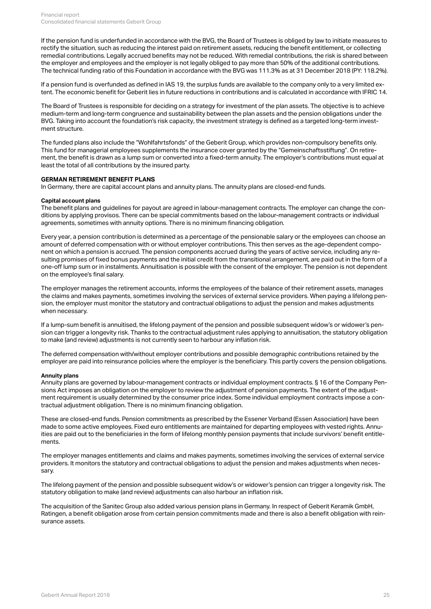If the pension fund is underfunded in accordance with the BVG, the Board of Trustees is obliged by law to initiate measures to rectify the situation, such as reducing the interest paid on retirement assets, reducing the benefit entitlement, or collecting remedial contributions. Legally accrued benefits may not be reduced. With remedial contributions, the risk is shared between the employer and employees and the employer is not legally obliged to pay more than 50% of the additional contributions. The technical funding ratio of this Foundation in accordance with the BVG was 111.3% as at 31 December 2018 (PY: 118.2%).

If a pension fund is overfunded as defined in IAS 19, the surplus funds are available to the company only to a very limited extent. The economic benefit for Geberit lies in future reductions in contributions and is calculated in accordance with IFRIC 14.

The Board of Trustees is responsible for deciding on a strategy for investment of the plan assets. The objective is to achieve medium-term and long-term congruence and sustainability between the plan assets and the pension obligations under the BVG. Taking into account the foundation's risk capacity, the investment strategy is defined as a targeted long-term investment structure.

The funded plans also include the "Wohlfahrtsfonds" of the Geberit Group, which provides non-compulsory benefits only. This fund for managerial employees supplements the insurance cover granted by the "Gemeinschaftsstiftung". On retirement, the benefit is drawn as a lump sum or converted into a fixed-term annuity. The employer's contributions must equal at least the total of all contributions by the insured party.

#### **GERMAN RETIREMENT BENEFIT PLANS**

In Germany, there are capital account plans and annuity plans. The annuity plans are closed-end funds.

#### **Capital account plans**

The benefit plans and guidelines for payout are agreed in labour-management contracts. The employer can change the conditions by applying provisos. There can be special commitments based on the labour-management contracts or individual agreements, sometimes with annuity options. There is no minimum financing obligation.

Every year, a pension contribution is determined as a percentage of the pensionable salary or the employees can choose an amount of deferred compensation with or without employer contributions. This then serves as the age-dependent component on which a pension is accrued. The pension components accrued during the years of active service, including any resulting promises of fixed bonus payments and the initial credit from the transitional arrangement, are paid out in the form of a one-off lump sum or in instalments. Annuitisation is possible with the consent of the employer. The pension is not dependent on the employee's final salary.

The employer manages the retirement accounts, informs the employees of the balance of their retirement assets, manages the claims and makes payments, sometimes involving the services of external service providers. When paying a lifelong pension, the employer must monitor the statutory and contractual obligations to adjust the pension and makes adjustments when necessary.

If a lump-sum benefit is annuitised, the lifelong payment of the pension and possible subsequent widow's or widower's pension can trigger a longevity risk. Thanks to the contractual adjustment rules applying to annuitisation, the statutory obligation to make (and review) adjustments is not currently seen to harbour any inflation risk.

The deferred compensation with/without employer contributions and possible demographic contributions retained by the employer are paid into reinsurance policies where the employer is the beneficiary. This partly covers the pension obligations.

#### **Annuity plans**

Annuity plans are governed by labour-management contracts or individual employment contracts. § 16 of the Company Pensions Act imposes an obligation on the employer to review the adjustment of pension payments. The extent of the adjustment requirement is usually determined by the consumer price index. Some individual employment contracts impose a contractual adjustment obligation. There is no minimum financing obligation.

These are closed-end funds. Pension commitments as prescribed by the Essener Verband (Essen Association) have been made to some active employees. Fixed euro entitlements are maintained for departing employees with vested rights. Annuities are paid out to the beneficiaries in the form of lifelong monthly pension payments that include survivors' benefit entitlements.

The employer manages entitlements and claims and makes payments, sometimes involving the services of external service providers. It monitors the statutory and contractual obligations to adjust the pension and makes adjustments when necessary.

The lifelong payment of the pension and possible subsequent widow's or widower's pension can trigger a longevity risk. The statutory obligation to make (and review) adjustments can also harbour an inflation risk.

The acquisition of the Sanitec Group also added various pension plans in Germany. In respect of Geberit Keramik GmbH, Ratingen, a benefit obligation arose from certain pension commitments made and there is also a benefit obligation with reinsurance assets.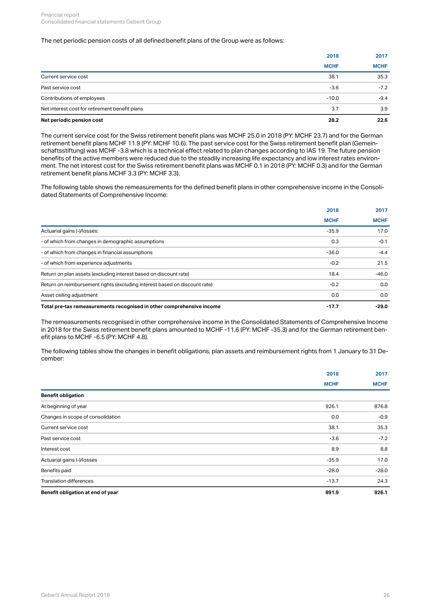#### The net periodic pension costs of all defined benefit plans of the Group were as follows:

|                                                | 2018        | 2017        |
|------------------------------------------------|-------------|-------------|
|                                                | <b>MCHF</b> | <b>MCHF</b> |
| Current service cost                           | 38.1        | 35.3        |
| Past service cost                              | $-3.6$      | $-7.2$      |
| Contributions of employees                     | $-10.0$     | $-9.4$      |
| Net interest cost for retirement benefit plans | 3.7         | 3.9         |
| Net periodic pension cost                      | 28.2        | 22.6        |

The current service cost for the Swiss retirement benefit plans was MCHF 25.0 in 2018 (PY: MCHF 23.7) and for the German retirement benefit plans MCHF 11.9 (PY: MCHF 10.6). The past service cost for the Swiss retirement benefit plan (Gemeinschaftsstiftung) was MCHF -3.8 which is a technical effect related to plan changes according to IAS 19. The future pension benefits of the active members were reduced due to the steadily increasing life expectancy and low interest rates environment. The net interest cost for the Swiss retirement benefit plans was MCHF 0.1 in 2018 (PY: MCHF 0.3) and for the German retirement benefit plans MCHF 3.3 (PY: MCHF 3.3).

The following table shows the remeasurements for the defined benefit plans in other comprehensive income in the Consolidated Statements of Comprehensive Income:

|                                                                            | 2018        | 2017        |  |
|----------------------------------------------------------------------------|-------------|-------------|--|
|                                                                            | <b>MCHF</b> | <b>MCHF</b> |  |
| Actuarial gains (-)/losses:                                                | $-35.9$     | 17.0        |  |
| - of which from changes in demographic assumptions                         | 0.3         | $-0.1$      |  |
| - of which from changes in financial assumptions                           | $-36.0$     | $-4.4$      |  |
| - of which from experience adjustments                                     | $-0.2$      | 21.5        |  |
| Return on plan assets (excluding interest based on discount rate)          | 18.4        | $-46.0$     |  |
| Return on reimbursement rights (excluding interest based on discount rate) | $-0.2$      | 0.0         |  |
| Asset ceiling adjustment                                                   | 0.0         | 0.0         |  |
| Total pre-tax remeasurements recognised in other comprehensive income      | $-17.7$     | -29.0       |  |

The remeasurements recognised in other comprehensive income in the Consolidated Statements of Comprehensive Income in 2018 for the Swiss retirement benefit plans amounted to MCHF -11.6 (PY: MCHF -35.3) and for the German retirement benefit plans to MCHF -6.5 (PY: MCHF 4.8).

The following tables show the changes in benefit obligations, plan assets and reimbursement rights from 1 January to 31 December:

|                                   | 2018        | 2017        |
|-----------------------------------|-------------|-------------|
|                                   | <b>MCHF</b> | <b>MCHF</b> |
| <b>Benefit obligation</b>         |             |             |
| At beginning of year              | 926.1       | 876.8       |
| Changes in scope of consolidation | 0.0         | $-0.9$      |
| Current service cost              | 38.1        | 35.3        |
| Past service cost                 | $-3.6$      | $-7.2$      |
| Interest cost                     | 8.9         | 8.8         |
| Actuarial gains (-)/losses        | $-35.9$     | 17.0        |
| Benefits paid                     | $-28.0$     | $-28.0$     |
| Translation differences           | $-13.7$     | 24.3        |
| Benefit obligation at end of year | 891.9       | 926.1       |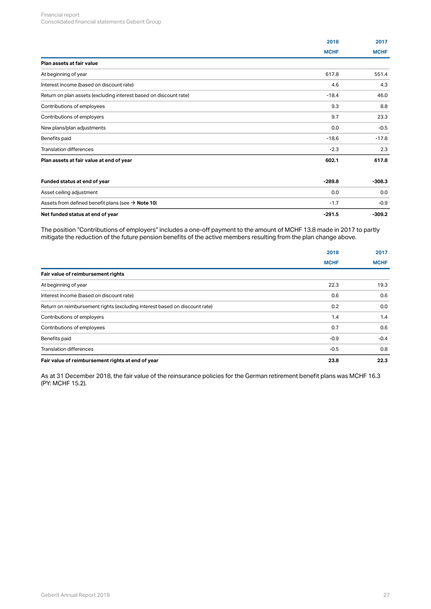|                                                                   | 2018        | 2017        |
|-------------------------------------------------------------------|-------------|-------------|
|                                                                   | <b>MCHF</b> | <b>MCHF</b> |
| Plan assets at fair value                                         |             |             |
| At beginning of year                                              | 617.8       | 551.4       |
| Interest income (based on discount rate)                          | 4.6         | 4.3         |
| Return on plan assets (excluding interest based on discount rate) | $-18.4$     | 46.0        |
| Contributions of employees                                        | 9.3         | 8.8         |
| Contributions of employers                                        | 9.7         | 23.3        |
| New plans/plan adjustments                                        | 0.0         | $-0.5$      |
| Benefits paid                                                     | $-18.6$     | $-17.8$     |
| <b>Translation differences</b>                                    | $-2.3$      | 2.3         |
| Plan assets at fair value at end of year                          | 602.1       | 617.8       |
| Funded status at end of year                                      | $-289.8$    | $-308.3$    |
| Asset ceiling adjustment                                          | 0.0         | 0.0         |
| Assets from defined benefit plans (see $\rightarrow$ Note 10)     | $-1.7$      | $-0.9$      |
| Net funded status at end of year                                  | $-291.5$    | $-309.2$    |

The position "Contributions of employers" includes a one-off payment to the amount of MCHF 13.8 made in 2017 to partly mitigate the reduction of the future pension benefits of the active members resulting from the plan change above.

|                                                                            | 2018        | 2017        |  |
|----------------------------------------------------------------------------|-------------|-------------|--|
|                                                                            | <b>MCHF</b> | <b>MCHF</b> |  |
| Fair value of reimbursement rights                                         |             |             |  |
| At beginning of year                                                       | 22.3        | 19.3        |  |
| Interest income (based on discount rate)                                   | 0.6         | 0.6         |  |
| Return on reimbursement rights (excluding interest based on discount rate) | 0.2         | 0.0         |  |
| Contributions of employers                                                 | 1.4         | 1.4         |  |
| Contributions of employees                                                 | 0.7         | 0.6         |  |
| Benefits paid                                                              | $-0.9$      | $-0.4$      |  |
| <b>Translation differences</b>                                             | $-0.5$      | 0.8         |  |
| Fair value of reimbursement rights at end of year                          | 23.8        | 22.3        |  |
|                                                                            |             |             |  |

As at 31 December 2018, the fair value of the reinsurance policies for the German retirement benefit plans was MCHF 16.3 (PY: MCHF 15.2).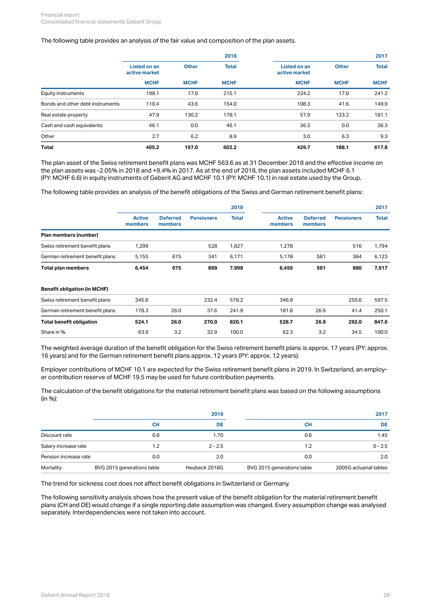#### The following table provides an analysis of the fair value and composition of the plan assets.

|                                  |                               |                                                                                      | 2018                       |              |             | 2017        |  |
|----------------------------------|-------------------------------|--------------------------------------------------------------------------------------|----------------------------|--------------|-------------|-------------|--|
|                                  | Listed on an<br>active market | <b>Other</b><br><b>Total</b><br><b>Listed on an</b><br><b>Other</b><br>active market |                            | <b>Total</b> |             |             |  |
|                                  | <b>MCHF</b>                   | <b>MCHF</b>                                                                          | <b>MCHF</b><br><b>MCHF</b> |              | <b>MCHF</b> | <b>MCHF</b> |  |
| Equity instruments               | 198.1                         | 17.0                                                                                 | 215.1                      | 224.2        | 17.0        | 241.2       |  |
| Bonds and other debt instruments | 110.4                         | 43.6                                                                                 | 154.0                      | 108.3        | 41.6        | 149.9       |  |
| Real estate property             | 47.9                          | 130.2                                                                                | 178.1                      | 57.9         | 123.2       | 181.1       |  |
| Cash and cash equivalents        | 46.1                          | 0.0                                                                                  | 46.1                       | 36.3         | 0.0         | 36.3        |  |
| Other                            | 2.7                           | 6.2                                                                                  | 8.9                        | 3.0          | 6.3         | 9.3         |  |
| <b>Total</b>                     | 405.2                         | 197.0                                                                                | 602.2                      | 429.7        | 188.1       | 617.8       |  |

The plan asset of the Swiss retirement benefit plans was MCHF 563.6 as at 31 December 2018 and the effective income on the plan assets was -2.05% in 2018 and +9.4% in 2017. As at the end of 2018, the plan assets included MCHF 6.1 (PY: MCHF 6.6) in equity instruments of Geberit AG and MCHF 10.1 (PY: MCHF 10.1) in real estate used by the Group.

The following table provides an analysis of the benefit obligations of the Swiss and German retirement benefit plans:

|                                     |                          |                            |                   | 2018         |                          |                            |                   | 2017         |
|-------------------------------------|--------------------------|----------------------------|-------------------|--------------|--------------------------|----------------------------|-------------------|--------------|
|                                     | <b>Active</b><br>members | <b>Deferred</b><br>members | <b>Pensioners</b> | <b>Total</b> | <b>Active</b><br>members | <b>Deferred</b><br>members | <b>Pensioners</b> | <b>Total</b> |
| Plan members (number)               |                          |                            |                   |              |                          |                            |                   |              |
| Swiss retirement benefit plans      | 1,299                    |                            | 528               | 1,827        | 1,278                    |                            | 516               | 1,794        |
| German retirement benefit plans     | 5,155                    | 675                        | 341               | 6,171        | 5,178                    | 581                        | 364               | 6,123        |
| <b>Total plan members</b>           | 6,454                    | 675                        | 869               | 7,998        | 6,456                    | 581                        | 880               | 7,917        |
| <b>Benefit obligation (in MCHF)</b> |                          |                            |                   |              |                          |                            |                   |              |
| Swiss retirement benefit plans      | 345.8                    |                            | 232.4             | 578.2        | 346.9                    |                            | 250.6             | 597.5        |
| German retirement benefit plans     | 178.3                    | 26.0                       | 37.6              | 241.9        | 181.8                    | 26.9                       | 41.4              | 250.1        |

The weighted average duration of the benefit obligation for the Swiss retirement benefit plans is approx. 17 years (PY: approx. 16 years) and for the German retirement benefit plans approx. 12 years (PY: approx. 12 years).

**Total benefit obligation 524.1 26.0 270.0 820.1 528.7 26.9 292.0 847.6**

Share in % 63.9 5.2 32.9 100.0 62.3 3.2 34.5 100.0

Employer contributions of MCHF 10.1 are expected for the Swiss retirement benefit plans in 2019. In Switzerland, an employer contribution reserve of MCHF 19.5 may be used for future contribution payments.

The calculation of the benefit obligations for the material retirement benefit plans was based on the following assumptions (in %):

|                       |                            | 2018          |                            | 2017                   |  |  |
|-----------------------|----------------------------|---------------|----------------------------|------------------------|--|--|
|                       | <b>CH</b>                  | DE            | <b>CH</b>                  | <b>DE</b>              |  |  |
| Discount rate         | 0.8                        | 1.70          | 0.6                        | 1.45                   |  |  |
| Salary increase rate  | 1.2                        | $2 - 2.5$     | 2.،                        | $0 - 2.5$              |  |  |
| Pension increase rate | 0.0                        | 2.0           | 0.0                        | 2.0                    |  |  |
| Mortality             | BVG 2015 generations table | Heubeck 2018G | BVG 2015 generations table | 2005G actuarial tables |  |  |

The trend for sickness cost does not affect benefit obligations in Switzerland or Germany.

The following sensitivity analysis shows how the present value of the benefit obligation for the material retirement benefit plans (CH and DE) would change if a single reporting date assumption was changed. Every assumption change was analysed separately. Interdependencies were not taken into account.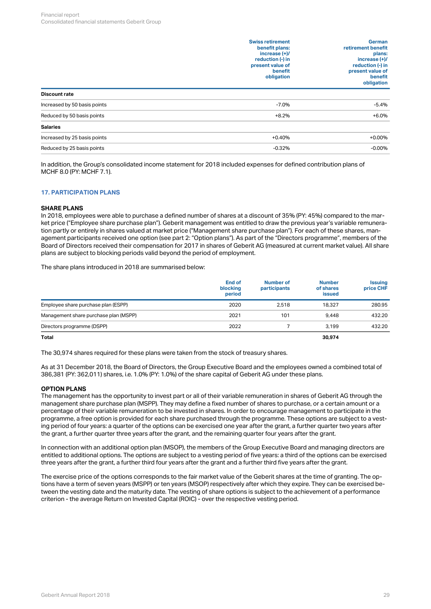|                              | <b>Swiss retirement</b><br>benefit plans:<br>increase $(+)/$<br>reduction (-) in<br>present value of<br>benefit<br>obligation | German<br>retirement benefit<br>plans:<br>increase $(+)/$<br>reduction (-) in<br>present value of<br>benefit<br>obligation |
|------------------------------|-------------------------------------------------------------------------------------------------------------------------------|----------------------------------------------------------------------------------------------------------------------------|
| Discount rate                |                                                                                                                               |                                                                                                                            |
| Increased by 50 basis points | $-7.0%$                                                                                                                       | $-5.4%$                                                                                                                    |
| Reduced by 50 basis points   | $+8.2%$                                                                                                                       | $+6.0%$                                                                                                                    |
| <b>Salaries</b>              |                                                                                                                               |                                                                                                                            |
| Increased by 25 basis points | $+0.40%$                                                                                                                      | $+0.00%$                                                                                                                   |
| Reduced by 25 basis points   | $-0.32%$                                                                                                                      | $-0.00%$                                                                                                                   |
|                              |                                                                                                                               |                                                                                                                            |

In addition, the Group's consolidated income statement for 2018 included expenses for defined contribution plans of MCHF 8.0 (PY: MCHF 7.1).

## <span id="page-28-0"></span>**17. PARTICIPATION PLANS**

#### **SHARE PLANS**

In 2018, employees were able to purchase a defined number of shares at a discount of 35% (PY: 45%) compared to the market price ("Employee share purchase plan"). Geberit management was entitled to draw the previous year's variable remuneration partly or entirely in shares valued at market price ("Management share purchase plan"). For each of these shares, management participants received one option (see part 2: "Option plans"). As part of the "Directors programme", members of the Board of Directors received their compensation for 2017 in shares of Geberit AG (measured at current market value). All share plans are subject to blocking periods valid beyond the period of employment.

The share plans introduced in 2018 are summarised below:

|                                       | <b>End of</b><br>blocking<br>period | Number of<br>participants | <b>Number</b><br>of shares<br><b>issued</b> | <b>Issuing</b><br>price CHF |
|---------------------------------------|-------------------------------------|---------------------------|---------------------------------------------|-----------------------------|
| Employee share purchase plan (ESPP)   | 2020                                | 2.518                     | 18,327                                      | 280.95                      |
| Management share purchase plan (MSPP) | 2021                                | 101                       | 9,448                                       | 432.20                      |
| Directors programme (DSPP)            | 2022                                |                           | 3.199                                       | 432.20                      |
| <b>Total</b>                          |                                     |                           | 30,974                                      |                             |

The 30,974 shares required for these plans were taken from the stock of treasury shares.

As at 31 December 2018, the Board of Directors, the Group Executive Board and the employees owned a combined total of 386,381 (PY: 362,011) shares, i.e. 1.0% (PY: 1.0%) of the share capital of Geberit AG under these plans.

#### **OPTION PLANS**

The management has the opportunity to invest part or all of their variable remuneration in shares of Geberit AG through the management share purchase plan (MSPP). They may define a fixed number of shares to purchase, or a certain amount or a percentage of their variable remuneration to be invested in shares. In order to encourage management to participate in the programme, a free option is provided for each share purchased through the programme. These options are subject to a vesting period of four years: a quarter of the options can be exercised one year after the grant, a further quarter two years after the grant, a further quarter three years after the grant, and the remaining quarter four years after the grant.

In connection with an additional option plan (MSOP), the members of the Group Executive Board and managing directors are entitled to additional options. The options are subject to a vesting period of five years: a third of the options can be exercised three years after the grant, a further third four years after the grant and a further third five years after the grant.

The exercise price of the options corresponds to the fair market value of the Geberit shares at the time of granting. The options have a term of seven years (MSPP) or ten years (MSOP) respectively after which they expire. They can be exercised between the vesting date and the maturity date. The vesting of share options is subject to the achievement of a performance criterion - the average Return on Invested Capital (ROIC) - over the respective vesting period.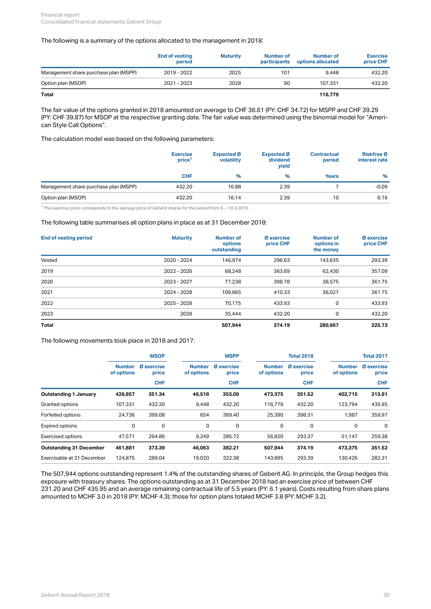#### The following is a summary of the options allocated to the management in 2018:

|                                       | <b>End of vesting</b><br>period | <b>Maturity</b> | Number of<br>participants | Number of<br>options allocated | <b>Exercise</b><br>price CHF |
|---------------------------------------|---------------------------------|-----------------|---------------------------|--------------------------------|------------------------------|
| Management share purchase plan (MSPP) | 2019 - 2022                     | 2025            | 101                       | 9.448                          | 432.20                       |
| Option plan (MSOP)                    | 2021 - 2023                     | 2028            | 90                        | 107.331                        | 432.20                       |
| <b>Total</b>                          |                                 |                 |                           | 116,779                        |                              |

The fair value of the options granted in 2018 amounted on average to CHF 36.61 (PY: CHF 34.72) for MSPP and CHF 39.29 (PY: CHF 39.87) for MSOP at the respective granting date. The fair value was determined using the binomial model for "American Style Call Options".

The calculation model was based on the following parameters:

|                                       | <b>Exercise</b><br>price <sup>1</sup> | Expected Ø<br>volatility | <b>Expected</b> <sup>Ø</sup><br>dividend<br>yield | <b>Contractual</b><br>period | <b>Riskfree Ø</b><br>interest rate |  |
|---------------------------------------|---------------------------------------|--------------------------|---------------------------------------------------|------------------------------|------------------------------------|--|
|                                       | <b>CHF</b>                            | $\%$                     | %                                                 | <b>Years</b>                 | %                                  |  |
| Management share purchase plan (MSPP) | 432.20                                | 16.88                    | 2.39                                              |                              | $-0.09$                            |  |
| Option plan (MSOP)                    | 432.20                                | 16.14                    | 2.39                                              | 10                           | 0.16                               |  |

 $^1$  The exercise price corresponds to the average price of Geberit shares for the period from 6. – 19.3.2018.

#### The following table summarises all option plans in place as at 31 December 2018:

| <b>End of vesting period</b> | <b>Maturity</b> | <b>Number of</b><br>options<br>outstanding | <b>Ø</b> exercise<br>price CHF | <b>Number of</b><br>options in<br>the money | <b>Ø</b> exercise<br>price CHF |
|------------------------------|-----------------|--------------------------------------------|--------------------------------|---------------------------------------------|--------------------------------|
| Vested                       | 2020 - 2024     | 146,974                                    | 296.63                         | 143,635                                     | 293.39                         |
| 2019                         | 2022 - 2026     | 68,248                                     | 363.69                         | 62,430                                      | 357.09                         |
| 2020                         | 2023 - 2027     | 77,238                                     | 398.78                         | 38,575                                      | 361.75                         |
| 2021                         | 2024 - 2028     | 109,865                                    | 410.33                         | 36,027                                      | 361.75                         |
| 2022                         | 2025 - 2028     | 70,175                                     | 433.93                         | 0                                           | 433.93                         |
| 2023                         | 2028            | 35,444                                     | 432.20                         | 0                                           | 432.20                         |
| <b>Total</b>                 |                 | 507.944                                    | 374.19                         | 280,667                                     | 325.73                         |

The following movements took place in 2018 and 2017:

|                                |                                                           | <b>MSOP</b> |                             | <b>MSPP</b>                |                             | <b>Total 2018</b>          |                             | <b>Total 2017</b>          |  |
|--------------------------------|-----------------------------------------------------------|-------------|-----------------------------|----------------------------|-----------------------------|----------------------------|-----------------------------|----------------------------|--|
|                                | <b>Ø</b> exercise<br><b>Number</b><br>of options<br>price |             | <b>Number</b><br>of options | <b>Ø</b> exercise<br>price | <b>Number</b><br>of options | <b>Ø</b> exercise<br>price | <b>Number</b><br>of options | <b>Ø</b> exercise<br>price |  |
|                                |                                                           | <b>CHF</b>  |                             | <b>CHF</b>                 |                             | <b>CHF</b>                 |                             | <b>CHF</b>                 |  |
| <b>Outstanding 1 January</b>   | 426,857                                                   | 351.34      | 46,518                      | 353.09                     | 473,375                     | 351.52                     | 402,715                     | 313.91                     |  |
| Granted options                | 107,331                                                   | 432.20      | 9,448                       | 432.20                     | 116,779                     | 432.20                     | 123,794                     | 435.95                     |  |
| Forfeited options              | 24,736                                                    | 399.08      | 654                         | 369.40                     | 25,390                      | 398.31                     | 1,987                       | 359.97                     |  |
| Expired options                | $\mathbf 0$                                               | 0           | 0                           | $\mathbf 0$                | 0                           | $\mathbf 0$                | 0                           | 0                          |  |
| <b>Exercised options</b>       | 47,571                                                    | 294.86      | 9,249                       | 285.72                     | 56,820                      | 293.37                     | 51,147                      | 259.38                     |  |
| <b>Outstanding 31 December</b> | 461.881                                                   | 373.39      | 46,063                      | 382.21                     | 507,944                     | 374.19                     | 473.375                     | 351.52                     |  |
| Exercisable at 31 December     | 124.875                                                   | 289.04      | 19,020                      | 322.38                     | 143,895                     | 293.39                     | 130,426                     | 282.31                     |  |

The 507,944 options outstanding represent 1.4% of the outstanding shares of Geberit AG. In principle, the Group hedges this exposure with treasury shares. The options outstanding as at 31 December 2018 had an exercise price of between CHF 231.20 and CHF 435.95 and an average remaining contractual life of 5.5 years (PY: 6.1 years). Costs resulting from share plans amounted to MCHF 3.0 in 2018 (PY: MCHF 4.3); those for option plans totaled MCHF 3.8 (PY: MCHF 3.2).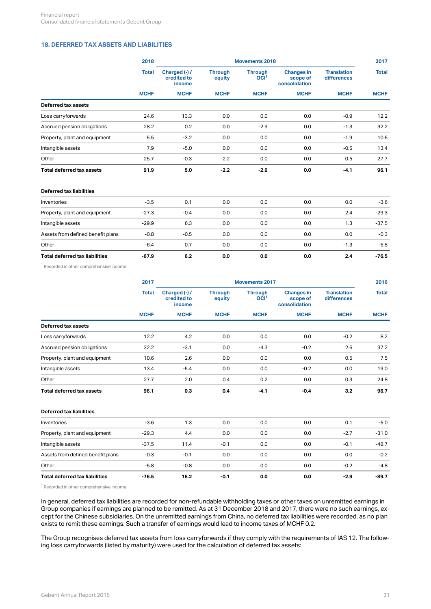## <span id="page-30-0"></span>**18. DEFERRED TAX ASSETS AND LIABILITIES**

|                                       | 2018         | <b>Movements 2018</b>                  |                          |                                    |                                                |                                   |              |
|---------------------------------------|--------------|----------------------------------------|--------------------------|------------------------------------|------------------------------------------------|-----------------------------------|--------------|
|                                       | <b>Total</b> | Charged (-) /<br>credited to<br>income | <b>Through</b><br>equity | <b>Through</b><br>OCI <sup>1</sup> | <b>Changes in</b><br>scope of<br>consolidation | <b>Translation</b><br>differences | <b>Total</b> |
|                                       | <b>MCHF</b>  | <b>MCHF</b>                            | <b>MCHF</b>              | <b>MCHF</b>                        | <b>MCHF</b>                                    | <b>MCHF</b>                       | <b>MCHF</b>  |
| <b>Deferred tax assets</b>            |              |                                        |                          |                                    |                                                |                                   |              |
| Loss carryforwards                    | 24.6         | 13.3                                   | 0.0                      | 0.0                                | 0.0                                            | $-0.9$                            | 12.2         |
| Accrued pension obligations           | 28.2         | 0.2                                    | 0.0                      | $-2.9$                             | 0.0                                            | $-1.3$                            | 32.2         |
| Property, plant and equipment         | 5.5          | $-3.2$                                 | 0.0                      | 0.0                                | 0.0                                            | $-1.9$                            | 10.6         |
| Intangible assets                     | 7.9          | $-5.0$                                 | 0.0                      | 0.0                                | 0.0                                            | $-0.5$                            | 13.4         |
| Other                                 | 25.7         | $-0.3$                                 | $-2.2$                   | 0.0                                | 0.0                                            | 0.5                               | 27.7         |
| Total deferred tax assets             | 91.9         | 5.0                                    | $-2.2$                   | $-2.9$                             | 0.0                                            | $-4.1$                            | 96.1         |
| <b>Deferred tax liabilities</b>       |              |                                        |                          |                                    |                                                |                                   |              |
| Inventories                           | $-3.5$       | 0.1                                    | 0.0                      | 0.0                                | 0.0                                            | 0.0                               | $-3.6$       |
| Property, plant and equipment         | $-27.3$      | $-0.4$                                 | 0.0                      | 0.0                                | 0.0                                            | 2.4                               | $-29.3$      |
| Intangible assets                     | $-29.9$      | 6.3                                    | 0.0                      | 0.0                                | 0.0                                            | 1.3                               | $-37.5$      |
| Assets from defined benefit plans     | $-0.8$       | $-0.5$                                 | 0.0                      | 0.0                                | 0.0                                            | 0.0                               | $-0.3$       |
| Other                                 | $-6.4$       | 0.7                                    | 0.0                      | 0.0                                | 0.0                                            | $-1.3$                            | $-5.8$       |
| <b>Total deferred tax liabilities</b> | $-67.9$      | 6.2                                    | 0.0                      | 0.0                                | 0.0                                            | 2.4                               | $-76.5$      |

<sup>1</sup> Recorded in other comprehensive income

|                               | 2017         | <b>Movements 2017</b>                  |                          |                                                   |                                                               |                                   |                             |
|-------------------------------|--------------|----------------------------------------|--------------------------|---------------------------------------------------|---------------------------------------------------------------|-----------------------------------|-----------------------------|
|                               | <b>Total</b> | Charged (-) /<br>credited to<br>income | <b>Through</b><br>equity | <b>Through</b><br>OCI <sup>1</sup><br><b>MCHF</b> | <b>Changes in</b><br>scope of<br>consolidation<br><b>MCHF</b> | <b>Translation</b><br>differences | <b>Total</b><br><b>MCHF</b> |
|                               | <b>MCHF</b>  | <b>MCHF</b>                            | <b>MCHF</b>              |                                                   |                                                               | <b>MCHF</b>                       |                             |
| Deferred tax assets           |              |                                        |                          |                                                   |                                                               |                                   |                             |
| Loss carryforwards            | 12.2         | 4.2                                    | 0.0                      | 0.0                                               | 0.0                                                           | $-0.2$                            | 8.2                         |
| Accrued pension obligations   | 32.2         | $-3.1$                                 | 0.0                      | $-4.3$                                            | $-0.2$                                                        | 2.6                               | 37.2                        |
| Property, plant and equipment | 10.6         | 2.6                                    | 0.0                      | 0.0                                               | 0.0                                                           | 0.5                               | 7.5                         |
| Intangible assets             | 13.4         | $-5.4$                                 | 0.0                      | 0.0                                               | $-0.2$                                                        | 0.0                               | 19.0                        |
| Other                         | 27.7         | 2.0                                    | 0.4                      | 0.2                                               | 0.0                                                           | 0.3                               | 24.8                        |
| Total deferred tax assets     | 96.1         | 0.3                                    | 0.4                      | $-4.1$                                            | $-0.4$                                                        | 3.2                               | 96.7                        |

#### **Deferred tax liabilities**

| Inventories                       | $-3.6$  | 1.3    | 0.0    | 0.0 | 0.0 | 0.1    | $-5.0$  |
|-----------------------------------|---------|--------|--------|-----|-----|--------|---------|
| Property, plant and equipment     | $-29.3$ | 4.4    | 0.0    | 0.0 | 0.0 | $-2.7$ | $-31.0$ |
| Intangible assets                 | $-37.5$ | 11.4   | $-0.1$ | 0.0 | 0.0 | $-0.1$ | $-48.7$ |
| Assets from defined benefit plans | $-0.3$  | $-0.1$ | 0.0    | 0.0 | 0.0 | 0.0    | $-0.2$  |
| Other                             | $-5.8$  | $-0.8$ | 0.0    | 0.0 | 0.0 | $-0.2$ | $-4.8$  |
| Total deferred tax liabilities    | $-76.5$ | 16.2   | $-0.1$ | 0.0 | 0.0 | $-2.9$ | $-89.7$ |

<sup>1</sup> Recorded in other comprehensive income

In general, deferred tax liabilities are recorded for non-refundable withholding taxes or other taxes on unremitted earnings in Group companies if earnings are planned to be remitted. As at 31 December 2018 and 2017, there were no such earnings, except for the Chinese subsidiaries. On the unremitted earnings from China, no deferred tax liabilities were recorded, as no plan exists to remit these earnings. Such a transfer of earnings would lead to income taxes of MCHF 0.2.

The Group recognises deferred tax assets from loss carryforwards if they comply with the requirements of IAS 12. The following loss carryforwards (listed by maturity) were used for the calculation of deferred tax assets: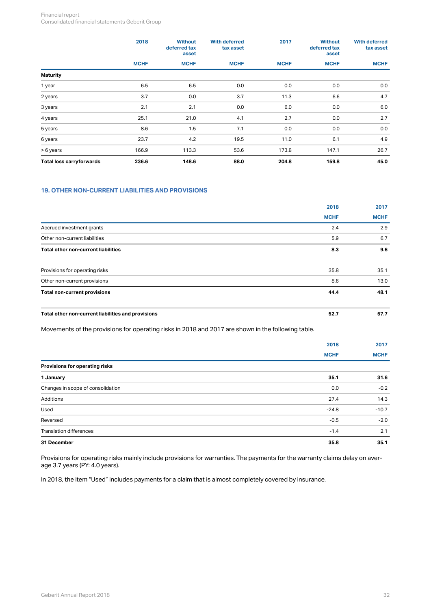#### Financial report Consolidated financial statements Geberit Group

|                          | 2018        | <b>Without</b><br>deferred tax<br>asset | <b>With deferred</b><br>tax asset | 2017        | <b>Without</b><br>deferred tax<br>asset | <b>With deferred</b><br>tax asset<br><b>MCHF</b> |
|--------------------------|-------------|-----------------------------------------|-----------------------------------|-------------|-----------------------------------------|--------------------------------------------------|
|                          | <b>MCHF</b> | <b>MCHF</b>                             | <b>MCHF</b>                       | <b>MCHF</b> | <b>MCHF</b>                             |                                                  |
| <b>Maturity</b>          |             |                                         |                                   |             |                                         |                                                  |
| 1 year                   | 6.5         | 6.5                                     | 0.0                               | 0.0         | 0.0                                     | 0.0                                              |
| 2 years                  | 3.7         | 0.0                                     | 3.7                               | 11.3        | 6.6                                     | 4.7                                              |
| 3 years                  | 2.1         | 2.1                                     | 0.0                               | 6.0         | 0.0                                     | 6.0                                              |
| 4 years                  | 25.1        | 21.0                                    | 4.1                               | 2.7         | 0.0                                     | 2.7                                              |
| 5 years                  | 8.6         | 1.5                                     | 7.1                               | 0.0         | 0.0                                     | 0.0                                              |
| 6 years                  | 23.7        | 4.2                                     | 19.5                              | 11.0        | 6.1                                     | 4.9                                              |
| > 6 years                | 166.9       | 113.3                                   | 53.6                              | 173.8       | 147.1                                   | 26.7                                             |
| Total loss carryforwards | 236.6       | 148.6                                   | 88.0                              | 204.8       | 159.8                                   | 45.0                                             |

## <span id="page-31-0"></span>**19. OTHER NON-CURRENT LIABILITIES AND PROVISIONS**

|                                                    | 2018        | 2017        |  |
|----------------------------------------------------|-------------|-------------|--|
|                                                    | <b>MCHF</b> | <b>MCHF</b> |  |
| Accrued investment grants                          | 2.4         | 2.9         |  |
| Other non-current liabilities                      | 5.9         | 6.7         |  |
| Total other non-current liabilities                | 8.3         | 9.6         |  |
| Provisions for operating risks                     | 35.8        | 35.1        |  |
| Other non-current provisions                       | 8.6         | 13.0        |  |
| Total non-current provisions                       | 44.4        | 48.1        |  |
| Total other non-current liabilities and provisions | 52.7        | 57.7        |  |

Movements of the provisions for operating risks in 2018 and 2017 are shown in the following table.

|                                   | 2018        | 2017        |
|-----------------------------------|-------------|-------------|
|                                   | <b>MCHF</b> | <b>MCHF</b> |
| Provisions for operating risks    |             |             |
| 1 January                         | 35.1        | 31.6        |
| Changes in scope of consolidation | 0.0         | $-0.2$      |
| Additions                         | 27.4        | 14.3        |
| Used                              | $-24.8$     | $-10.7$     |
| Reversed                          | $-0.5$      | $-2.0$      |
| Translation differences           | $-1.4$      | 2.1         |
| 31 December                       | 35.8        | 35.1        |

Provisions for operating risks mainly include provisions for warranties. The payments for the warranty claims delay on average 3.7 years (PY: 4.0 years).

In 2018, the item "Used" includes payments for a claim that is almost completely covered by insurance.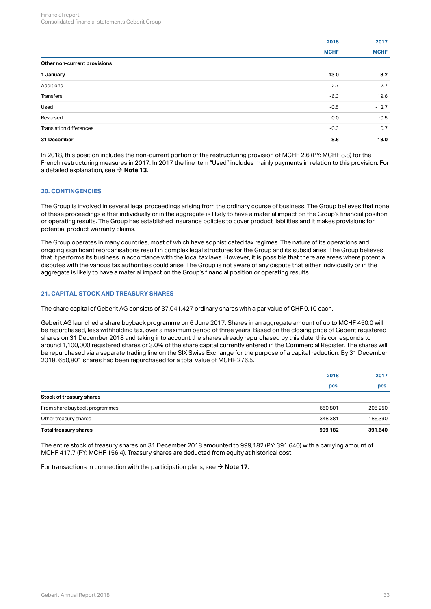|                                | 2018        | 2017        |
|--------------------------------|-------------|-------------|
|                                | <b>MCHF</b> | <b>MCHF</b> |
| Other non-current provisions   |             |             |
| 1 January                      | 13.0        | 3.2         |
| Additions                      | 2.7         | 2.7         |
| Transfers                      | $-6.3$      | 19.6        |
| Used                           | $-0.5$      | $-12.7$     |
| Reversed                       | 0.0         | $-0.5$      |
| <b>Translation differences</b> | $-0.3$      | 0.7         |
| 31 December                    | 8.6         | 13.0        |

In 2018, this position includes the non-current portion of the restructuring provision of MCHF 2.6 (PY: MCHF 8.8) for the French restructuring measures in 2017. In 2017 the line item "Used" includes mainly payments in relation to this provision. For a detailed explanation, see  $\rightarrow$  **[Note 13](#page-18-0)**.  $\rightarrow$ 

#### **20. CONTINGENCIES**

The Group is involved in several legal proceedings arising from the ordinary course of business. The Group believes that none of these proceedings either individually or in the aggregate is likely to have a material impact on the Group's financial position or operating results. The Group has established insurance policies to cover product liabilities and it makes provisions for potential product warranty claims.

The Group operates in many countries, most of which have sophisticated tax regimes. The nature of its operations and ongoing significant reorganisations result in complex legal structures for the Group and its subsidiaries. The Group believes that it performs its business in accordance with the local tax laws. However, it is possible that there are areas where potential disputes with the various tax authorities could arise. The Group is not aware of any dispute that either individually or in the aggregate is likely to have a material impact on the Group's financial position or operating results.

### <span id="page-32-0"></span>**21. CAPITAL STOCK AND TREASURY SHARES**

The share capital of Geberit AG consists of 37,041,427 ordinary shares with a par value of CHF 0.10 each.

Geberit AG launched a share buyback programme on 6 June 2017. Shares in an aggregate amount of up to MCHF 450.0 will be repurchased, less withholding tax, over a maximum period of three years. Based on the closing price of Geberit registered shares on 31 December 2018 and taking into account the shares already repurchased by this date, this corresponds to around 1,100,000 registered shares or 3.0% of the share capital currently entered in the Commercial Register. The shares will be repurchased via a separate trading line on the SIX Swiss Exchange for the purpose of a capital reduction. By 31 December 2018, 650,801 shares had been repurchased for a total value of MCHF 276.5.

| Total treasury shares         | 999,182 | 391,640 |
|-------------------------------|---------|---------|
| Other treasury shares         | 348,381 | 186,390 |
| From share buyback programmes | 650,801 | 205,250 |
| Stock of treasury shares      |         |         |
|                               | pcs.    | pcs.    |
|                               | 2018    | 2017    |

The entire stock of treasury shares on 31 December 2018 amounted to 999,182 (PY: 391,640) with a carrying amount of MCHF 417.7 (PY: MCHF 156.4). Treasury shares are deducted from equity at historical cost.

For transactions in connection with the participation plans, see  $\rightarrow$  **[Note 17](#page-28-0)**.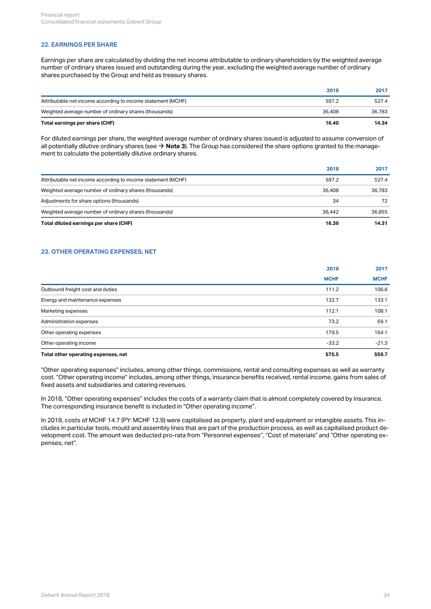#### <span id="page-33-1"></span>**22. EARNINGS PER SHARE**

Earnings per share are calculated by dividing the net income attributable to ordinary shareholders by the weighted average number of ordinary shares issued and outstanding during the year, excluding the weighted average number of ordinary shares purchased by the Group and held as treasury shares.

| Total earnings per share (CHF)                               | 16.40  | 14.34  |
|--------------------------------------------------------------|--------|--------|
| Weighted average number of ordinary shares (thousands)       | 36,408 | 36,783 |
| Attributable net income according to income statement (MCHF) | 597.2  | 527.4  |
|                                                              | 2018   | 2017   |

For diluted earnings per share, the weighted average number of ordinary shares issued is adjusted to assume conversion of all potentially dilutive ordinary shares (see  $\to$  **[Note 3](#page-6-0)**). The Group has considered the share options granted to the management to calculate the potentially dilutive ordinary shares.

| Total diluted earnings per share (CHF)                       | 16.39  | 14.31  |
|--------------------------------------------------------------|--------|--------|
| Weighted average number of ordinary shares (thousands)       | 36.442 | 36,855 |
| Adjustments for share options (thousands)                    | 34     | 72     |
| Weighted average number of ordinary shares (thousands)       | 36,408 | 36,783 |
| Attributable net income according to income statement (MCHF) | 597.2  | 527.4  |
|                                                              | 2018   | 2017   |

## <span id="page-33-0"></span>**23. OTHER OPERATING EXPENSES, NET**

|                                     | 2018        | 2017        |
|-------------------------------------|-------------|-------------|
|                                     | <b>MCHF</b> | <b>MCHF</b> |
| Outbound freight cost and duties    | 111.2       | 106.6       |
| Energy and maintenance expenses     | 132.7       | 133.1       |
| Marketing expenses                  | 112.1       | 108.1       |
| Administration expenses             | 73.2        | 69.1        |
| Other operating expenses            | 179.5       | 164.1       |
| Other operating income              | $-33.2$     | $-21.3$     |
| Total other operating expenses, net | 575.5       | 559.7       |

"Other operating expenses" includes, among other things, commissions, rental and consulting expenses as well as warranty cost. "Other operating income" includes, among other things, insurance benefits received, rental income, gains from sales of fixed assets and subsidiaries and catering revenues.

In 2018, "Other operating expenses" includes the costs of a warranty claim that is almost completely covered by insurance. The corresponding insurance benefit is included in "Other operating income".

In 2018, costs of MCHF 14.7 (PY: MCHF 12.9) were capitalised as property, plant and equipment or intangible assets. This includes in particular tools, mould and assembly lines that are part of the production process, as well as capitalised product development cost. The amount was deducted pro-rata from "Personnel expenses", "Cost of materials" and "Other operating expenses, net".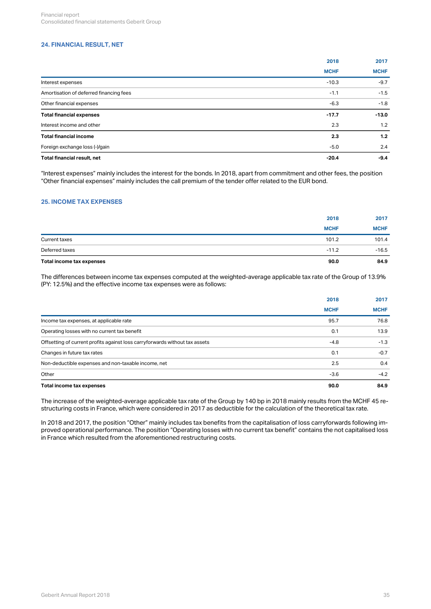## <span id="page-34-0"></span>**24. FINANCIAL RESULT, NET**

|                                         | 2018        | 2017        |
|-----------------------------------------|-------------|-------------|
|                                         | <b>MCHF</b> | <b>MCHF</b> |
| Interest expenses                       | $-10.3$     | $-9.7$      |
| Amortisation of deferred financing fees | $-1.1$      | $-1.5$      |
| Other financial expenses                | $-6.3$      | $-1.8$      |
| <b>Total financial expenses</b>         | $-17.7$     | $-13.0$     |
| Interest income and other               | 2.3         | 1.2         |
| <b>Total financial income</b>           | 2.3         | 1.2         |
| Foreign exchange loss (-)/gain          | $-5.0$      | 2.4         |
| Total financial result, net             | $-20.4$     | $-9.4$      |

"Interest expenses" mainly includes the interest for the bonds. In 2018, apart from commitment and other fees, the position "Other financial expenses" mainly includes the call premium of the tender offer related to the EUR bond.

#### <span id="page-34-1"></span>**25. INCOME TAX EXPENSES**

| Total income tax expenses | 90.0        | 84.9        |
|---------------------------|-------------|-------------|
| Deferred taxes            | $-11.2$     | $-16.5$     |
| Current taxes             | 101.2       | 101.4       |
|                           | <b>MCHF</b> | <b>MCHF</b> |
|                           | 2018        | 2017        |
|                           |             |             |

The differences between income tax expenses computed at the weighted-average applicable tax rate of the Group of 13.9% (PY: 12.5%) and the effective income tax expenses were as follows:

|                                                                             | 2018<br><b>MCHF</b> | 2017<br><b>MCHF</b> |
|-----------------------------------------------------------------------------|---------------------|---------------------|
|                                                                             |                     |                     |
| Income tax expenses, at applicable rate                                     | 95.7                | 76.8                |
| Operating losses with no current tax benefit                                | 0.1                 | 13.9                |
| Offsetting of current profits against loss carryforwards without tax assets | $-4.8$              | $-1.3$              |
| Changes in future tax rates                                                 | 0.1                 | $-0.7$              |
| Non-deductible expenses and non-taxable income, net                         | 2.5                 | 0.4                 |
| Other                                                                       | $-3.6$              | $-4.2$              |
| Total income tax expenses                                                   | 90.0                | 84.9                |

The increase of the weighted-average applicable tax rate of the Group by 140 bp in 2018 mainly results from the MCHF 45 restructuring costs in France, which were considered in 2017 as deductible for the calculation of the theoretical tax rate.

In 2018 and 2017, the position "Other" mainly includes tax benefits from the capitalisation of loss carryforwards following improved operational performance. The position "Operating losses with no current tax benefit" contains the not capitalised loss in France which resulted from the aforementioned restructuring costs.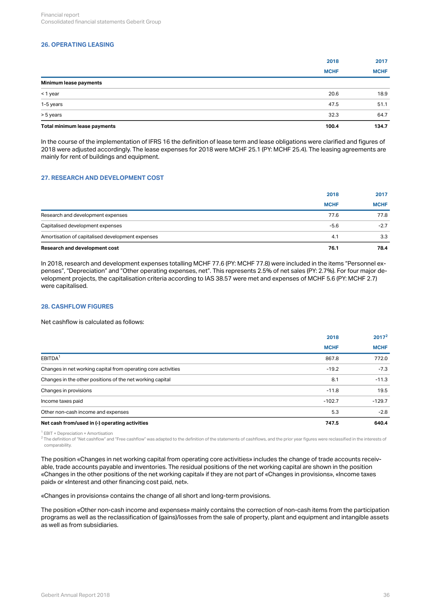## **26. OPERATING LEASING**

|                              | 2018        | 2017        |
|------------------------------|-------------|-------------|
|                              | <b>MCHF</b> | <b>MCHF</b> |
| Minimum lease payments       |             |             |
| < 1 year                     | 20.6        | 18.9        |
| 1-5 years                    | 47.5        | 51.1        |
| > 5 years                    | 32.3        | 64.7        |
| Total minimum lease payments | 100.4       | 134.7       |

In the course of the implementation of IFRS 16 the definition of lease term and lease obligations were clarified and figures of 2018 were adjusted accordingly. The lease expenses for 2018 were MCHF 25.1 (PY: MCHF 25.4). The leasing agreements are mainly for rent of buildings and equipment.

#### <span id="page-35-1"></span>**27. RESEARCH AND DEVELOPMENT COST**

| Research and development cost                    | 76.1        | 78.4        |
|--------------------------------------------------|-------------|-------------|
| Amortisation of capitalised development expenses | 4.1         | 3.3         |
| Capitalised development expenses                 | $-5.6$      | $-2.7$      |
| Research and development expenses                | 77.6        | 77.8        |
|                                                  | <b>MCHF</b> | <b>MCHF</b> |
|                                                  | 2018        | 2017        |
|                                                  |             |             |

In 2018, research and development expenses totalling MCHF 77.6 (PY: MCHF 77.8) were included in the items "Personnel expenses", "Depreciation" and "Other operating expenses, net". This represents 2.5% of net sales (PY: 2.7%). For four major development projects, the capitalisation criteria according to IAS 38.57 were met and expenses of MCHF 5.6 (PY: MCHF 2.7) were capitalised.

## <span id="page-35-0"></span>**28. CASHFLOW FIGURES**

Net cashflow is calculated as follows:

| Net cash from/used in (-) operating activities                | 747.5       | 640.4       |
|---------------------------------------------------------------|-------------|-------------|
| Other non-cash income and expenses                            | 5.3         | $-2.8$      |
| Income taxes paid                                             | $-102.7$    | $-129.7$    |
| Changes in provisions                                         | $-11.8$     | 19.5        |
| Changes in the other positions of the net working capital     | 8.1         | $-11.3$     |
| Changes in net working capital from operating core activities | $-19.2$     | $-7.3$      |
| EBITDA <sup>1</sup>                                           | 867.8       | 772.0       |
|                                                               | <b>MCHF</b> | <b>MCHF</b> |
|                                                               | 2018        | $2017^2$    |

<sup>1</sup> EBIT + Depreciation + Amortisation

 $^2$  The definition of "Net cashflow" and "Free cashflow" was adapted to the definition of the statements of cashflows, and the prior year figures were reclassified in the interests of comparability.

The position «Changes in net working capital from operating core activities» includes the change of trade accounts receivable, trade accounts payable and inventories. The residual positions of the net working capital are shown in the position «Changes in the other positions of the net working capital» if they are not part of «Changes in provisions», «Income taxes paid» or «Interest and other financing cost paid, net».

«Changes in provisions» contains the change of all short and long-term provisions.

The position «Other non-cash income and expenses» mainly contains the correction of non-cash items from the participation programs as well as the reclassification of (gains)/losses from the sale of property, plant and equipment and intangible assets as well as from subsidiaries.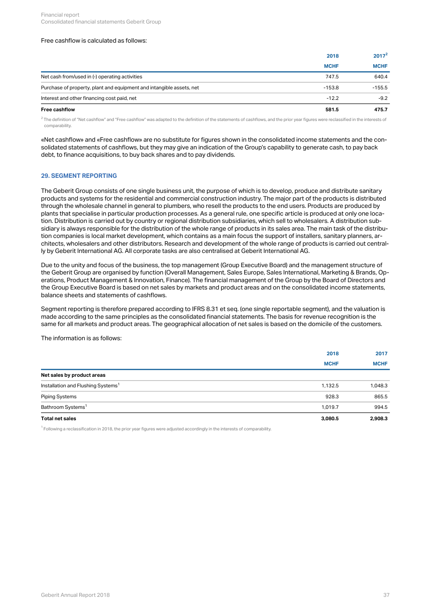#### Free cashflow is calculated as follows:

| <b>Free cashflow</b>                                                 | 581.5       | 475.7       |
|----------------------------------------------------------------------|-------------|-------------|
| Interest and other financing cost paid, net                          | $-12.2$     | $-9.2$      |
| Purchase of property, plant and equipment and intangible assets, net | $-153.8$    | $-155.5$    |
| Net cash from/used in (-) operating activities                       | 747.5       | 640.4       |
|                                                                      | <b>MCHF</b> | <b>MCHF</b> |
|                                                                      | 2018        | $2017^2$    |

 $^2$  The definition of "Net cashflow" and "Free cashflow" was adapted to the definition of the statements of cashflows, and the prior year figures were reclassified in the interests of comparability.

«Net cashflow» and «Free cashflow» are no substitute for figures shown in the consolidated income statements and the consolidated statements of cashflows, but they may give an indication of the Group's capability to generate cash, to pay back debt, to finance acquisitions, to buy back shares and to pay dividends.

#### <span id="page-36-0"></span>**29. SEGMENT REPORTING**

The Geberit Group consists of one single business unit, the purpose of which is to develop, produce and distribute sanitary products and systems for the residential and commercial construction industry. The major part of the products is distributed through the wholesale channel in general to plumbers, who resell the products to the end users. Products are produced by plants that specialise in particular production processes. As a general rule, one specific article is produced at only one location. Distribution is carried out by country or regional distribution subsidiaries, which sell to wholesalers. A distribution subsidiary is always responsible for the distribution of the whole range of products in its sales area. The main task of the distribution companies is local market development, which contains as a main focus the support of installers, sanitary planners, architects, wholesalers and other distributors. Research and development of the whole range of products is carried out centrally by Geberit International AG. All corporate tasks are also centralised at Geberit International AG.

Due to the unity and focus of the business, the top management (Group Executive Board) and the management structure of the Geberit Group are organised by function (Overall Management, Sales Europe, Sales International, Marketing & Brands, Operations, Product Management & Innovation, Finance). The financial management of the Group by the Board of Directors and the Group Executive Board is based on net sales by markets and product areas and on the consolidated income statements, balance sheets and statements of cashflows.

Segment reporting is therefore prepared according to IFRS 8.31 et seq. (one single reportable segment), and the valuation is made according to the same principles as the consolidated financial statements. The basis for revenue recognition is the same for all markets and product areas. The geographical allocation of net sales is based on the domicile of the customers.

The information is as follows:

| Total net sales                                | 3,080.5     | 2,908.3     |
|------------------------------------------------|-------------|-------------|
| Bathroom Systems <sup>1</sup>                  | 1.019.7     | 994.5       |
| Piping Systems                                 | 928.3       | 865.5       |
| Installation and Flushing Systems <sup>1</sup> | 1,132.5     | 1,048.3     |
| Net sales by product areas                     |             |             |
|                                                | <b>MCHF</b> | <b>MCHF</b> |
|                                                | 2018        | 2017        |

 $^1$  Following a reclassification in 2018, the prior year figures were adjusted accordingly in the interests of comparability.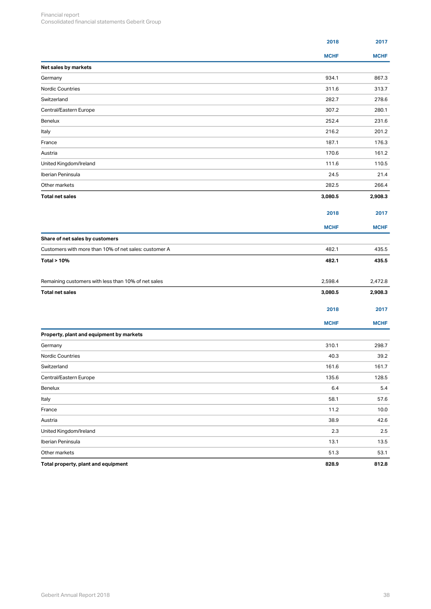|                                                       | 2018        | 2017        |
|-------------------------------------------------------|-------------|-------------|
|                                                       | <b>MCHF</b> | <b>MCHF</b> |
| Net sales by markets                                  |             |             |
| Germany                                               | 934.1       | 867.3       |
| Nordic Countries                                      | 311.6       | 313.7       |
| Switzerland                                           | 282.7       | 278.6       |
| Central/Eastern Europe                                | 307.2       | 280.1       |
| Benelux                                               | 252.4       | 231.6       |
| Italy                                                 | 216.2       | 201.2       |
| France                                                | 187.1       | 176.3       |
| Austria                                               | 170.6       | 161.2       |
| United Kingdom/Ireland                                | 111.6       | 110.5       |
| Iberian Peninsula                                     | 24.5        | 21.4        |
| Other markets                                         | 282.5       | 266.4       |
| <b>Total net sales</b>                                | 3,080.5     | 2,908.3     |
|                                                       | 2018        | 2017        |
|                                                       | <b>MCHF</b> | <b>MCHF</b> |
| Share of net sales by customers                       |             |             |
| Customers with more than 10% of net sales: customer A | 482.1       | 435.5       |
| <b>Total &gt; 10%</b>                                 | 482.1       | 435.5       |
| Remaining customers with less than 10% of net sales   | 2,598.4     | 2,472.8     |
| <b>Total net sales</b>                                | 3,080.5     | 2,908.3     |
|                                                       |             |             |
|                                                       | 2018        | 2017        |
|                                                       | <b>MCHF</b> | <b>MCHF</b> |
| Property, plant and equipment by markets              |             |             |
| Germany                                               | 310.1       | 298.7       |
| Nordic Countries                                      | 40.3        | 39.2        |
| Switzerland                                           | 161.6       | 161.7       |
| Central/Eastern Europe                                | 135.6       | 128.5       |
| Benelux                                               | 6.4         | $5.4\,$     |
| Italy                                                 | 58.1        | 57.6        |
| France                                                | 11.2        | 10.0        |
| Austria                                               | 38.9        | 42.6        |
| United Kingdom/Ireland                                | $2.3\,$     | 2.5         |
| Iberian Peninsula                                     | 13.1        | 13.5        |
| Other markets                                         | 51.3        | 53.1        |
| Total property, plant and equipment                   | 828.9       | 812.8       |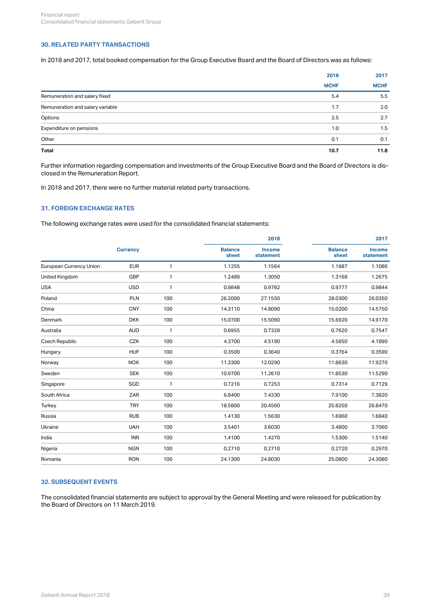## **30. RELATED PARTY TRANSACTIONS**

In 2018 and 2017, total booked compensation for the Group Executive Board and the Board of Directors was as follows:

|                                  | 2018        | 2017        |
|----------------------------------|-------------|-------------|
|                                  | <b>MCHF</b> | <b>MCHF</b> |
| Remuneration and salary fixed    | 5.4         | 5.5         |
| Remuneration and salary variable | 1.7         | 2.0         |
| Options                          | 2.5         | 2.7         |
| Expenditure on pensions          | 1.0         | 1.5         |
| Other                            | 0.1         | 0.1         |
| Total                            | 10.7        | 11.8        |

Further information regarding compensation and investments of the Group Executive Board and the Board of Directors is disclosed in the Remuneration Report.

In 2018 and 2017, there were no further material related party transactions.

## **31. FOREIGN EXCHANGE RATES**

The following exchange rates were used for the consolidated financial statements:

|                         |                 |              |                         | 2018                       | 2017                    |                            |  |
|-------------------------|-----------------|--------------|-------------------------|----------------------------|-------------------------|----------------------------|--|
|                         | <b>Currency</b> |              | <b>Balance</b><br>sheet | <b>Income</b><br>statement | <b>Balance</b><br>sheet | <b>Income</b><br>statement |  |
| European Currency Union | <b>EUR</b>      | $\mathbf{1}$ | 1.1255                  | 1.1564                     | 1.1687                  | 1.1086                     |  |
| United Kingdom          | GBP             | $\mathbf{1}$ | 1.2489                  | 1.3050                     | 1.3168                  | 1.2675                     |  |
| <b>USA</b>              | <b>USD</b>      | $\mathbf{1}$ | 0.9848                  | 0.9782                     | 0.9777                  | 0.9844                     |  |
| Poland                  | <b>PLN</b>      | 100          | 26.2000                 | 27.1550                    | 28.0300                 | 26.0350                    |  |
| China                   | <b>CNY</b>      | 100          | 14.3110                 | 14.8090                    | 15.0200                 | 14.5750                    |  |
| Denmark                 | <b>DKK</b>      | 100          | 15.0700                 | 15.5090                    | 15.6920                 | 14.9170                    |  |
| Australia               | <b>AUD</b>      | $\mathbf{1}$ | 0.6955                  | 0.7328                     | 0.7620                  | 0.7547                     |  |
| Czech Republic          | CZK             | 100          | 4.3700                  | 4.5190                     | 4.5650                  | 4.1890                     |  |
| Hungary                 | <b>HUF</b>      | 100          | 0.3500                  | 0.3640                     | 0.3764                  | 0.3590                     |  |
| Norway                  | <b>NOK</b>      | 100          | 11.3300                 | 12.0290                    | 11.8630                 | 11.9270                    |  |
| Sweden                  | <b>SEK</b>      | 100          | 10.9700                 | 11.2610                    | 11.8530                 | 11.5290                    |  |
| Singapore               | SGD             | $\mathbf{1}$ | 0.7216                  | 0.7253                     | 0.7314                  | 0.7129                     |  |
| South Africa            | ZAR             | 100          | 6.8400                  | 7.4330                     | 7.9100                  | 7.3820                     |  |
| Turkey                  | <b>TRY</b>      | 100          | 18.5800                 | 20.4560                    | 25.8250                 | 26.8470                    |  |
| Russia                  | <b>RUB</b>      | 100          | 1.4130                  | 1.5630                     | 1.6960                  | 1.6840                     |  |
| Ukraine                 | <b>UAH</b>      | 100          | 3.5401                  | 3.6030                     | 3.4800                  | 3.7060                     |  |
| India                   | <b>INR</b>      | 100          | 1.4100                  | 1.4270                     | 1.5300                  | 1.5140                     |  |
| Nigeria                 | <b>NGN</b>      | 100          | 0.2710                  | 0.2710                     | 0.2720                  | 0.2970                     |  |
| Romania                 | <b>RON</b>      | 100          | 24.1300                 | 24.8030                    | 25.0800                 | 24.3080                    |  |
|                         |                 |              |                         |                            |                         |                            |  |

## **32. SUBSEQUENT EVENTS**

The consolidated financial statements are subject to approval by the General Meeting and were released for publication by the Board of Directors on 11 March 2019.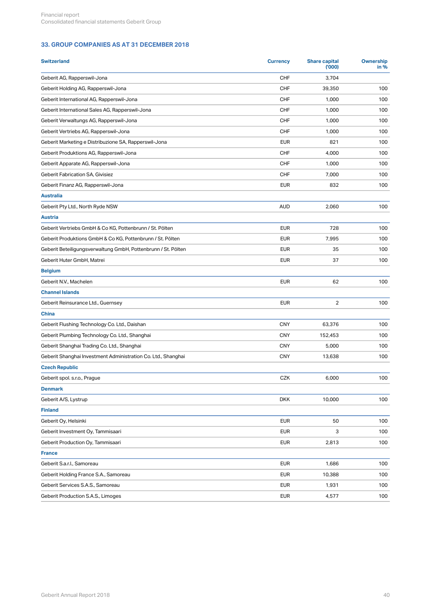## **33. GROUP COMPANIES AS AT 31 DECEMBER 2018**

| CHF<br>Geberit AG, Rapperswil-Jona<br>3,704<br>CHF<br>Geberit Holding AG, Rapperswil-Jona<br>39,350<br>100<br>Geberit International AG, Rapperswil-Jona<br>CHF<br>1,000<br>100<br>Geberit International Sales AG, Rapperswil-Jona<br>CHF<br>1,000<br>100<br>Geberit Verwaltungs AG, Rapperswil-Jona<br>CHF<br>1,000<br>100<br>Geberit Vertriebs AG, Rapperswil-Jona<br>CHF<br>1,000<br>100<br>Geberit Marketing e Distribuzione SA, Rapperswil-Jona<br><b>EUR</b><br>821<br>100<br>Geberit Produktions AG, Rapperswil-Jona<br>CHF<br>4,000<br>100<br>CHF<br>1,000<br>Geberit Apparate AG, Rapperswil-Jona<br>100<br>Geberit Fabrication SA, Givisiez<br>CHF<br>7,000<br>100<br>Geberit Finanz AG, Rapperswil-Jona<br><b>EUR</b><br>832<br>100<br><b>Australia</b><br>Geberit Pty Ltd., North Ryde NSW<br><b>AUD</b><br>2,060<br>100<br><b>Austria</b><br>Geberit Vertriebs GmbH & Co KG, Pottenbrunn / St. Pölten<br><b>EUR</b><br>728<br>100<br><b>EUR</b><br>7,995<br>Geberit Produktions GmbH & Co KG, Pottenbrunn / St. Pölten<br>100<br>Geberit Beteiligungsverwaltung GmbH, Pottenbrunn / St. Pölten<br><b>EUR</b><br>35<br>100<br><b>EUR</b><br>37<br>Geberit Huter GmbH, Matrei<br>100<br><b>Belgium</b><br><b>EUR</b><br>Geberit N.V., Machelen<br>62<br>100<br><b>Channel Islands</b><br><b>EUR</b><br>$\overline{2}$<br>Geberit Reinsurance Ltd., Guernsey<br>100<br><b>China</b><br>CNY<br>Geberit Flushing Technology Co. Ltd., Daishan<br>63,376<br>100<br>Geberit Plumbing Technology Co. Ltd., Shanghai<br><b>CNY</b><br>100<br>152,453<br>Geberit Shanghai Trading Co. Ltd., Shanghai<br><b>CNY</b><br>5,000<br>100<br>Geberit Shanghai Investment Administration Co. Ltd., Shanghai<br><b>CNY</b><br>100<br>13,638<br><b>Czech Republic</b><br>Geberit spol. s.r.o., Prague<br>CZK<br>6,000<br>100<br><b>Denmark</b><br>Geberit A/S, Lystrup<br><b>DKK</b><br>10,000<br>100<br><b>Finland</b><br><b>EUR</b><br>Geberit Oy, Helsinki<br>50<br>100<br>Geberit Investment Oy, Tammisaari<br><b>EUR</b><br>3<br>100<br><b>EUR</b><br>Geberit Production Oy, Tammisaari<br>2,813<br>100<br><b>France</b><br><b>EUR</b><br>Geberit S.a.r.l., Samoreau<br>1,686<br>100<br>Geberit Holding France S.A., Samoreau<br><b>EUR</b><br>10,388<br>100<br><b>EUR</b><br>1,931<br>Geberit Services S.A.S., Samoreau<br>100<br>Geberit Production S.A.S., Limoges<br><b>EUR</b><br>4,577<br>100 | <b>Switzerland</b> | <b>Currency</b> | <b>Share capital</b><br>(000) | <b>Ownership</b><br>in % |
|--------------------------------------------------------------------------------------------------------------------------------------------------------------------------------------------------------------------------------------------------------------------------------------------------------------------------------------------------------------------------------------------------------------------------------------------------------------------------------------------------------------------------------------------------------------------------------------------------------------------------------------------------------------------------------------------------------------------------------------------------------------------------------------------------------------------------------------------------------------------------------------------------------------------------------------------------------------------------------------------------------------------------------------------------------------------------------------------------------------------------------------------------------------------------------------------------------------------------------------------------------------------------------------------------------------------------------------------------------------------------------------------------------------------------------------------------------------------------------------------------------------------------------------------------------------------------------------------------------------------------------------------------------------------------------------------------------------------------------------------------------------------------------------------------------------------------------------------------------------------------------------------------------------------------------------------------------------------------------------------------------------------------------------------------------------------------------------------------------------------------------------------------------------------------------------------------------------------------------------------------------------------------------------------------------------------------------------------------------------------------------------------------|--------------------|-----------------|-------------------------------|--------------------------|
|                                                                                                                                                                                                                                                                                                                                                                                                                                                                                                                                                                                                                                                                                                                                                                                                                                                                                                                                                                                                                                                                                                                                                                                                                                                                                                                                                                                                                                                                                                                                                                                                                                                                                                                                                                                                                                                                                                                                                                                                                                                                                                                                                                                                                                                                                                                                                                                                  |                    |                 |                               |                          |
|                                                                                                                                                                                                                                                                                                                                                                                                                                                                                                                                                                                                                                                                                                                                                                                                                                                                                                                                                                                                                                                                                                                                                                                                                                                                                                                                                                                                                                                                                                                                                                                                                                                                                                                                                                                                                                                                                                                                                                                                                                                                                                                                                                                                                                                                                                                                                                                                  |                    |                 |                               |                          |
|                                                                                                                                                                                                                                                                                                                                                                                                                                                                                                                                                                                                                                                                                                                                                                                                                                                                                                                                                                                                                                                                                                                                                                                                                                                                                                                                                                                                                                                                                                                                                                                                                                                                                                                                                                                                                                                                                                                                                                                                                                                                                                                                                                                                                                                                                                                                                                                                  |                    |                 |                               |                          |
|                                                                                                                                                                                                                                                                                                                                                                                                                                                                                                                                                                                                                                                                                                                                                                                                                                                                                                                                                                                                                                                                                                                                                                                                                                                                                                                                                                                                                                                                                                                                                                                                                                                                                                                                                                                                                                                                                                                                                                                                                                                                                                                                                                                                                                                                                                                                                                                                  |                    |                 |                               |                          |
|                                                                                                                                                                                                                                                                                                                                                                                                                                                                                                                                                                                                                                                                                                                                                                                                                                                                                                                                                                                                                                                                                                                                                                                                                                                                                                                                                                                                                                                                                                                                                                                                                                                                                                                                                                                                                                                                                                                                                                                                                                                                                                                                                                                                                                                                                                                                                                                                  |                    |                 |                               |                          |
|                                                                                                                                                                                                                                                                                                                                                                                                                                                                                                                                                                                                                                                                                                                                                                                                                                                                                                                                                                                                                                                                                                                                                                                                                                                                                                                                                                                                                                                                                                                                                                                                                                                                                                                                                                                                                                                                                                                                                                                                                                                                                                                                                                                                                                                                                                                                                                                                  |                    |                 |                               |                          |
|                                                                                                                                                                                                                                                                                                                                                                                                                                                                                                                                                                                                                                                                                                                                                                                                                                                                                                                                                                                                                                                                                                                                                                                                                                                                                                                                                                                                                                                                                                                                                                                                                                                                                                                                                                                                                                                                                                                                                                                                                                                                                                                                                                                                                                                                                                                                                                                                  |                    |                 |                               |                          |
|                                                                                                                                                                                                                                                                                                                                                                                                                                                                                                                                                                                                                                                                                                                                                                                                                                                                                                                                                                                                                                                                                                                                                                                                                                                                                                                                                                                                                                                                                                                                                                                                                                                                                                                                                                                                                                                                                                                                                                                                                                                                                                                                                                                                                                                                                                                                                                                                  |                    |                 |                               |                          |
|                                                                                                                                                                                                                                                                                                                                                                                                                                                                                                                                                                                                                                                                                                                                                                                                                                                                                                                                                                                                                                                                                                                                                                                                                                                                                                                                                                                                                                                                                                                                                                                                                                                                                                                                                                                                                                                                                                                                                                                                                                                                                                                                                                                                                                                                                                                                                                                                  |                    |                 |                               |                          |
|                                                                                                                                                                                                                                                                                                                                                                                                                                                                                                                                                                                                                                                                                                                                                                                                                                                                                                                                                                                                                                                                                                                                                                                                                                                                                                                                                                                                                                                                                                                                                                                                                                                                                                                                                                                                                                                                                                                                                                                                                                                                                                                                                                                                                                                                                                                                                                                                  |                    |                 |                               |                          |
|                                                                                                                                                                                                                                                                                                                                                                                                                                                                                                                                                                                                                                                                                                                                                                                                                                                                                                                                                                                                                                                                                                                                                                                                                                                                                                                                                                                                                                                                                                                                                                                                                                                                                                                                                                                                                                                                                                                                                                                                                                                                                                                                                                                                                                                                                                                                                                                                  |                    |                 |                               |                          |
|                                                                                                                                                                                                                                                                                                                                                                                                                                                                                                                                                                                                                                                                                                                                                                                                                                                                                                                                                                                                                                                                                                                                                                                                                                                                                                                                                                                                                                                                                                                                                                                                                                                                                                                                                                                                                                                                                                                                                                                                                                                                                                                                                                                                                                                                                                                                                                                                  |                    |                 |                               |                          |
|                                                                                                                                                                                                                                                                                                                                                                                                                                                                                                                                                                                                                                                                                                                                                                                                                                                                                                                                                                                                                                                                                                                                                                                                                                                                                                                                                                                                                                                                                                                                                                                                                                                                                                                                                                                                                                                                                                                                                                                                                                                                                                                                                                                                                                                                                                                                                                                                  |                    |                 |                               |                          |
|                                                                                                                                                                                                                                                                                                                                                                                                                                                                                                                                                                                                                                                                                                                                                                                                                                                                                                                                                                                                                                                                                                                                                                                                                                                                                                                                                                                                                                                                                                                                                                                                                                                                                                                                                                                                                                                                                                                                                                                                                                                                                                                                                                                                                                                                                                                                                                                                  |                    |                 |                               |                          |
|                                                                                                                                                                                                                                                                                                                                                                                                                                                                                                                                                                                                                                                                                                                                                                                                                                                                                                                                                                                                                                                                                                                                                                                                                                                                                                                                                                                                                                                                                                                                                                                                                                                                                                                                                                                                                                                                                                                                                                                                                                                                                                                                                                                                                                                                                                                                                                                                  |                    |                 |                               |                          |
|                                                                                                                                                                                                                                                                                                                                                                                                                                                                                                                                                                                                                                                                                                                                                                                                                                                                                                                                                                                                                                                                                                                                                                                                                                                                                                                                                                                                                                                                                                                                                                                                                                                                                                                                                                                                                                                                                                                                                                                                                                                                                                                                                                                                                                                                                                                                                                                                  |                    |                 |                               |                          |
|                                                                                                                                                                                                                                                                                                                                                                                                                                                                                                                                                                                                                                                                                                                                                                                                                                                                                                                                                                                                                                                                                                                                                                                                                                                                                                                                                                                                                                                                                                                                                                                                                                                                                                                                                                                                                                                                                                                                                                                                                                                                                                                                                                                                                                                                                                                                                                                                  |                    |                 |                               |                          |
|                                                                                                                                                                                                                                                                                                                                                                                                                                                                                                                                                                                                                                                                                                                                                                                                                                                                                                                                                                                                                                                                                                                                                                                                                                                                                                                                                                                                                                                                                                                                                                                                                                                                                                                                                                                                                                                                                                                                                                                                                                                                                                                                                                                                                                                                                                                                                                                                  |                    |                 |                               |                          |
|                                                                                                                                                                                                                                                                                                                                                                                                                                                                                                                                                                                                                                                                                                                                                                                                                                                                                                                                                                                                                                                                                                                                                                                                                                                                                                                                                                                                                                                                                                                                                                                                                                                                                                                                                                                                                                                                                                                                                                                                                                                                                                                                                                                                                                                                                                                                                                                                  |                    |                 |                               |                          |
|                                                                                                                                                                                                                                                                                                                                                                                                                                                                                                                                                                                                                                                                                                                                                                                                                                                                                                                                                                                                                                                                                                                                                                                                                                                                                                                                                                                                                                                                                                                                                                                                                                                                                                                                                                                                                                                                                                                                                                                                                                                                                                                                                                                                                                                                                                                                                                                                  |                    |                 |                               |                          |
|                                                                                                                                                                                                                                                                                                                                                                                                                                                                                                                                                                                                                                                                                                                                                                                                                                                                                                                                                                                                                                                                                                                                                                                                                                                                                                                                                                                                                                                                                                                                                                                                                                                                                                                                                                                                                                                                                                                                                                                                                                                                                                                                                                                                                                                                                                                                                                                                  |                    |                 |                               |                          |
|                                                                                                                                                                                                                                                                                                                                                                                                                                                                                                                                                                                                                                                                                                                                                                                                                                                                                                                                                                                                                                                                                                                                                                                                                                                                                                                                                                                                                                                                                                                                                                                                                                                                                                                                                                                                                                                                                                                                                                                                                                                                                                                                                                                                                                                                                                                                                                                                  |                    |                 |                               |                          |
|                                                                                                                                                                                                                                                                                                                                                                                                                                                                                                                                                                                                                                                                                                                                                                                                                                                                                                                                                                                                                                                                                                                                                                                                                                                                                                                                                                                                                                                                                                                                                                                                                                                                                                                                                                                                                                                                                                                                                                                                                                                                                                                                                                                                                                                                                                                                                                                                  |                    |                 |                               |                          |
|                                                                                                                                                                                                                                                                                                                                                                                                                                                                                                                                                                                                                                                                                                                                                                                                                                                                                                                                                                                                                                                                                                                                                                                                                                                                                                                                                                                                                                                                                                                                                                                                                                                                                                                                                                                                                                                                                                                                                                                                                                                                                                                                                                                                                                                                                                                                                                                                  |                    |                 |                               |                          |
|                                                                                                                                                                                                                                                                                                                                                                                                                                                                                                                                                                                                                                                                                                                                                                                                                                                                                                                                                                                                                                                                                                                                                                                                                                                                                                                                                                                                                                                                                                                                                                                                                                                                                                                                                                                                                                                                                                                                                                                                                                                                                                                                                                                                                                                                                                                                                                                                  |                    |                 |                               |                          |
|                                                                                                                                                                                                                                                                                                                                                                                                                                                                                                                                                                                                                                                                                                                                                                                                                                                                                                                                                                                                                                                                                                                                                                                                                                                                                                                                                                                                                                                                                                                                                                                                                                                                                                                                                                                                                                                                                                                                                                                                                                                                                                                                                                                                                                                                                                                                                                                                  |                    |                 |                               |                          |
|                                                                                                                                                                                                                                                                                                                                                                                                                                                                                                                                                                                                                                                                                                                                                                                                                                                                                                                                                                                                                                                                                                                                                                                                                                                                                                                                                                                                                                                                                                                                                                                                                                                                                                                                                                                                                                                                                                                                                                                                                                                                                                                                                                                                                                                                                                                                                                                                  |                    |                 |                               |                          |
|                                                                                                                                                                                                                                                                                                                                                                                                                                                                                                                                                                                                                                                                                                                                                                                                                                                                                                                                                                                                                                                                                                                                                                                                                                                                                                                                                                                                                                                                                                                                                                                                                                                                                                                                                                                                                                                                                                                                                                                                                                                                                                                                                                                                                                                                                                                                                                                                  |                    |                 |                               |                          |
|                                                                                                                                                                                                                                                                                                                                                                                                                                                                                                                                                                                                                                                                                                                                                                                                                                                                                                                                                                                                                                                                                                                                                                                                                                                                                                                                                                                                                                                                                                                                                                                                                                                                                                                                                                                                                                                                                                                                                                                                                                                                                                                                                                                                                                                                                                                                                                                                  |                    |                 |                               |                          |
|                                                                                                                                                                                                                                                                                                                                                                                                                                                                                                                                                                                                                                                                                                                                                                                                                                                                                                                                                                                                                                                                                                                                                                                                                                                                                                                                                                                                                                                                                                                                                                                                                                                                                                                                                                                                                                                                                                                                                                                                                                                                                                                                                                                                                                                                                                                                                                                                  |                    |                 |                               |                          |
|                                                                                                                                                                                                                                                                                                                                                                                                                                                                                                                                                                                                                                                                                                                                                                                                                                                                                                                                                                                                                                                                                                                                                                                                                                                                                                                                                                                                                                                                                                                                                                                                                                                                                                                                                                                                                                                                                                                                                                                                                                                                                                                                                                                                                                                                                                                                                                                                  |                    |                 |                               |                          |
|                                                                                                                                                                                                                                                                                                                                                                                                                                                                                                                                                                                                                                                                                                                                                                                                                                                                                                                                                                                                                                                                                                                                                                                                                                                                                                                                                                                                                                                                                                                                                                                                                                                                                                                                                                                                                                                                                                                                                                                                                                                                                                                                                                                                                                                                                                                                                                                                  |                    |                 |                               |                          |
|                                                                                                                                                                                                                                                                                                                                                                                                                                                                                                                                                                                                                                                                                                                                                                                                                                                                                                                                                                                                                                                                                                                                                                                                                                                                                                                                                                                                                                                                                                                                                                                                                                                                                                                                                                                                                                                                                                                                                                                                                                                                                                                                                                                                                                                                                                                                                                                                  |                    |                 |                               |                          |
|                                                                                                                                                                                                                                                                                                                                                                                                                                                                                                                                                                                                                                                                                                                                                                                                                                                                                                                                                                                                                                                                                                                                                                                                                                                                                                                                                                                                                                                                                                                                                                                                                                                                                                                                                                                                                                                                                                                                                                                                                                                                                                                                                                                                                                                                                                                                                                                                  |                    |                 |                               |                          |
|                                                                                                                                                                                                                                                                                                                                                                                                                                                                                                                                                                                                                                                                                                                                                                                                                                                                                                                                                                                                                                                                                                                                                                                                                                                                                                                                                                                                                                                                                                                                                                                                                                                                                                                                                                                                                                                                                                                                                                                                                                                                                                                                                                                                                                                                                                                                                                                                  |                    |                 |                               |                          |
|                                                                                                                                                                                                                                                                                                                                                                                                                                                                                                                                                                                                                                                                                                                                                                                                                                                                                                                                                                                                                                                                                                                                                                                                                                                                                                                                                                                                                                                                                                                                                                                                                                                                                                                                                                                                                                                                                                                                                                                                                                                                                                                                                                                                                                                                                                                                                                                                  |                    |                 |                               |                          |
|                                                                                                                                                                                                                                                                                                                                                                                                                                                                                                                                                                                                                                                                                                                                                                                                                                                                                                                                                                                                                                                                                                                                                                                                                                                                                                                                                                                                                                                                                                                                                                                                                                                                                                                                                                                                                                                                                                                                                                                                                                                                                                                                                                                                                                                                                                                                                                                                  |                    |                 |                               |                          |
|                                                                                                                                                                                                                                                                                                                                                                                                                                                                                                                                                                                                                                                                                                                                                                                                                                                                                                                                                                                                                                                                                                                                                                                                                                                                                                                                                                                                                                                                                                                                                                                                                                                                                                                                                                                                                                                                                                                                                                                                                                                                                                                                                                                                                                                                                                                                                                                                  |                    |                 |                               |                          |
|                                                                                                                                                                                                                                                                                                                                                                                                                                                                                                                                                                                                                                                                                                                                                                                                                                                                                                                                                                                                                                                                                                                                                                                                                                                                                                                                                                                                                                                                                                                                                                                                                                                                                                                                                                                                                                                                                                                                                                                                                                                                                                                                                                                                                                                                                                                                                                                                  |                    |                 |                               |                          |
|                                                                                                                                                                                                                                                                                                                                                                                                                                                                                                                                                                                                                                                                                                                                                                                                                                                                                                                                                                                                                                                                                                                                                                                                                                                                                                                                                                                                                                                                                                                                                                                                                                                                                                                                                                                                                                                                                                                                                                                                                                                                                                                                                                                                                                                                                                                                                                                                  |                    |                 |                               |                          |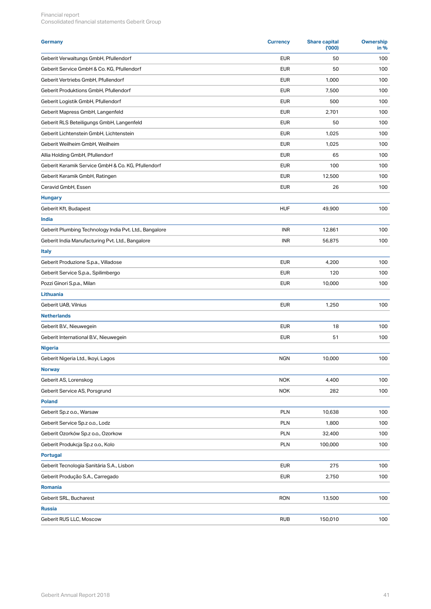| <b>Germany</b>                                         | <b>Currency</b> | <b>Share capital</b><br>(000) | <b>Ownership</b><br>in % |
|--------------------------------------------------------|-----------------|-------------------------------|--------------------------|
| Geberit Verwaltungs GmbH, Pfullendorf                  | <b>EUR</b>      | 50                            | 100                      |
| Geberit Service GmbH & Co. KG, Pfullendorf             | <b>EUR</b>      | 50                            | 100                      |
| Geberit Vertriebs GmbH, Pfullendorf                    | <b>EUR</b>      | 1,000                         | 100                      |
| Geberit Produktions GmbH, Pfullendorf                  | <b>EUR</b>      | 7,500                         | 100                      |
| Geberit Logistik GmbH, Pfullendorf                     | <b>EUR</b>      | 500                           | 100                      |
| Geberit Mapress GmbH, Langenfeld                       | <b>EUR</b>      | 2,701                         | 100                      |
| Geberit RLS Beteiligungs GmbH, Langenfeld              | <b>EUR</b>      | 50                            | 100                      |
| Geberit Lichtenstein GmbH, Lichtenstein                | <b>EUR</b>      | 1,025                         | 100                      |
| Geberit Weilheim GmbH, Weilheim                        | <b>EUR</b>      | 1,025                         | 100                      |
| Allia Holding GmbH, Pfullendorf                        | <b>EUR</b>      | 65                            | 100                      |
| Geberit Keramik Service GmbH & Co. KG, Pfullendorf     | <b>EUR</b>      | 100                           | 100                      |
| Geberit Keramik GmbH, Ratingen                         | <b>EUR</b>      | 12,500                        | 100                      |
| Ceravid GmbH, Essen                                    | <b>EUR</b>      | 26                            | 100                      |
| <b>Hungary</b>                                         |                 |                               |                          |
| Geberit Kft, Budapest                                  | <b>HUF</b>      | 49,900                        | 100                      |
| India                                                  |                 |                               |                          |
| Geberit Plumbing Technology India Pvt. Ltd., Bangalore | INR             | 12,861                        | 100                      |
| Geberit India Manufacturing Pvt. Ltd., Bangalore       | <b>INR</b>      | 56,875                        | 100                      |
| <b>Italy</b>                                           |                 |                               |                          |
| Geberit Produzione S.p.a., Villadose                   | <b>EUR</b>      | 4,200                         | 100                      |
| Geberit Service S.p.a., Spilimbergo                    | <b>EUR</b>      | 120                           | 100                      |
| Pozzi Ginori S.p.a., Milan                             | <b>EUR</b>      | 10,000                        | 100                      |
| Lithuania                                              |                 |                               |                          |
| Geberit UAB, Vilnius                                   | <b>EUR</b>      | 1,250                         | 100                      |
| <b>Netherlands</b>                                     |                 |                               |                          |
| Geberit B.V., Nieuwegein                               | <b>EUR</b>      | 18                            | 100                      |
| Geberit International B.V., Nieuwegein                 | <b>EUR</b>      | 51                            | 100                      |
| <b>Nigeria</b>                                         |                 |                               |                          |
| Geberit Nigeria Ltd., Ikoyi, Lagos                     | <b>NGN</b>      | 10,000                        | 100                      |
|                                                        |                 |                               |                          |
| <b>Norway</b><br>Geberit AS, Lorenskog                 | <b>NOK</b>      | 4,400                         | 100                      |
|                                                        |                 |                               |                          |
| Geberit Service AS, Porsgrund                          | <b>NOK</b>      | 282                           | 100                      |
| Poland                                                 |                 |                               |                          |
| Geberit Sp.z o.o., Warsaw                              | PLN             | 10,638                        | 100                      |
| Geberit Service Sp.z o.o., Lodz                        | PLN             | 1,800                         | 100                      |
| Geberit Ozorków Sp.z o.o., Ozorkow                     | <b>PLN</b>      | 32,400                        | 100                      |
| Geberit Produkcja Sp.z o.o., Kolo                      | PLN             | 100,000                       | 100                      |
| <b>Portugal</b>                                        |                 |                               |                          |
| Geberit Tecnologia Sanitária S.A., Lisbon              | <b>EUR</b>      | 275                           | 100                      |
| Geberit Produção S.A., Carregado                       | <b>EUR</b>      | 2,750                         | 100                      |
| Romania                                                |                 |                               |                          |
| Geberit SRL, Bucharest                                 | <b>RON</b>      | 13,500                        | 100                      |
| <b>Russia</b>                                          |                 |                               |                          |
| Geberit RUS LLC, Moscow                                | <b>RUB</b>      | 150,010                       | 100                      |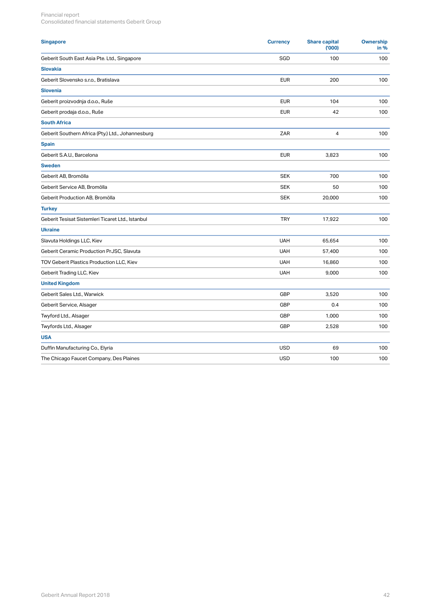| <b>Singapore</b>                                  | <b>Currency</b> | <b>Share capital</b><br>(000) | Ownership<br>in % |
|---------------------------------------------------|-----------------|-------------------------------|-------------------|
| Geberit South East Asia Pte. Ltd., Singapore      | SGD             | 100                           | 100               |
| <b>Slovakia</b>                                   |                 |                               |                   |
| Geberit Slovensko s.r.o., Bratislava              | <b>EUR</b>      | 200                           | 100               |
| <b>Slovenia</b>                                   |                 |                               |                   |
| Geberit proizvodnja d.o.o., Ruše                  | <b>EUR</b>      | 104                           | 100               |
| Geberit prodaja d.o.o., Ruše                      | <b>EUR</b>      | 42                            | 100               |
| <b>South Africa</b>                               |                 |                               |                   |
| Geberit Southern Africa (Pty.) Ltd., Johannesburg | ZAR             | $\overline{4}$                | 100               |
| <b>Spain</b>                                      |                 |                               |                   |
| Geberit S.A.U., Barcelona                         | <b>EUR</b>      | 3,823                         | 100               |
| <b>Sweden</b>                                     |                 |                               |                   |
| Geberit AB, Bromölla                              | <b>SEK</b>      | 700                           | 100               |
| Geberit Service AB, Bromölla                      | <b>SEK</b>      | 50                            | 100               |
| Geberit Production AB, Bromölla                   | <b>SEK</b>      | 20,000                        | 100               |
| <b>Turkey</b>                                     |                 |                               |                   |
| Geberit Tesisat Sistemleri Ticaret Ltd., Istanbul | <b>TRY</b>      | 17,922                        | 100               |
| <b>Ukraine</b>                                    |                 |                               |                   |
| Slavuta Holdings LLC, Kiev                        | <b>UAH</b>      | 65,654                        | 100               |
| Geberit Ceramic Production PrJSC, Slavuta         | <b>UAH</b>      | 57,400                        | 100               |
| TOV Geberit Plastics Production LLC, Kiev         | <b>UAH</b>      | 16,860                        | 100               |
| Geberit Trading LLC, Kiev                         | <b>UAH</b>      | 9,000                         | 100               |
| <b>United Kingdom</b>                             |                 |                               |                   |
| Geberit Sales Ltd., Warwick                       | GBP             | 3,520                         | 100               |
| Geberit Service, Alsager                          | GBP             | 0.4                           | 100               |
| Twyford Ltd., Alsager                             | GBP             | 1,000                         | 100               |
| Twyfords Ltd., Alsager                            | GBP             | 2,528                         | 100               |
| <b>USA</b>                                        |                 |                               |                   |
| Duffin Manufacturing Co., Elyria                  | <b>USD</b>      | 69                            | 100               |
| The Chicago Faucet Company, Des Plaines           | <b>USD</b>      | 100                           | 100               |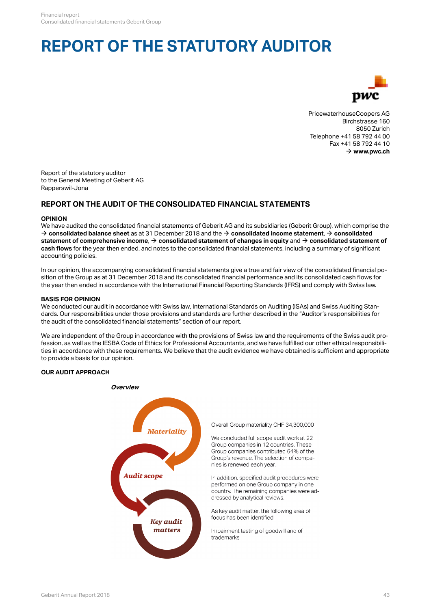## **REPORT OF THE STATUTORY AUDITOR**



PricewaterhouseCoopers AG Birchstrasse 160 8050 Zurich Telephone +41 58 792 44 00 Fax +41 58 792 44 10  $\rightarrow$  [www.pwc.ch](http://www.pwc.de)

Report of the statutory auditor to the General Meeting of Geberit AG Rapperswil-Jona

## **REPORT ON THE AUDIT OF THE CONSOLIDATED FINANCIAL STATEMENTS**

## **OPINION**

We have audited the consolidated financial statements of Geberit AG and its subsidiaries (Geberit Group), which comprise the  $\rightarrow$  **[consolidated balance sheet](#page-0-0)** as at 31 December 2018 and the  $\rightarrow$  **[consolidated income statement](#page-1-0)**,  $\rightarrow$  **[consolidated](#page-2-0)** [statement of comprehensive income](#page-2-0),  $\rightarrow$  [consolidated statement of changes in equity](#page-2-0) and  $\rightarrow$  [consolidated statement of](#page-1-0) **[cash flows](#page-1-0)** for the year then ended, and notes to the consolidated financial statements, including a summary of significant accounting policies.

In our opinion, the accompanying consolidated financial statements give a true and fair view of the consolidated financial position of the Group as at 31 December 2018 and its consolidated financial performance and its consolidated cash flows for the year then ended in accordance with the International Financial Reporting Standards (IFRS) and comply with Swiss law.

#### **BASIS FOR OPINION**

We conducted our audit in accordance with Swiss law, International Standards on Auditing (ISAs) and Swiss Auditing Standards. Our responsibilities under those provisions and standards are further described in the "Auditor's responsibilities for the audit of the consolidated financial statements" section of our report.

We are independent of the Group in accordance with the provisions of Swiss law and the requirements of the Swiss audit profession, as well as the IESBA Code of Ethics for Professional Accountants, and we have fulfilled our other ethical responsibilities in accordance with these requirements. We believe that the audit evidence we have obtained is sufficient and appropriate to provide a basis for our opinion.

### **OUR AUDIT APPROACH**



Overall Group materiality CHF 34.300.000

We concluded full scope audit work at 22 Group companies in 12 countries. These Group companies contributed 64% of the Group's revenue. The selection of companies is renewed each year.

In addition, specified audit procedures were performed on one Group company in one country. The remaining companies were addressed by analytical reviews.

As key audit matter, the following area of focus has been identified:

Impairment testing of goodwill and of trademarks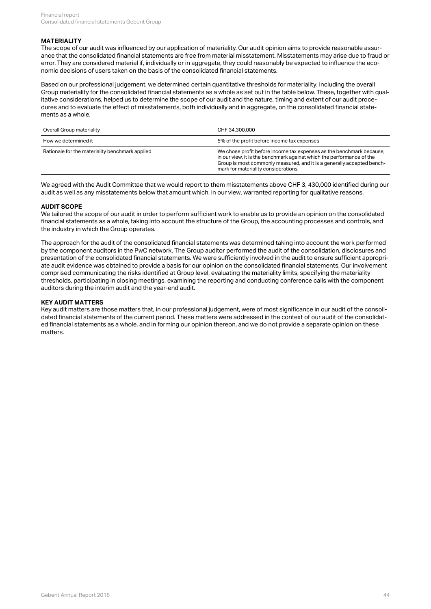#### **MATERIALITY**

The scope of our audit was influenced by our application of materiality. Our audit opinion aims to provide reasonable assurance that the consolidated financial statements are free from material misstatement. Misstatements may arise due to fraud or error. They are considered material if, individually or in aggregate, they could reasonably be expected to influence the economic decisions of users taken on the basis of the consolidated financial statements.

Based on our professional judgement, we determined certain quantitative thresholds for materiality, including the overall Group materiality for the consolidated financial statements as a whole as set out in the table below. These, together with qualitative considerations, helped us to determine the scope of our audit and the nature, timing and extent of our audit procedures and to evaluate the effect of misstatements, both individually and in aggregate, on the consolidated financial statements as a whole.

| Overall Group materiality                       | CHF 34,300,000                                                                                                                                                                                                                                                  |  |  |
|-------------------------------------------------|-----------------------------------------------------------------------------------------------------------------------------------------------------------------------------------------------------------------------------------------------------------------|--|--|
| How we determined it                            | 5% of the profit before income tax expenses                                                                                                                                                                                                                     |  |  |
| Rationale for the materiality benchmark applied | We chose profit before income tax expenses as the benchmark because,<br>in our view, it is the benchmark against which the performance of the<br>Group is most commonly measured, and it is a generally accepted bench-<br>mark for materiality considerations. |  |  |

We agreed with the Audit Committee that we would report to them misstatements above CHF 3, 430,000 identified during our audit as well as any misstatements below that amount which, in our view, warranted reporting for qualitative reasons.

#### **AUDIT SCOPE**

We tailored the scope of our audit in order to perform sufficient work to enable us to provide an opinion on the consolidated financial statements as a whole, taking into account the structure of the Group, the accounting processes and controls, and the industry in which the Group operates.

The approach for the audit of the consolidated financial statements was determined taking into account the work performed by the component auditors in the PwC network. The Group auditor performed the audit of the consolidation, disclosures and presentation of the consolidated financial statements. We were sufficiently involved in the audit to ensure sufficient appropriate audit evidence was obtained to provide a basis for our opinion on the consolidated financial statements. Our involvement comprised communicating the risks identified at Group level, evaluating the materiality limits, specifying the materiality thresholds, participating in closing meetings, examining the reporting and conducting conference calls with the component auditors during the interim audit and the year-end audit.

#### **KEY AUDIT MATTERS**

Key audit matters are those matters that, in our professional judgement, were of most significance in our audit of the consolidated financial statements of the current period. These matters were addressed in the context of our audit of the consolidated financial statements as a whole, and in forming our opinion thereon, and we do not provide a separate opinion on these mattore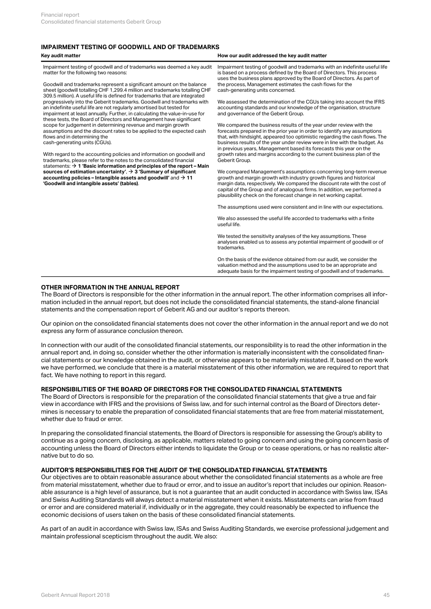## **IMPAIRMENT TESTING OF GOODWILL AND OF TRADEMARKS**

#### **Key audit matter How our audit addressed the key audit matter** Impairment testing of goodwill and of trademarks was deemed a key audit matter for the following two reasons: Goodwill and trademarks represent a significant amount on the balance sheet (goodwill totalling CHF 1,299.4 million and trademarks totalling CHF 309.5 million). A useful life is defined for trademarks that are integrated progressively into the Geberit trademarks. Goodwill and trademarks with an indefinite useful life are not regularly amortised but tested for impairment at least annually. Further, in calculating the value-in-use for these tests, the Board of Directors and Management have significant scope for judgement in determining revenue and margin growth assumptions and the discount rates to be applied to the expected cash flows and in determining the cash-generating units (CGUs). With regard to the accounting policies and information on goodwill and trademarks, please refer to the notes to the consolidated financial statements: **[1 'Basic information and principles of the report – Main](#page-5-2)** [\\$](#page-5-2) **[sources of estimation uncertainty'](#page-5-2)**, **[3 'Summary of significant](#page-6-0)**  $\mathsf{accounting}$  policies – Intangible assets and  $\mathsf{goodwill'}$  and  $\mathsf{\rightarrow}\, \mathsf{11}$  $\mathsf{\rightarrow}\, \mathsf{11}$  $\mathsf{\rightarrow}\, \mathsf{11}$  growth and margin growth with **['Goodwill and intangible assets' \(tables\)](#page-15-1)**. Impairment testing of goodwill and trademarks with an indefinite useful life is based on a process defined by the Board of Directors. This process uses the business plans approved by the Board of Directors. As part of the process, Management estimates the cash flows for the cash-generating units concerned. We assessed the determination of the CGUs taking into account the IFRS accounting standards and our knowledge of the organisation, structure and governance of the Geberit Group. We compared the business results of the year under review with the forecasts prepared in the prior year in order to identify any assumptions that, with hindsight, appeared too optimistic regarding the cash flows. The business results of the year under review were in line with the budget. As in previous years, Management based its forecasts this year on the growth rates and margins according to the current business plan of the Geberit Group.  $\rightarrow$  3 'Summary of significant We compared Management's assumptions concerning long-term revenue growth and margin growth with industry growth figures and historical margin data, respectively. We compared the discount rate with the cost of capital of the Group and of analogous firms. In addition, we performed a plausibility check on the forecast change in net working capital. The assumptions used were consistent and in line with our expectations. We also assessed the useful life accorded to trademarks with a finite useful life. We tested the sensitivity analyses of the key assumptions. These analyses enabled us to assess any potential impairment of goodwill or of trademarks. On the basis of the evidence obtained from our audit, we consider the

valuation method and the assumptions used to be an appropriate and adequate basis for the impairment testing of goodwill and of trademarks.

#### **OTHER INFORMATION IN THE ANNUAL REPORT**

The Board of Directors is responsible for the other information in the annual report. The other information comprises all information included in the annual report, but does not include the consolidated financial statements, the stand-alone financial statements and the compensation report of Geberit AG and our auditor's reports thereon.

Our opinion on the consolidated financial statements does not cover the other information in the annual report and we do not express any form of assurance conclusion thereon.

In connection with our audit of the consolidated financial statements, our responsibility is to read the other information in the annual report and, in doing so, consider whether the other information is materially inconsistent with the consolidated financial statements or our knowledge obtained in the audit, or otherwise appears to be materially misstated. If, based on the work we have performed, we conclude that there is a material misstatement of this other information, we are required to report that fact. We have nothing to report in this regard.

#### **RESPONSIBILITIES OF THE BOARD OF DIRECTORS FOR THE CONSOLIDATED FINANCIAL STATEMENTS**

The Board of Directors is responsible for the preparation of the consolidated financial statements that give a true and fair view in accordance with IFRS and the provisions of Swiss law, and for such internal control as the Board of Directors determines is necessary to enable the preparation of consolidated financial statements that are free from material misstatement, whether due to fraud or error.

In preparing the consolidated financial statements, the Board of Directors is responsible for assessing the Group's ability to continue as a going concern, disclosing, as applicable, matters related to going concern and using the going concern basis of accounting unless the Board of Directors either intends to liquidate the Group or to cease operations, or has no realistic alternative but to do so.

#### **AUDITOR'S RESPONSIBILITIES FOR THE AUDIT OF THE CONSOLIDATED FINANCIAL STATEMENTS**

Our objectives are to obtain reasonable assurance about whether the consolidated financial statements as a whole are free from material misstatement, whether due to fraud or error, and to issue an auditor's report that includes our opinion. Reasonable assurance is a high level of assurance, but is not a guarantee that an audit conducted in accordance with Swiss law, ISAs and Swiss Auditing Standards will always detect a material misstatement when it exists. Misstatements can arise from fraud or error and are considered material if, individually or in the aggregate, they could reasonably be expected to influence the economic decisions of users taken on the basis of these consolidated financial statements.

As part of an audit in accordance with Swiss law, ISAs and Swiss Auditing Standards, we exercise professional judgement and maintain professional scepticism throughout the audit. We also: